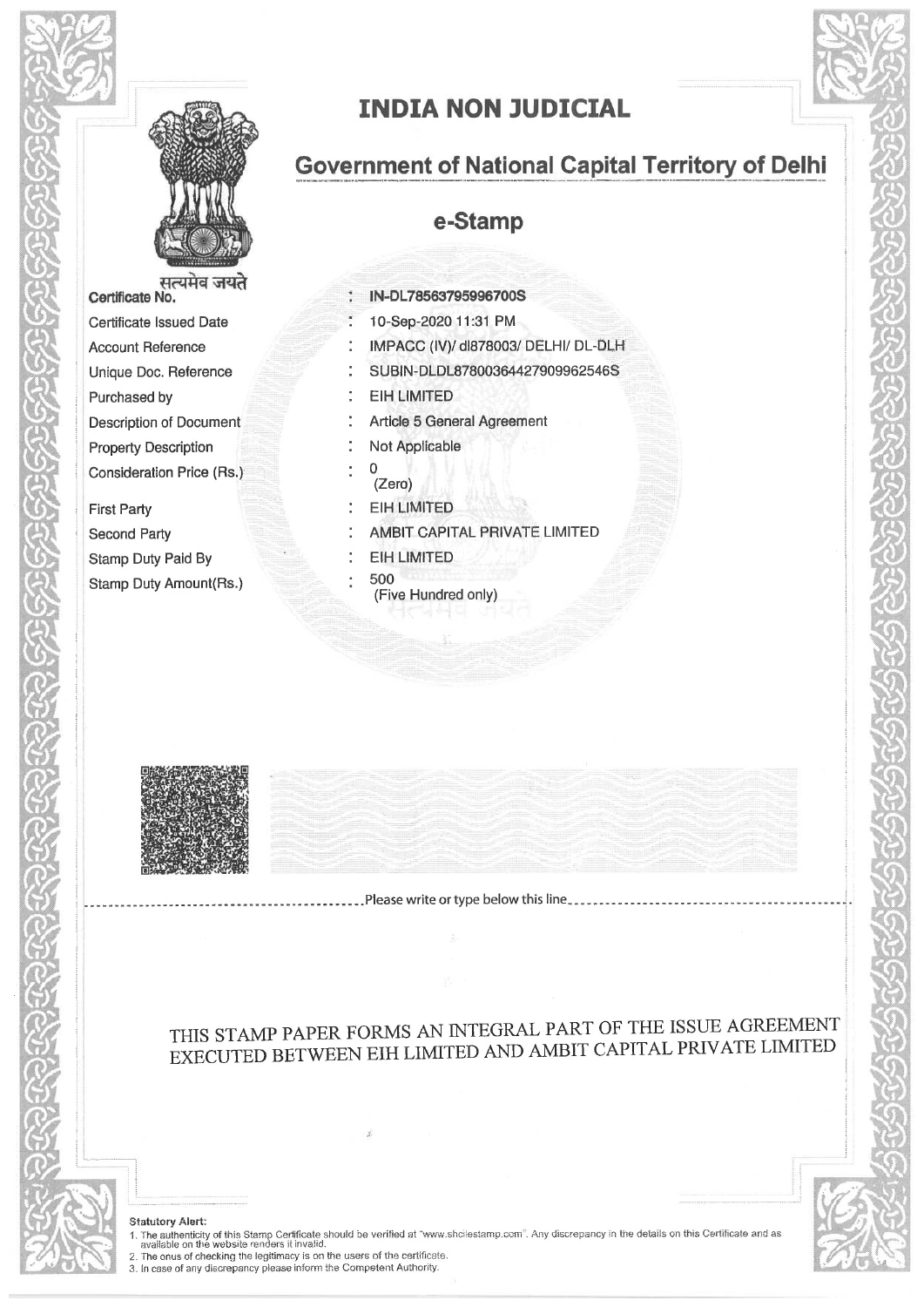



सत्यमव जयते Certificate No. Certificate Issued Date **Account Reference** Unique Doc. Reference Purchased by **Description of Document Property Description** Consideration Price (Rs.)

**First Party** Second Party Stamp Duty Paid By Stamp Duty Amount(Rs.)

# **INDIA NON JUDICIAL**

## **Government of National Capital Territory of Delhi**

### e-Stamp

- IN-DL78563795996700S
- 10-Sep-2020 11:31 PM
- IMPACC (IV)/ dl878003/ DELHI/ DL-DLH
- SUBIN-DLDL87800364427909962546S
- **EIH LIMITED**
- Article 5 General Agreement
- Not Applicable
- $\overline{0}$  $(Zero)$
- **EIH LIMITED**
- AMBIT CAPITAL PRIVATE LIMITED
- **EIH LIMITED**
- 500
- (Five Hundred only)



-----------------------.Please write or type below this line

### THIS STAMP PAPER FORMS AN INTEGRAL PART OF THE ISSUE AGREEMENT EXECUTED BETWEEN EIH LIMITED AND AMBIT CAPITAL PRIVATE LIMITED

#### **Statutory Alert:**

The authority of this Stamp Certificate should be verified at "www.shcilestamp.com". Any discrepancy in the details on this Certificate and as available on the website renders it invalid.<br>
2. The anus of checking the legit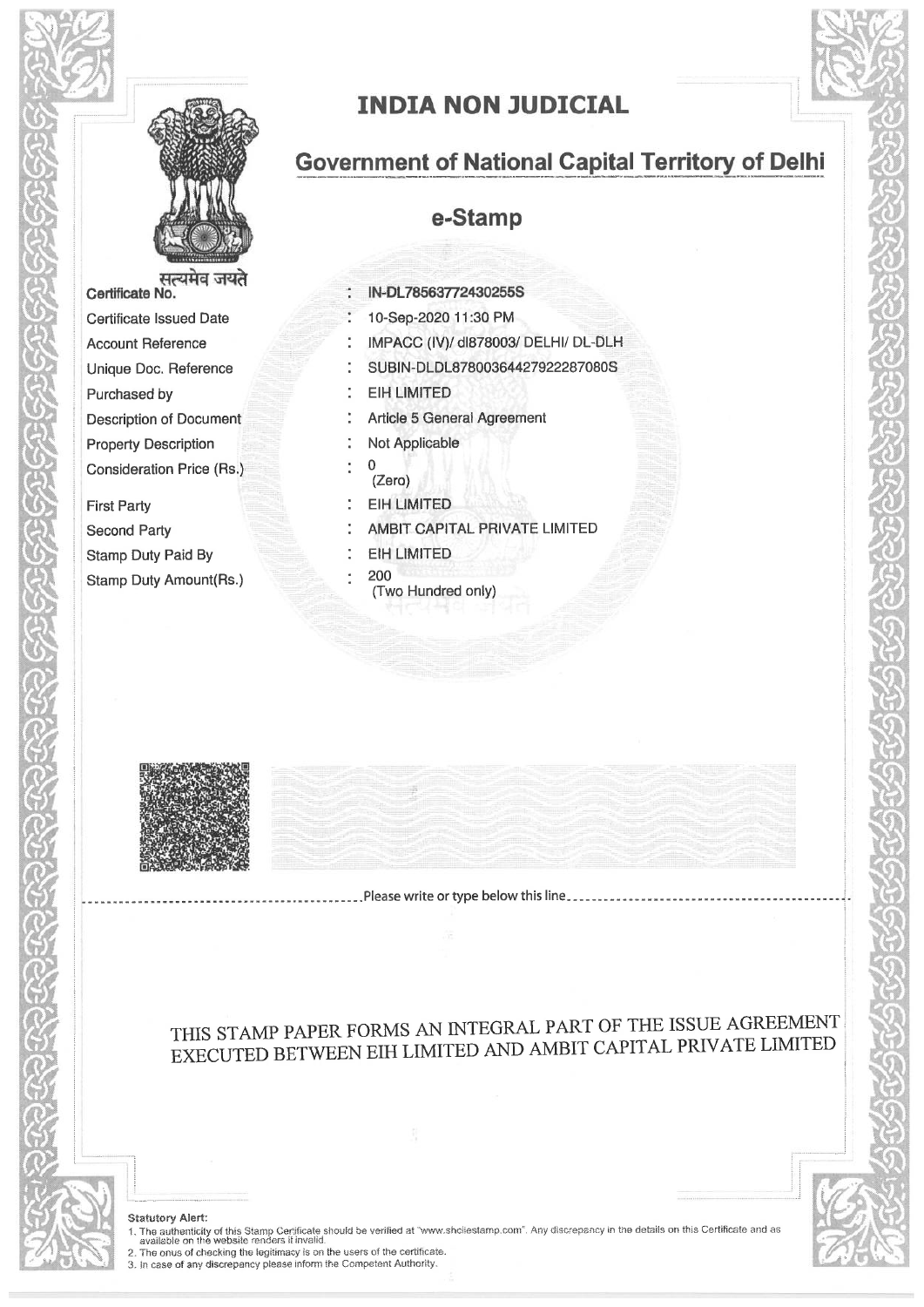



Certificate No. Certificate Issued Date **Account Reference** Unique Doc. Reference Purchased by **Description of Document Property Description** Consideration Price (Rs.)

**First Party Second Party Stamp Duty Paid By** Stamp Duty Amount(Rs.)

# **INDIA NON JUDICIAL**

## **Government of National Capital Territory of Delhi**

### e-Stamp

IN-DL78563772430255S 10-Sep-2020 11:30 PM IMPACC (IV)/ dl878003/ DELHI/ DL-DLH SUBIN-DLDL87800364427922287080S **EIH LIMITED Article 5 General Agreement** Not Applicable  $\mathbf 0$  $(Zero)$ **EIH LIMITED** AMBIT CAPITAL PRIVATE LIMITED **EIH LIMITED** 200 (Two Hundred only)



### THIS STAMP PAPER FORMS AN INTEGRAL PART OF THE ISSUE AGREEMENT EXECUTED BETWEEN EIH LIMITED AND AMBIT CAPITAL PRIVATE LIMITED

#### **Statutory Alert:**

1. The authenticity of this Stamp Certificate should be verified at "www.shcilestamp.com". Any discrepancy in the details on this Certificate and as available on the website renders if invelid.<br>
2. The onus of checking the

<u> La componente de la componente de la co</u>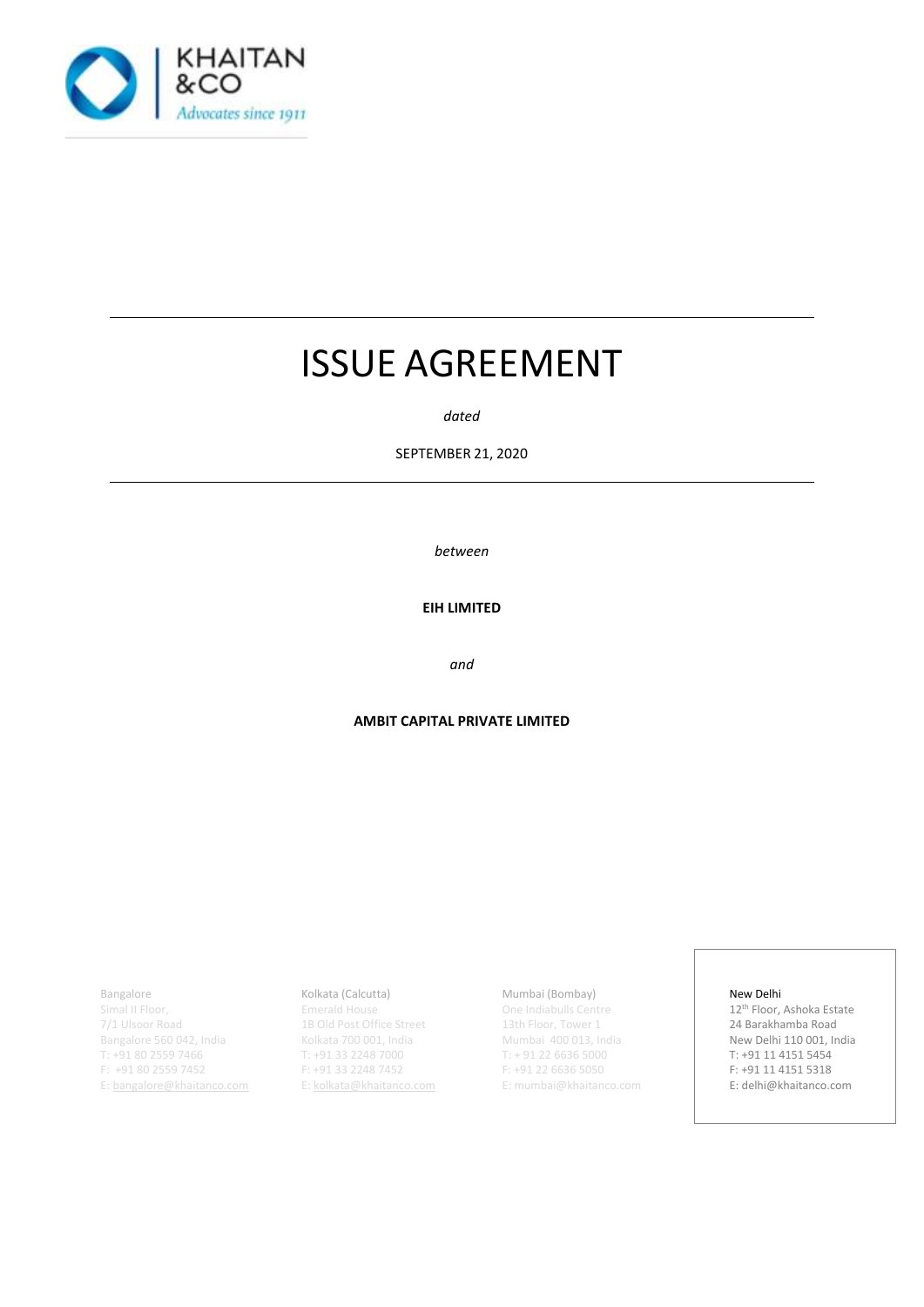

# ISSUE AGREEMENT

*dated*

SEPTEMBER 21, 2020

*between*

**EIH LIMITED**

*and*

#### **AMBIT CAPITAL PRIVATE LIMITED**

Bangalore

Simal II Floor, 7/1 Ulsoor Road Bangalore 560 042, India T: +91 80 2559 7466 F: +91 80 2559 7452 E[: bangalore@khaitanco.com](mailto:bangalore@khaitanco.com)

#### Kolkata (Calcutta)

Emerald House 1B Old Post Office Street Kolkata 700 001, India T: +91 33 2248 7000 F: +91 33 2248 7452 E[: kolkata@khaitanco.com](mailto:kolkata@khaitanco.com)

#### Mumbai (Bombay)

One Indiabulls Centre 13th Floor, Tower 1 Mumbai 400 013, India T: + 91 22 6636 5000 F: +91 22 6636 5050 E[: mumbai@khaitanco.com](mailto:mumbai@khaitanco.com)

#### New Delhi

12th Floor, Ashoka Estate 24 Barakhamba Road New Delhi 110 001, India T: +91 11 4151 5454 F: +91 11 4151 5318 E[: delhi@khaitanco.com](mailto:delhi@khaitanco.com)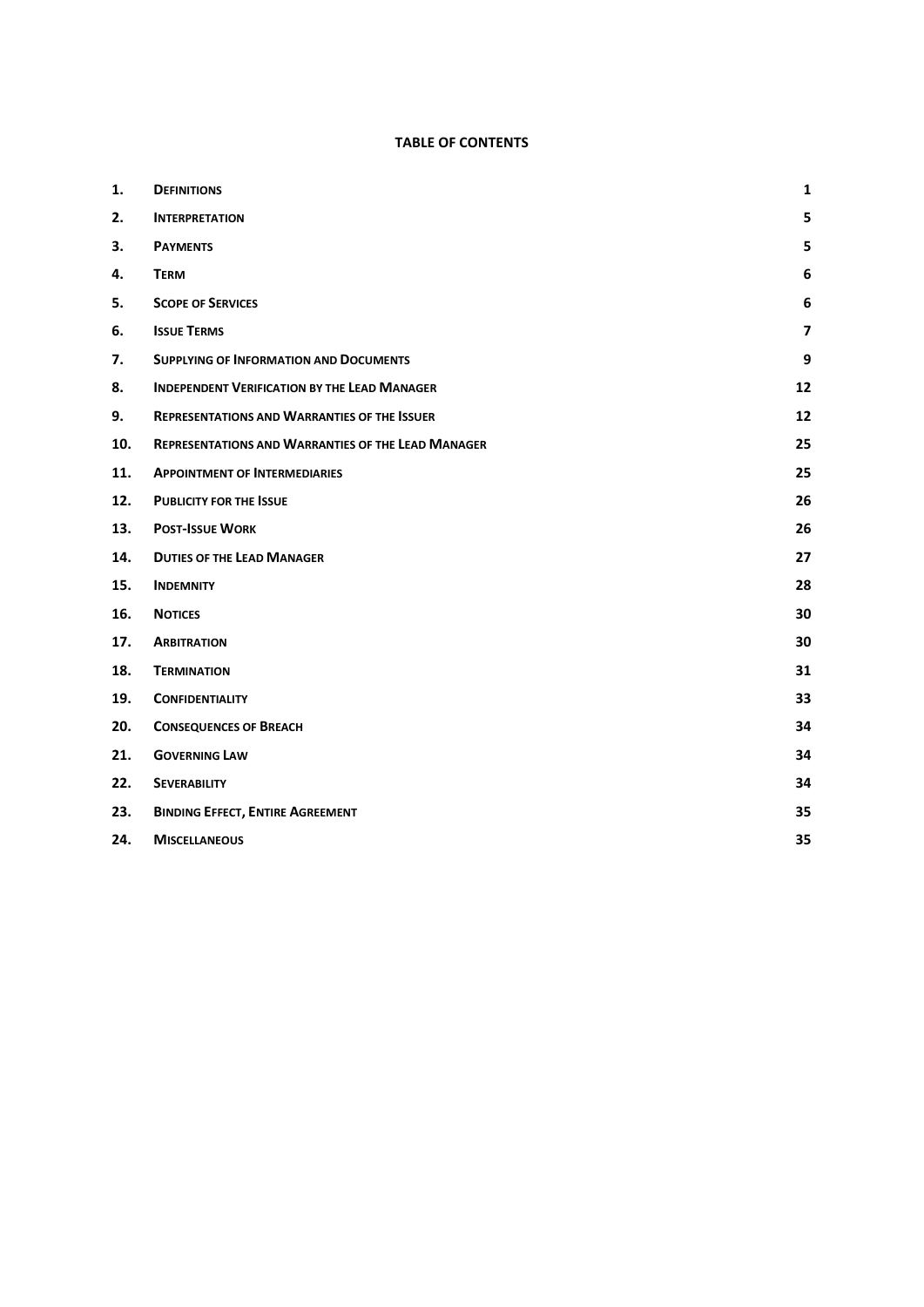#### **TABLE OF CONTENTS**

| 1.  | <b>DEFINITIONS</b>                                        | $\mathbf 1$             |
|-----|-----------------------------------------------------------|-------------------------|
| 2.  | <b>INTERPRETATION</b>                                     | 5                       |
| 3.  | <b>PAYMENTS</b>                                           | 5                       |
| 4.  | <b>TERM</b>                                               | 6                       |
| 5.  | <b>SCOPE OF SERVICES</b>                                  | $\bf 6$                 |
| 6.  | <b>ISSUE TERMS</b>                                        | $\overline{\mathbf{z}}$ |
| 7.  | <b>SUPPLYING OF INFORMATION AND DOCUMENTS</b>             | 9                       |
| 8.  | <b>INDEPENDENT VERIFICATION BY THE LEAD MANAGER</b>       | 12                      |
| 9.  | <b>REPRESENTATIONS AND WARRANTIES OF THE ISSUER</b>       | 12                      |
| 10. | <b>REPRESENTATIONS AND WARRANTIES OF THE LEAD MANAGER</b> | 25                      |
| 11. | <b>APPOINTMENT OF INTERMEDIARIES</b>                      | 25                      |
| 12. | <b>PUBLICITY FOR THE ISSUE</b>                            | 26                      |
| 13. | <b>POST-ISSUE WORK</b>                                    | 26                      |
| 14. | <b>DUTIES OF THE LEAD MANAGER</b>                         | 27                      |
| 15. | <b>INDEMNITY</b>                                          | 28                      |
| 16. | <b>NOTICES</b>                                            | 30                      |
| 17. | <b>ARBITRATION</b>                                        | 30                      |
| 18. | <b>TERMINATION</b>                                        | 31                      |
| 19. | <b>CONFIDENTIALITY</b>                                    | 33                      |
| 20. | <b>CONSEQUENCES OF BREACH</b>                             | 34                      |
| 21. | <b>GOVERNING LAW</b>                                      | 34                      |
| 22. | <b>SEVERABILITY</b>                                       | 34                      |
| 23. | <b>BINDING EFFECT, ENTIRE AGREEMENT</b>                   | 35                      |
| 24. | <b>MISCELLANEOUS</b>                                      | 35                      |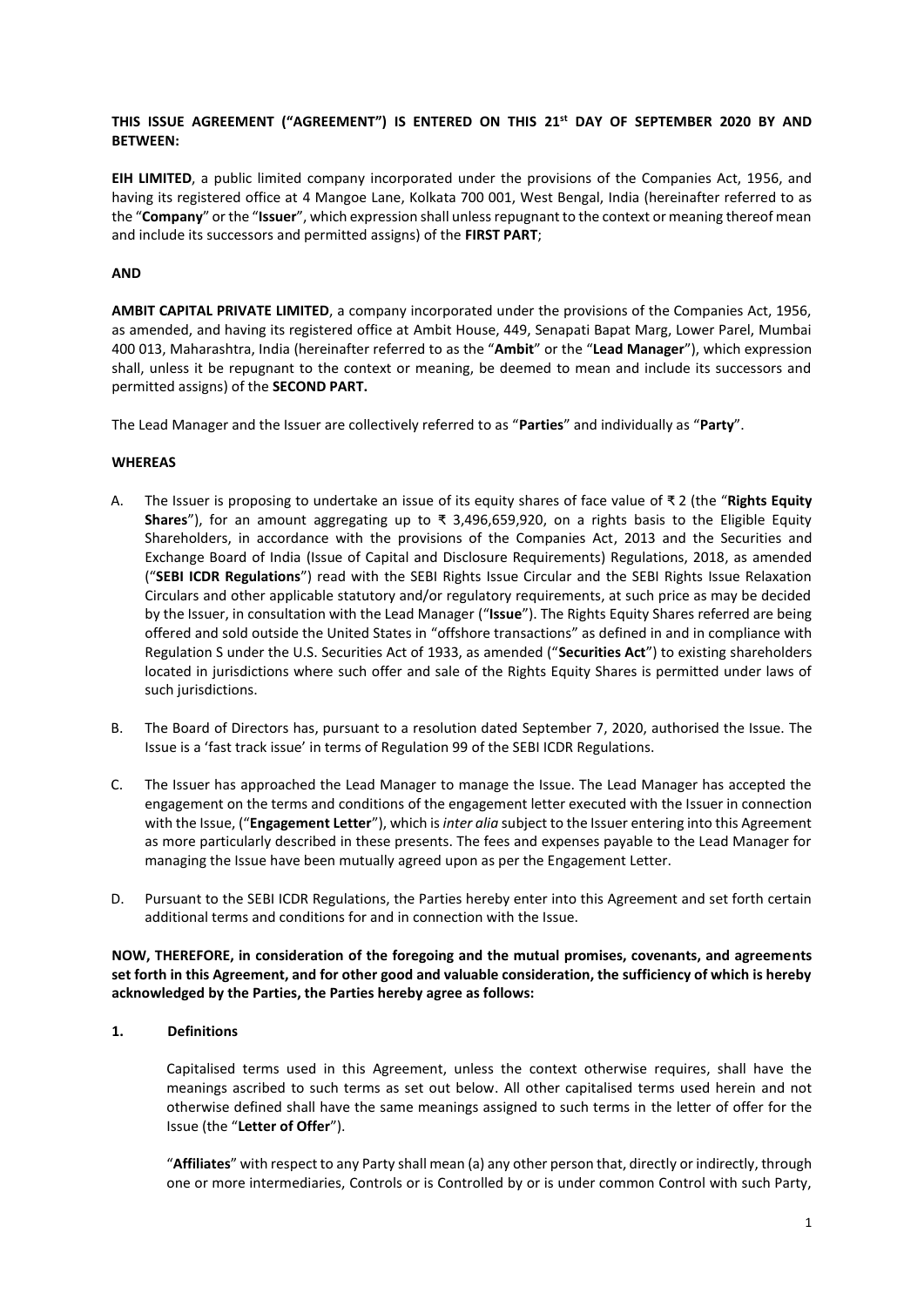#### **THIS ISSUE AGREEMENT ("AGREEMENT") IS ENTERED ON THIS 21st DAY OF SEPTEMBER 2020 BY AND BETWEEN:**

**EIH LIMITED**, a public limited company incorporated under the provisions of the Companies Act, 1956, and having its registered office at 4 Mangoe Lane, Kolkata 700 001, West Bengal, India (hereinafter referred to as the "**Company**" or the "**Issuer**", which expression shall unless repugnant to the context or meaning thereof mean and include its successors and permitted assigns) of the **FIRST PART**;

#### **AND**

**AMBIT CAPITAL PRIVATE LIMITED**, a company incorporated under the provisions of the Companies Act, 1956, as amended, and having its registered office at Ambit House, 449, Senapati Bapat Marg, Lower Parel, Mumbai 400 013, Maharashtra, India (hereinafter referred to as the "**Ambit**" or the "**Lead Manager**"), which expression shall, unless it be repugnant to the context or meaning, be deemed to mean and include its successors and permitted assigns) of the **SECOND PART.**

The Lead Manager and the Issuer are collectively referred to as "**Parties**" and individually as "**Party**".

#### **WHEREAS**

- A. The Issuer is proposing to undertake an issue of its equity shares of face value of ₹ 2 (the "**Rights Equity Shares**"), for an amount aggregating up to ₹ 3,496,659,920, on a rights basis to the Eligible Equity Shareholders, in accordance with the provisions of the Companies Act, 2013 and the Securities and Exchange Board of India (Issue of Capital and Disclosure Requirements) Regulations, 2018, as amended ("**SEBI ICDR Regulations**") read with the SEBI Rights Issue Circular and the SEBI Rights Issue Relaxation Circulars and other applicable statutory and/or regulatory requirements, at such price as may be decided by the Issuer, in consultation with the Lead Manager ("**Issue**"). The Rights Equity Shares referred are being offered and sold outside the United States in "offshore transactions" as defined in and in compliance with Regulation S under the U.S. Securities Act of 1933, as amended ("**Securities Act**") to existing shareholders located in jurisdictions where such offer and sale of the Rights Equity Shares is permitted under laws of such jurisdictions.
- B. The Board of Directors has, pursuant to a resolution dated September 7, 2020, authorised the Issue. The Issue is a 'fast track issue' in terms of Regulation 99 of the SEBI ICDR Regulations.
- C. The Issuer has approached the Lead Manager to manage the Issue. The Lead Manager has accepted the engagement on the terms and conditions of the engagement letter executed with the Issuer in connection with the Issue, ("**Engagement Letter**"), which is *inter alia* subject to the Issuer entering into this Agreement as more particularly described in these presents. The fees and expenses payable to the Lead Manager for managing the Issue have been mutually agreed upon as per the Engagement Letter.
- D. Pursuant to the SEBI ICDR Regulations, the Parties hereby enter into this Agreement and set forth certain additional terms and conditions for and in connection with the Issue.

**NOW, THEREFORE, in consideration of the foregoing and the mutual promises, covenants, and agreements set forth in this Agreement, and for other good and valuable consideration, the sufficiency of which is hereby acknowledged by the Parties, the Parties hereby agree as follows:**

#### <span id="page-4-0"></span>**1. Definitions**

Capitalised terms used in this Agreement, unless the context otherwise requires, shall have the meanings ascribed to such terms as set out below. All other capitalised terms used herein and not otherwise defined shall have the same meanings assigned to such terms in the letter of offer for the Issue (the "**Letter of Offer**").

"**Affiliates**" with respect to any Party shall mean (a) any other person that, directly or indirectly, through one or more intermediaries, Controls or is Controlled by or is under common Control with such Party,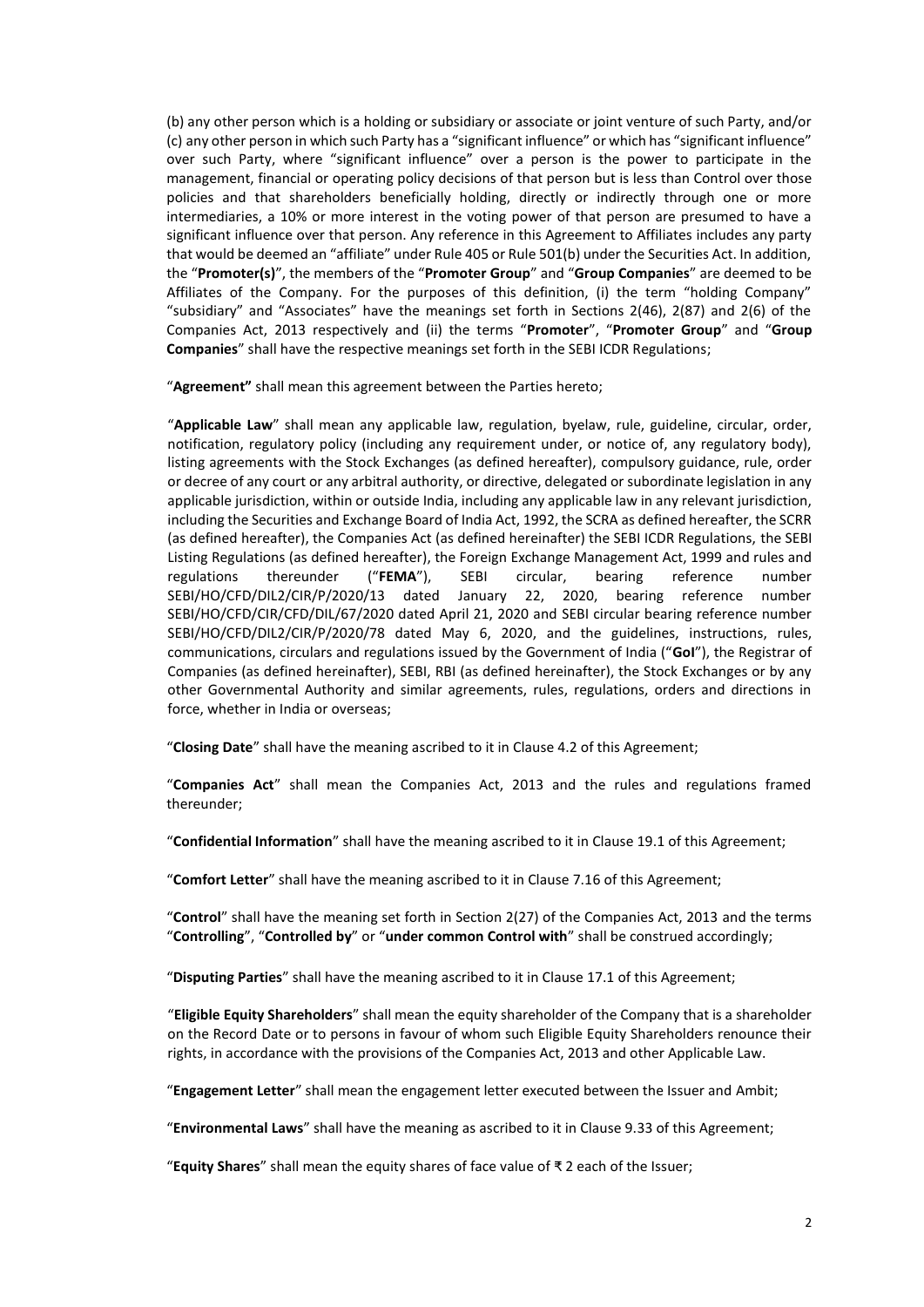(b) any other person which is a holding or subsidiary or associate or joint venture of such Party, and/or (c) any other person in which such Party has a "significant influence" or which has "significant influence" over such Party, where "significant influence" over a person is the power to participate in the management, financial or operating policy decisions of that person but is less than Control over those policies and that shareholders beneficially holding, directly or indirectly through one or more intermediaries, a 10% or more interest in the voting power of that person are presumed to have a significant influence over that person. Any reference in this Agreement to Affiliates includes any party that would be deemed an "affiliate" under Rule 405 or Rule 501(b) under the Securities Act. In addition, the "**Promoter(s)**", the members of the "**Promoter Group**" and "**Group Companies**" are deemed to be Affiliates of the Company. For the purposes of this definition, (i) the term "holding Company" "subsidiary" and "Associates" have the meanings set forth in Sections 2(46), 2(87) and 2(6) of the Companies Act, 2013 respectively and (ii) the terms "**Promoter**", "**Promoter Group**" and "**Group Companies**" shall have the respective meanings set forth in the SEBI ICDR Regulations;

"**Agreement"** shall mean this agreement between the Parties hereto;

"**Applicable Law**" shall mean any applicable law, regulation, byelaw, rule, guideline, circular, order, notification, regulatory policy (including any requirement under, or notice of, any regulatory body), listing agreements with the Stock Exchanges (as defined hereafter), compulsory guidance, rule, order or decree of any court or any arbitral authority, or directive, delegated or subordinate legislation in any applicable jurisdiction, within or outside India, including any applicable law in any relevant jurisdiction, including the Securities and Exchange Board of India Act, 1992, the SCRA as defined hereafter, the SCRR (as defined hereafter), the Companies Act (as defined hereinafter) the SEBI ICDR Regulations, the SEBI Listing Regulations (as defined hereafter), the Foreign Exchange Management Act, 1999 and rules and regulations thereunder ("**FEMA**"), SEBI circular, bearing reference number SEBI/HO/CFD/DIL2/CIR/P/2020/13 dated January 22, 2020, bearing reference number SEBI/HO/CFD/CIR/CFD/DIL/67/2020 dated April 21, 2020 and SEBI circular bearing reference number SEBI/HO/CFD/DIL2/CIR/P/2020/78 dated May 6, 2020, and the guidelines, instructions, rules, communications, circulars and regulations issued by the Government of India ("**GoI**"), the Registrar of Companies (as defined hereinafter), SEBI, RBI (as defined hereinafter), the Stock Exchanges or by any other Governmental Authority and similar agreements, rules, regulations, orders and directions in force, whether in India or overseas;

"**Closing Date**" shall have the meaning ascribed to it in Clause 4.2 of this Agreement;

"**Companies Act**" shall mean the Companies Act, 2013 and the rules and regulations framed thereunder;

"**Confidential Information**" shall have the meaning ascribed to it in Clause 19.1 of this Agreement;

"**Comfort Letter**" shall have the meaning ascribed to it in Clause 7.16 of this Agreement;

"**Control**" shall have the meaning set forth in Section 2(27) of the Companies Act, 2013 and the terms "**Controlling**", "**Controlled by**" or "**under common Control with**" shall be construed accordingly;

"**Disputing Parties**" shall have the meaning ascribed to it in Clause 17.1 of this Agreement;

"**Eligible Equity Shareholders**" shall mean the equity shareholder of the Company that is a shareholder on the Record Date or to persons in favour of whom such Eligible Equity Shareholders renounce their rights, in accordance with the provisions of the Companies Act, 2013 and other Applicable Law.

"**Engagement Letter**" shall mean the engagement letter executed between the Issuer and Ambit;

"**Environmental Laws**" shall have the meaning as ascribed to it in Clause 9.33 of this Agreement;

"**Equity Shares**" shall mean the equity shares of face value of ₹ 2 each of the Issuer;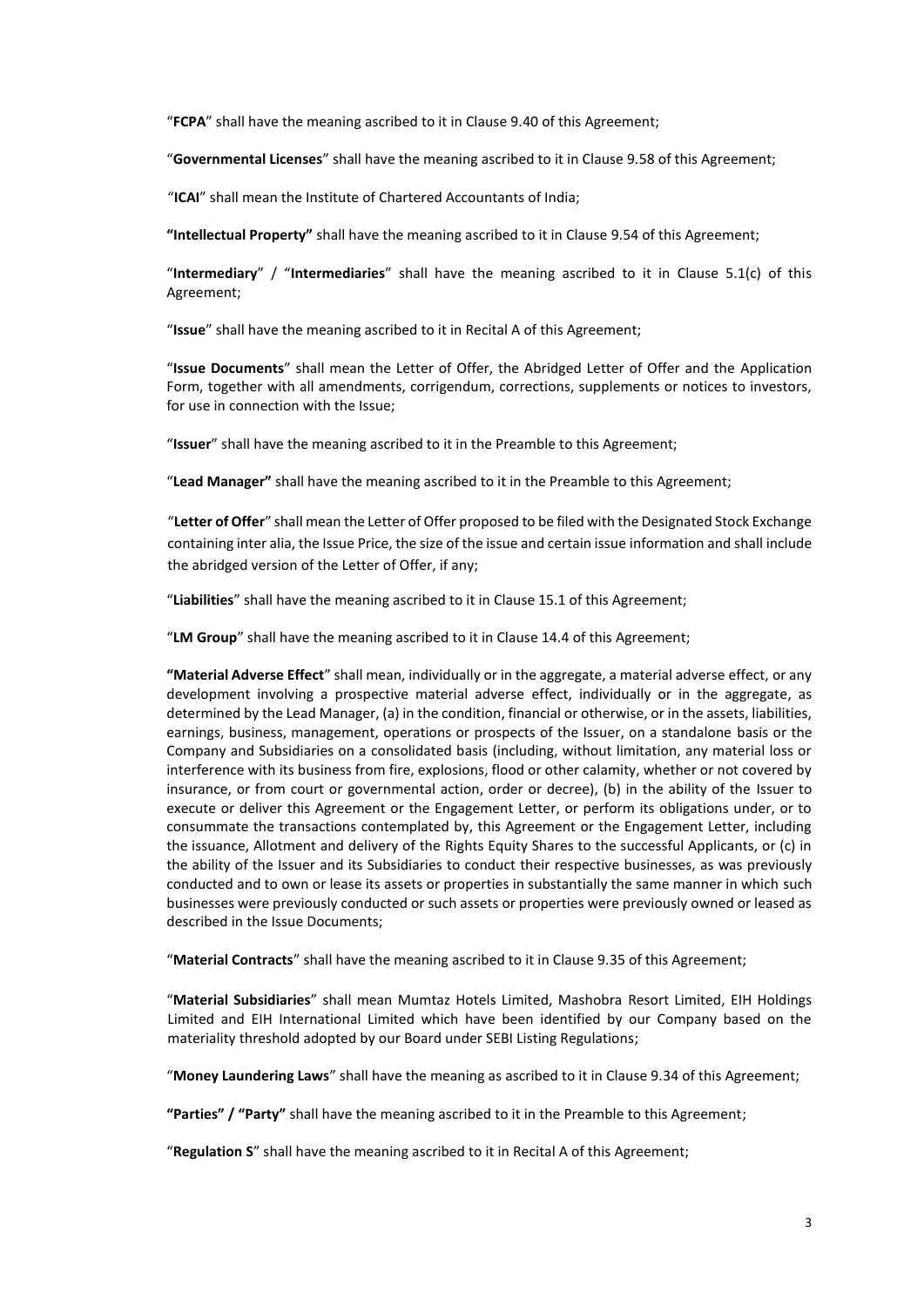"**FCPA**" shall have the meaning ascribed to it in Clause 9.40 of this Agreement;

"**Governmental Licenses**" shall have the meaning ascribed to it in Clause 9.58 of this Agreement;

"**ICAI**" shall mean the Institute of Chartered Accountants of India;

**"Intellectual Property"** shall have the meaning ascribed to it in Clause 9.54 of this Agreement;

"**Intermediary**" / "**Intermediaries**" shall have the meaning ascribed to it in Clause 5.1(c) of this Agreement;

"**Issue**" shall have the meaning ascribed to it in Recital A of this Agreement;

"**Issue Documents**" shall mean the Letter of Offer, the Abridged Letter of Offer and the Application Form, together with all amendments, corrigendum, corrections, supplements or notices to investors, for use in connection with the Issue;

"**Issuer**" shall have the meaning ascribed to it in the Preamble to this Agreement;

"**Lead Manager"** shall have the meaning ascribed to it in the Preamble to this Agreement;

"**Letter of Offer**" shall mean the Letter of Offer proposed to be filed with the Designated Stock Exchange containing inter alia, the Issue Price, the size of the issue and certain issue information and shall include the abridged version of the Letter of Offer, if any;

"**Liabilities**" shall have the meaning ascribed to it in Clause 15.1 of this Agreement;

"**LM Group**" shall have the meaning ascribed to it in Clause 14.4 of this Agreement;

**"Material Adverse Effect**" shall mean, individually or in the aggregate, a material adverse effect, or any development involving a prospective material adverse effect, individually or in the aggregate, as determined by the Lead Manager, (a) in the condition, financial or otherwise, or in the assets, liabilities, earnings, business, management, operations or prospects of the Issuer, on a standalone basis or the Company and Subsidiaries on a consolidated basis (including, without limitation, any material loss or interference with its business from fire, explosions, flood or other calamity, whether or not covered by insurance, or from court or governmental action, order or decree), (b) in the ability of the Issuer to execute or deliver this Agreement or the Engagement Letter, or perform its obligations under, or to consummate the transactions contemplated by, this Agreement or the Engagement Letter, including the issuance, Allotment and delivery of the Rights Equity Shares to the successful Applicants, or (c) in the ability of the Issuer and its Subsidiaries to conduct their respective businesses, as was previously conducted and to own or lease its assets or properties in substantially the same manner in which such businesses were previously conducted or such assets or properties were previously owned or leased as described in the Issue Documents;

"**Material Contracts**" shall have the meaning ascribed to it in Clause 9.35 of this Agreement;

"**Material Subsidiaries**" shall mean Mumtaz Hotels Limited, Mashobra Resort Limited, EIH Holdings Limited and EIH International Limited which have been identified by our Company based on the materiality threshold adopted by our Board under SEBI Listing Regulations;

"**Money Laundering Laws**" shall have the meaning as ascribed to it in Clause 9.34 of this Agreement;

**"Parties" / "Party"** shall have the meaning ascribed to it in the Preamble to this Agreement;

"**Regulation S**" shall have the meaning ascribed to it in Recital A of this Agreement;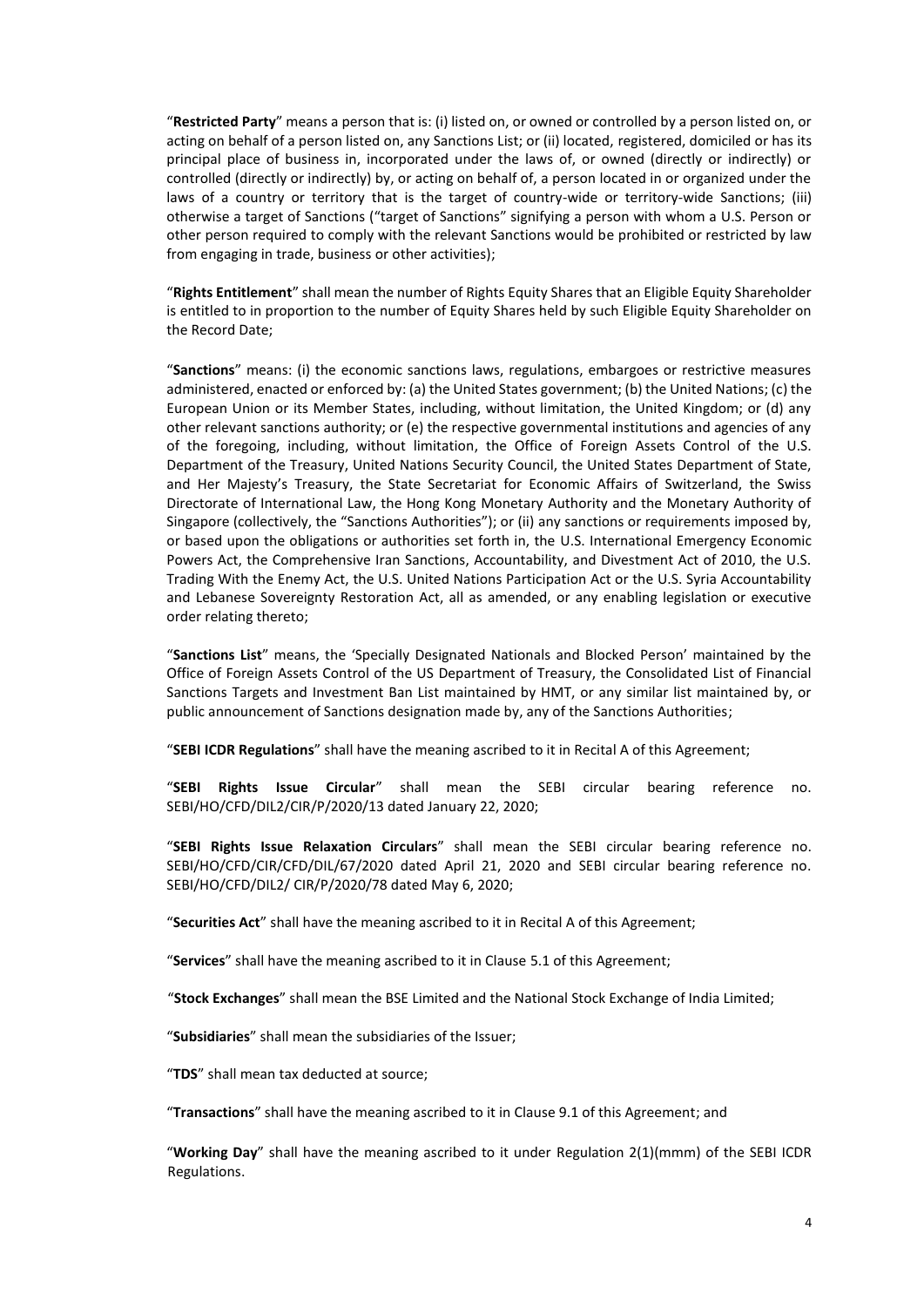"**Restricted Party**" means a person that is: (i) listed on, or owned or controlled by a person listed on, or acting on behalf of a person listed on, any Sanctions List; or (ii) located, registered, domiciled or has its principal place of business in, incorporated under the laws of, or owned (directly or indirectly) or controlled (directly or indirectly) by, or acting on behalf of, a person located in or organized under the laws of a country or territory that is the target of country-wide or territory-wide Sanctions; (iii) otherwise a target of Sanctions ("target of Sanctions" signifying a person with whom a U.S. Person or other person required to comply with the relevant Sanctions would be prohibited or restricted by law from engaging in trade, business or other activities);

"**Rights Entitlement**" shall mean the number of Rights Equity Shares that an Eligible Equity Shareholder is entitled to in proportion to the number of Equity Shares held by such Eligible Equity Shareholder on the Record Date;

"**Sanctions**" means: (i) the economic sanctions laws, regulations, embargoes or restrictive measures administered, enacted or enforced by: (a) the United States government; (b) the United Nations; (c) the European Union or its Member States, including, without limitation, the United Kingdom; or (d) any other relevant sanctions authority; or (e) the respective governmental institutions and agencies of any of the foregoing, including, without limitation, the Office of Foreign Assets Control of the U.S. Department of the Treasury, United Nations Security Council, the United States Department of State, and Her Majesty's Treasury, the State Secretariat for Economic Affairs of Switzerland, the Swiss Directorate of International Law, the Hong Kong Monetary Authority and the Monetary Authority of Singapore (collectively, the "Sanctions Authorities"); or (ii) any sanctions or requirements imposed by, or based upon the obligations or authorities set forth in, the U.S. International Emergency Economic Powers Act, the Comprehensive Iran Sanctions, Accountability, and Divestment Act of 2010, the U.S. Trading With the Enemy Act, the U.S. United Nations Participation Act or the U.S. Syria Accountability and Lebanese Sovereignty Restoration Act, all as amended, or any enabling legislation or executive order relating thereto;

"**Sanctions List**" means, the 'Specially Designated Nationals and Blocked Person' maintained by the Office of Foreign Assets Control of the US Department of Treasury, the Consolidated List of Financial Sanctions Targets and Investment Ban List maintained by HMT, or any similar list maintained by, or public announcement of Sanctions designation made by, any of the Sanctions Authorities;

"**SEBI ICDR Regulations**" shall have the meaning ascribed to it in Recital A of this Agreement;

"**SEBI Rights Issue Circular**" shall mean the SEBI circular bearing reference no. SEBI/HO/CFD/DIL2/CIR/P/2020/13 dated January 22, 2020;

"**SEBI Rights Issue Relaxation Circulars**" shall mean the SEBI circular bearing reference no. SEBI/HO/CFD/CIR/CFD/DIL/67/2020 dated April 21, 2020 and SEBI circular bearing reference no. SEBI/HO/CFD/DIL2/ CIR/P/2020/78 dated May 6, 2020;

"**Securities Act**" shall have the meaning ascribed to it in Recital A of this Agreement;

"**Services**" shall have the meaning ascribed to it in Clause 5.1 of this Agreement;

"**Stock Exchanges**" shall mean the BSE Limited and the National Stock Exchange of India Limited;

"**Subsidiaries**" shall mean the subsidiaries of the Issuer;

"**TDS**" shall mean tax deducted at source;

"**Transactions**" shall have the meaning ascribed to it in Clause 9.1 of this Agreement; and

"**Working Day**" shall have the meaning ascribed to it under Regulation 2(1)(mmm) of the SEBI ICDR Regulations.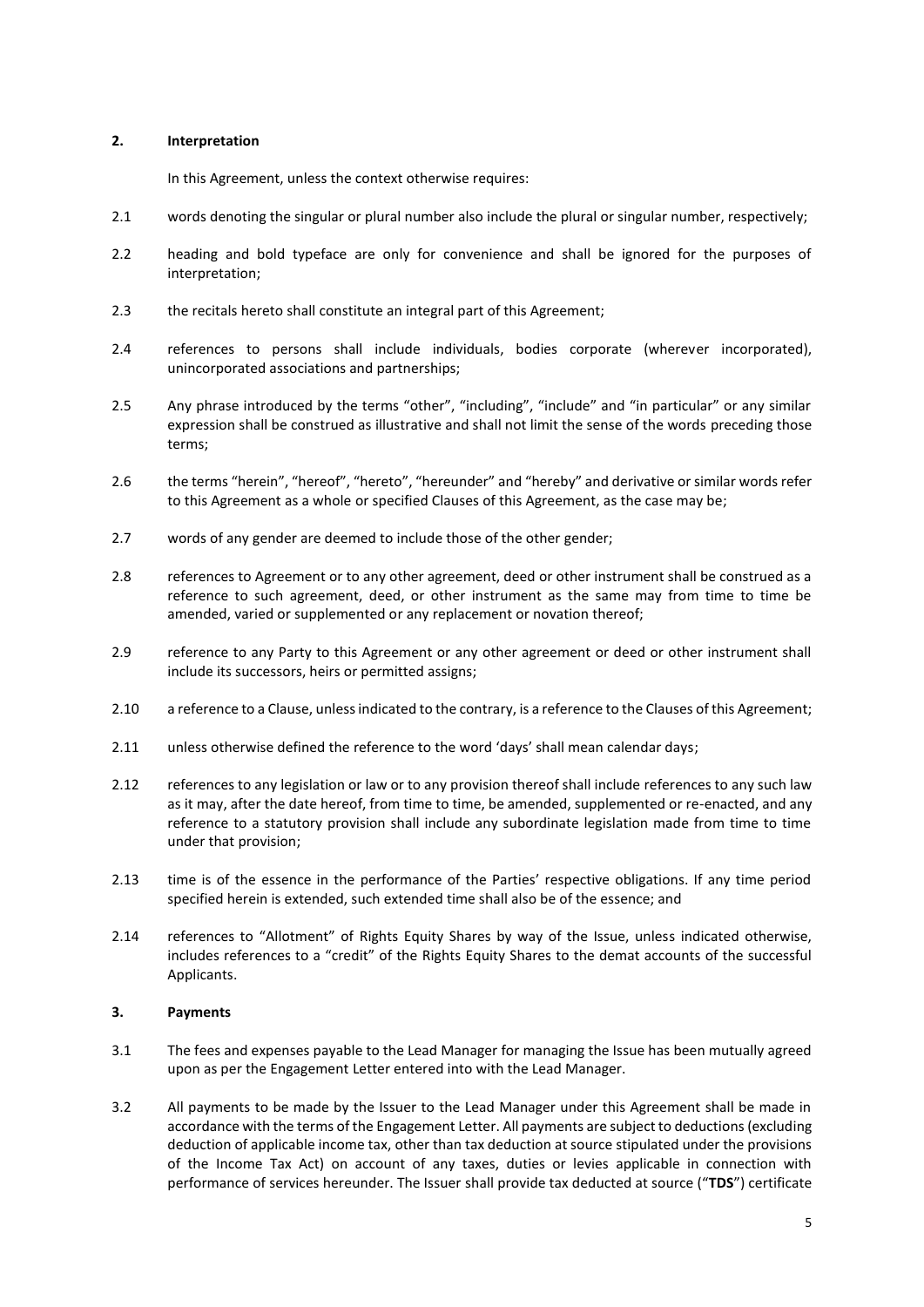#### <span id="page-8-0"></span>**2. Interpretation**

In this Agreement, unless the context otherwise requires:

- 2.1 words denoting the singular or plural number also include the plural or singular number, respectively;
- 2.2 heading and bold typeface are only for convenience and shall be ignored for the purposes of interpretation;
- 2.3 the recitals hereto shall constitute an integral part of this Agreement;
- 2.4 references to persons shall include individuals, bodies corporate (wherever incorporated), unincorporated associations and partnerships;
- 2.5 Any phrase introduced by the terms "other", "including", "include" and "in particular" or any similar expression shall be construed as illustrative and shall not limit the sense of the words preceding those terms;
- 2.6 the terms "herein", "hereof", "hereto", "hereunder" and "hereby" and derivative or similar words refer to this Agreement as a whole or specified Clauses of this Agreement, as the case may be;
- 2.7 words of any gender are deemed to include those of the other gender;
- 2.8 references to Agreement or to any other agreement, deed or other instrument shall be construed as a reference to such agreement, deed, or other instrument as the same may from time to time be amended, varied or supplemented or any replacement or novation thereof;
- 2.9 reference to any Party to this Agreement or any other agreement or deed or other instrument shall include its successors, heirs or permitted assigns;
- 2.10 a reference to a Clause, unless indicated to the contrary, is a reference to the Clauses of this Agreement;
- 2.11 unless otherwise defined the reference to the word 'days' shall mean calendar days;
- 2.12 references to any legislation or law or to any provision thereof shall include references to any such law as it may, after the date hereof, from time to time, be amended, supplemented or re-enacted, and any reference to a statutory provision shall include any subordinate legislation made from time to time under that provision;
- 2.13 time is of the essence in the performance of the Parties' respective obligations. If any time period specified herein is extended, such extended time shall also be of the essence; and
- 2.14 references to "Allotment" of Rights Equity Shares by way of the Issue, unless indicated otherwise, includes references to a "credit" of the Rights Equity Shares to the demat accounts of the successful Applicants.

#### <span id="page-8-1"></span>**3. Payments**

- 3.1 The fees and expenses payable to the Lead Manager for managing the Issue has been mutually agreed upon as per the Engagement Letter entered into with the Lead Manager.
- 3.2 All payments to be made by the Issuer to the Lead Manager under this Agreement shall be made in accordance with the terms of the Engagement Letter. All payments are subject to deductions (excluding deduction of applicable income tax, other than tax deduction at source stipulated under the provisions of the Income Tax Act) on account of any taxes, duties or levies applicable in connection with performance of services hereunder. The Issuer shall provide tax deducted at source ("**TDS**") certificate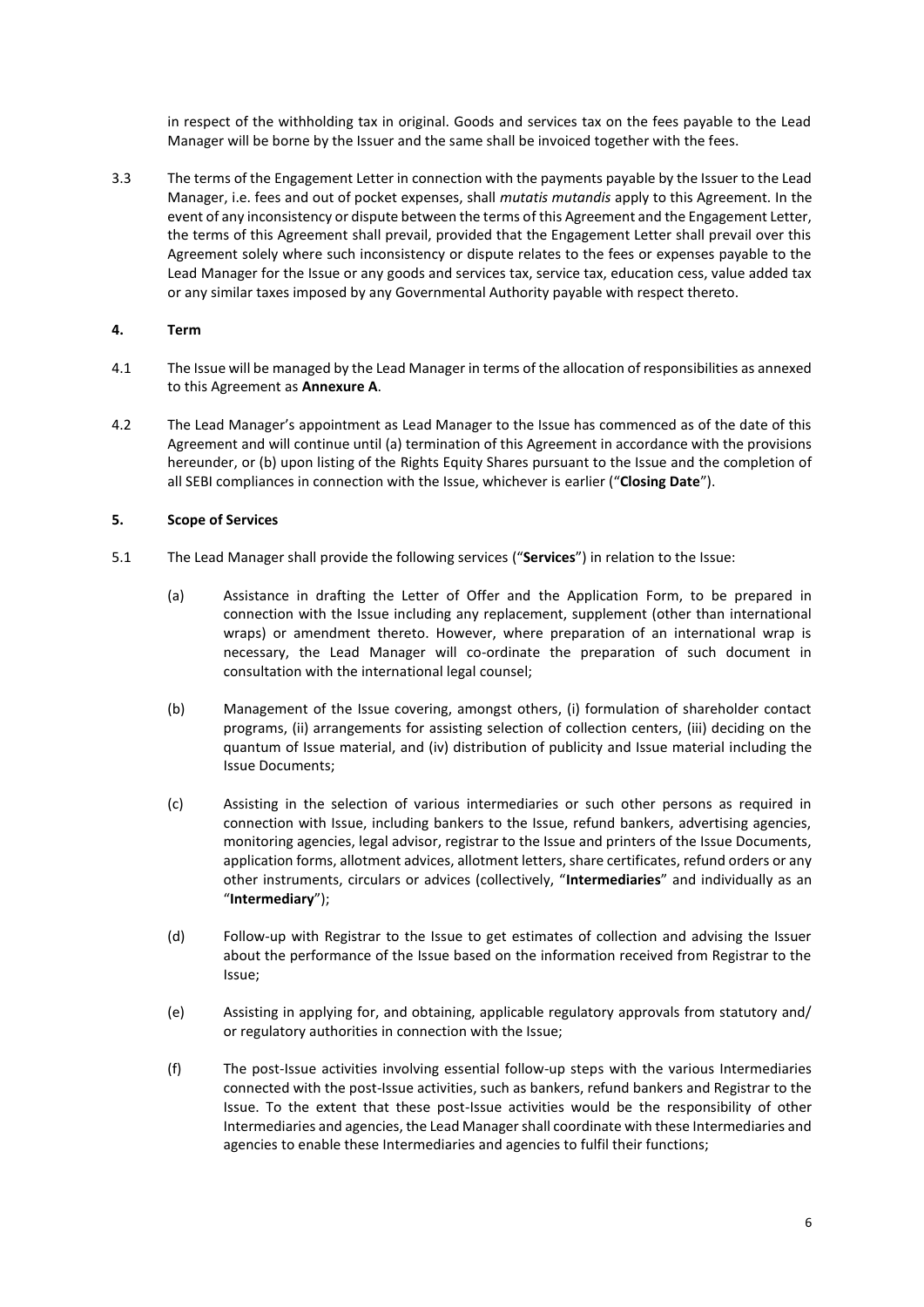in respect of the withholding tax in original. Goods and services tax on the fees payable to the Lead Manager will be borne by the Issuer and the same shall be invoiced together with the fees.

3.3 The terms of the Engagement Letter in connection with the payments payable by the Issuer to the Lead Manager, i.e. fees and out of pocket expenses, shall *mutatis mutandis* apply to this Agreement. In the event of any inconsistency or dispute between the terms of this Agreement and the Engagement Letter, the terms of this Agreement shall prevail, provided that the Engagement Letter shall prevail over this Agreement solely where such inconsistency or dispute relates to the fees or expenses payable to the Lead Manager for the Issue or any goods and services tax, service tax, education cess, value added tax or any similar taxes imposed by any Governmental Authority payable with respect thereto.

#### <span id="page-9-0"></span>**4. Term**

- 4.1 The Issue will be managed by the Lead Manager in terms of the allocation of responsibilities as annexed to this Agreement as **Annexure A**.
- 4.2 The Lead Manager's appointment as Lead Manager to the Issue has commenced as of the date of this Agreement and will continue until (a) termination of this Agreement in accordance with the provisions hereunder, or (b) upon listing of the Rights Equity Shares pursuant to the Issue and the completion of all SEBI compliances in connection with the Issue, whichever is earlier ("**Closing Date**").

#### <span id="page-9-1"></span>**5. Scope of Services**

- 5.1 The Lead Manager shall provide the following services ("**Services**") in relation to the Issue:
	- (a) Assistance in drafting the Letter of Offer and the Application Form, to be prepared in connection with the Issue including any replacement, supplement (other than international wraps) or amendment thereto. However, where preparation of an international wrap is necessary, the Lead Manager will co-ordinate the preparation of such document in consultation with the international legal counsel;
	- (b) Management of the Issue covering, amongst others, (i) formulation of shareholder contact programs, (ii) arrangements for assisting selection of collection centers, (iii) deciding on the quantum of Issue material, and (iv) distribution of publicity and Issue material including the Issue Documents;
	- (c) Assisting in the selection of various intermediaries or such other persons as required in connection with Issue, including bankers to the Issue, refund bankers, advertising agencies, monitoring agencies, legal advisor, registrar to the Issue and printers of the Issue Documents, application forms, allotment advices, allotment letters, share certificates, refund orders or any other instruments, circulars or advices (collectively, "**Intermediaries**" and individually as an "**Intermediary**");
	- (d) Follow-up with Registrar to the Issue to get estimates of collection and advising the Issuer about the performance of the Issue based on the information received from Registrar to the Issue;
	- (e) Assisting in applying for, and obtaining, applicable regulatory approvals from statutory and/ or regulatory authorities in connection with the Issue;
	- (f) The post-Issue activities involving essential follow-up steps with the various Intermediaries connected with the post-Issue activities, such as bankers, refund bankers and Registrar to the Issue. To the extent that these post-Issue activities would be the responsibility of other Intermediaries and agencies, the Lead Manager shall coordinate with these Intermediaries and agencies to enable these Intermediaries and agencies to fulfil their functions;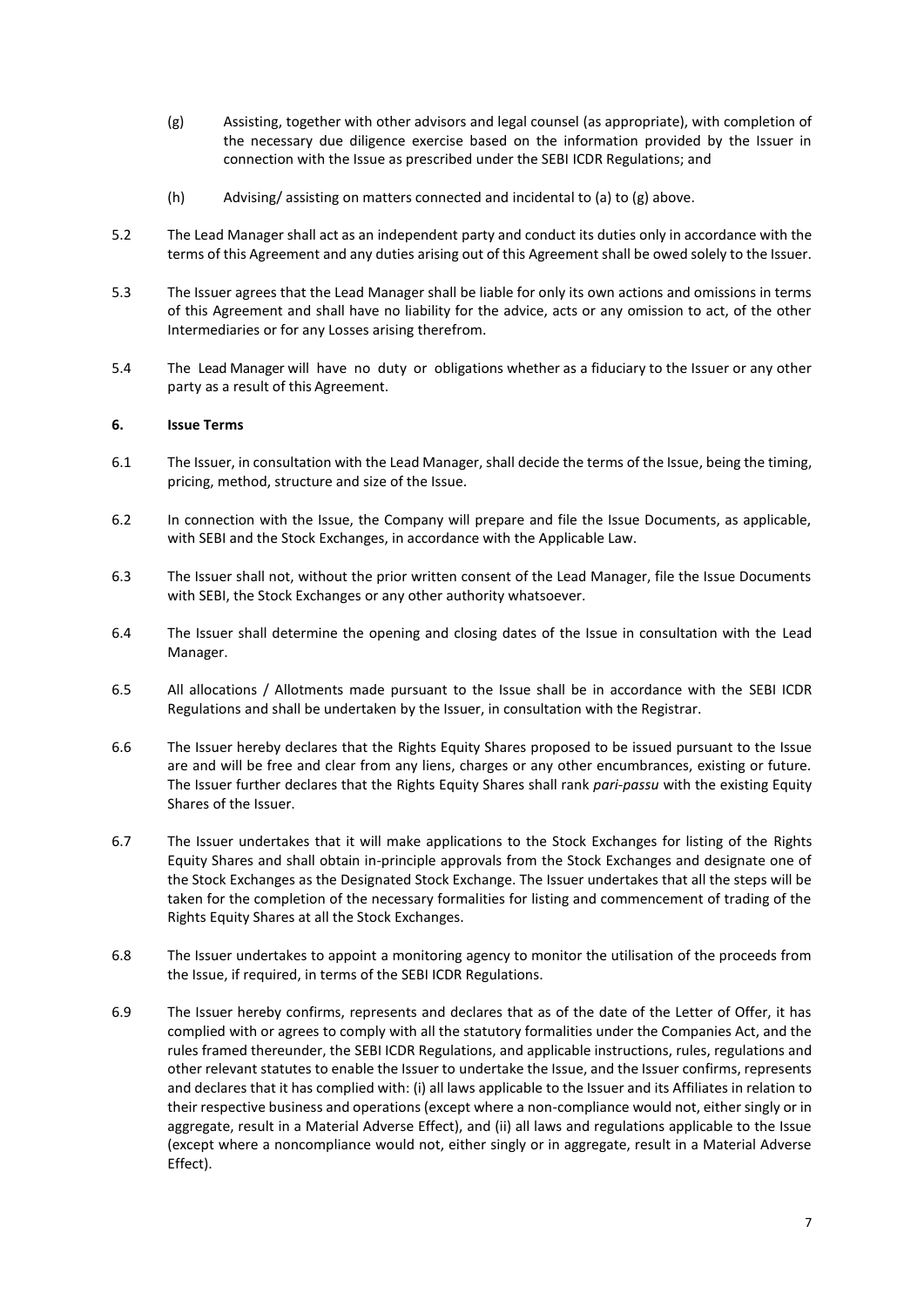- (g) Assisting, together with other advisors and legal counsel (as appropriate), with completion of the necessary due diligence exercise based on the information provided by the Issuer in connection with the Issue as prescribed under the SEBI ICDR Regulations; and
- (h) Advising/ assisting on matters connected and incidental to (a) to (g) above.
- 5.2 The Lead Manager shall act as an independent party and conduct its duties only in accordance with the terms of this Agreement and any duties arising out of this Agreement shall be owed solely to the Issuer.
- 5.3 The Issuer agrees that the Lead Manager shall be liable for only its own actions and omissions in terms of this Agreement and shall have no liability for the advice, acts or any omission to act, of the other Intermediaries or for any Losses arising therefrom.
- 5.4 The Lead Manager will have no duty or obligations whether as a fiduciary to the Issuer or any other party as a result of this Agreement.

#### <span id="page-10-0"></span>**6. Issue Terms**

- 6.1 The Issuer, in consultation with the Lead Manager, shall decide the terms of the Issue, being the timing, pricing, method, structure and size of the Issue.
- 6.2 In connection with the Issue, the Company will prepare and file the Issue Documents, as applicable, with SEBI and the Stock Exchanges, in accordance with the Applicable Law.
- 6.3 The Issuer shall not, without the prior written consent of the Lead Manager, file the Issue Documents with SEBI, the Stock Exchanges or any other authority whatsoever.
- 6.4 The Issuer shall determine the opening and closing dates of the Issue in consultation with the Lead Manager.
- 6.5 All allocations / Allotments made pursuant to the Issue shall be in accordance with the SEBI ICDR Regulations and shall be undertaken by the Issuer, in consultation with the Registrar.
- 6.6 The Issuer hereby declares that the Rights Equity Shares proposed to be issued pursuant to the Issue are and will be free and clear from any liens, charges or any other encumbrances, existing or future. The Issuer further declares that the Rights Equity Shares shall rank *pari-passu* with the existing Equity Shares of the Issuer.
- 6.7 The Issuer undertakes that it will make applications to the Stock Exchanges for listing of the Rights Equity Shares and shall obtain in-principle approvals from the Stock Exchanges and designate one of the Stock Exchanges as the Designated Stock Exchange. The Issuer undertakes that all the steps will be taken for the completion of the necessary formalities for listing and commencement of trading of the Rights Equity Shares at all the Stock Exchanges.
- 6.8 The Issuer undertakes to appoint a monitoring agency to monitor the utilisation of the proceeds from the Issue, if required, in terms of the SEBI ICDR Regulations.
- 6.9 The Issuer hereby confirms, represents and declares that as of the date of the Letter of Offer, it has complied with or agrees to comply with all the statutory formalities under the Companies Act, and the rules framed thereunder, the SEBI ICDR Regulations, and applicable instructions, rules, regulations and other relevant statutes to enable the Issuer to undertake the Issue, and the Issuer confirms, represents and declares that it has complied with: (i) all laws applicable to the Issuer and its Affiliates in relation to their respective business and operations (except where a non-compliance would not, either singly or in aggregate, result in a Material Adverse Effect), and (ii) all laws and regulations applicable to the Issue (except where a noncompliance would not, either singly or in aggregate, result in a Material Adverse Effect).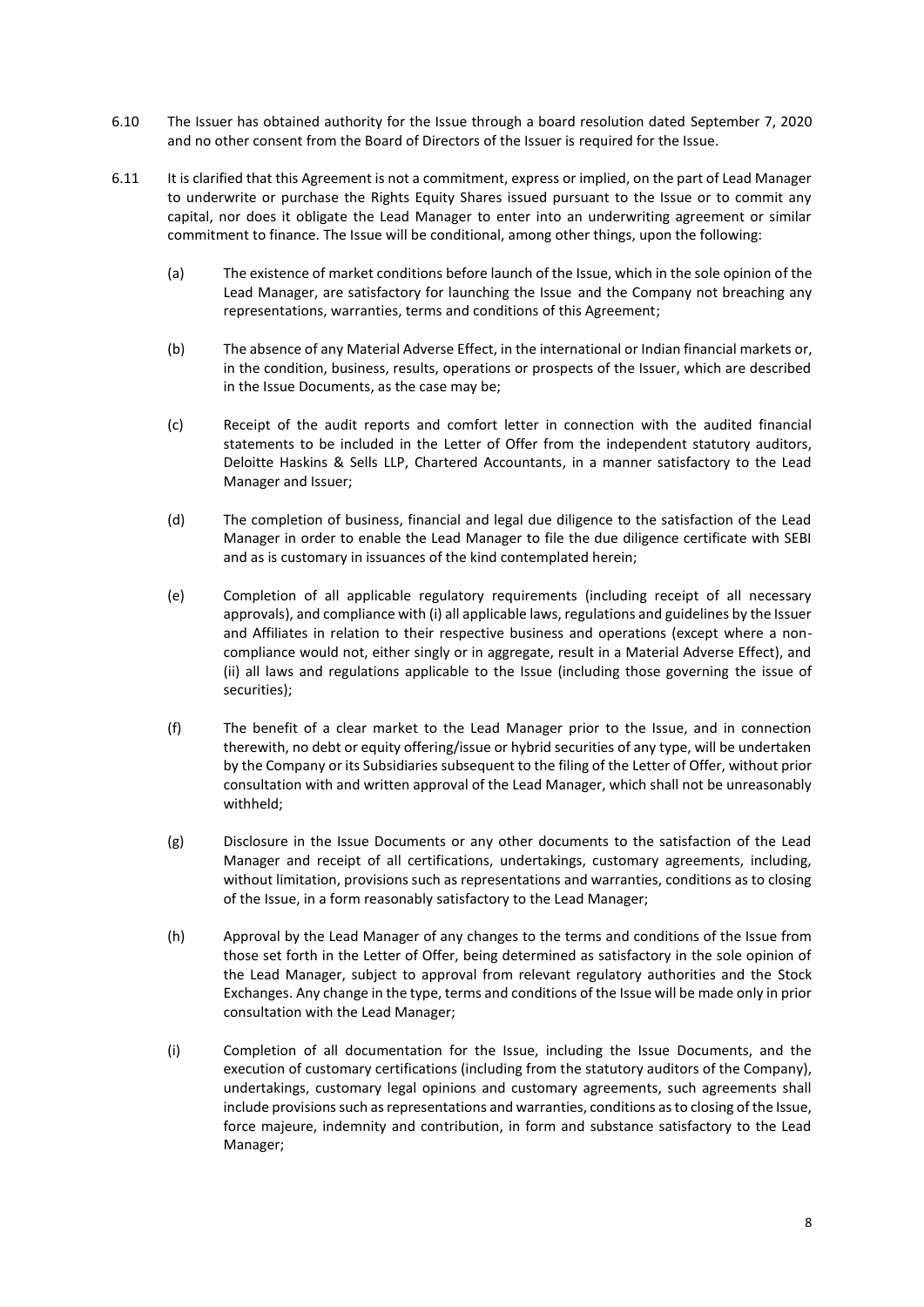- 6.10 The Issuer has obtained authority for the Issue through a board resolution dated September 7, 2020 and no other consent from the Board of Directors of the Issuer is required for the Issue.
- 6.11 It is clarified that this Agreement is not a commitment, express or implied, on the part of Lead Manager to underwrite or purchase the Rights Equity Shares issued pursuant to the Issue or to commit any capital, nor does it obligate the Lead Manager to enter into an underwriting agreement or similar commitment to finance. The Issue will be conditional, among other things, upon the following:
	- (a) The existence of market conditions before launch of the Issue, which in the sole opinion of the Lead Manager, are satisfactory for launching the Issue and the Company not breaching any representations, warranties, terms and conditions of this Agreement;
	- (b) The absence of any Material Adverse Effect, in the international or Indian financial markets or, in the condition, business, results, operations or prospects of the Issuer, which are described in the Issue Documents, as the case may be;
	- (c) Receipt of the audit reports and comfort letter in connection with the audited financial statements to be included in the Letter of Offer from the independent statutory auditors, Deloitte Haskins & Sells LLP, Chartered Accountants, in a manner satisfactory to the Lead Manager and Issuer;
	- (d) The completion of business, financial and legal due diligence to the satisfaction of the Lead Manager in order to enable the Lead Manager to file the due diligence certificate with SEBI and as is customary in issuances of the kind contemplated herein;
	- (e) Completion of all applicable regulatory requirements (including receipt of all necessary approvals), and compliance with (i) all applicable laws, regulations and guidelines by the Issuer and Affiliates in relation to their respective business and operations (except where a noncompliance would not, either singly or in aggregate, result in a Material Adverse Effect), and (ii) all laws and regulations applicable to the Issue (including those governing the issue of securities);
	- (f) The benefit of a clear market to the Lead Manager prior to the Issue, and in connection therewith, no debt or equity offering/issue or hybrid securities of any type, will be undertaken by the Company or its Subsidiaries subsequent to the filing of the Letter of Offer, without prior consultation with and written approval of the Lead Manager, which shall not be unreasonably withheld;
	- (g) Disclosure in the Issue Documents or any other documents to the satisfaction of the Lead Manager and receipt of all certifications, undertakings, customary agreements, including, without limitation, provisions such as representations and warranties, conditions as to closing of the Issue, in a form reasonably satisfactory to the Lead Manager;
	- (h) Approval by the Lead Manager of any changes to the terms and conditions of the Issue from those set forth in the Letter of Offer, being determined as satisfactory in the sole opinion of the Lead Manager, subject to approval from relevant regulatory authorities and the Stock Exchanges. Any change in the type, terms and conditions of the Issue will be made only in prior consultation with the Lead Manager;
	- (i) Completion of all documentation for the Issue, including the Issue Documents, and the execution of customary certifications (including from the statutory auditors of the Company), undertakings, customary legal opinions and customary agreements, such agreements shall include provisions such as representations and warranties, conditions as to closing of the Issue, force majeure, indemnity and contribution, in form and substance satisfactory to the Lead Manager;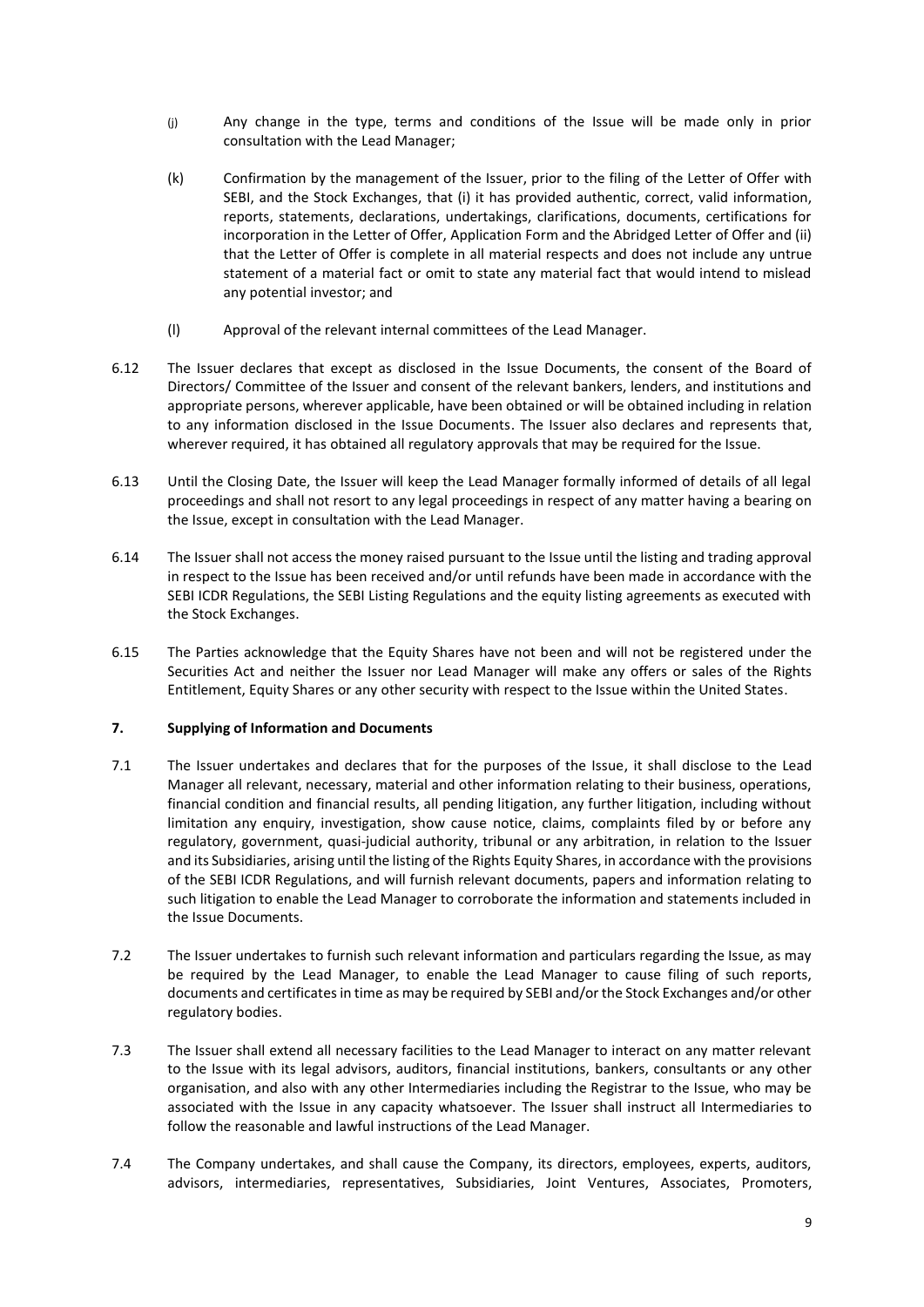- (j) Any change in the type, terms and conditions of the Issue will be made only in prior consultation with the Lead Manager;
- (k) Confirmation by the management of the Issuer, prior to the filing of the Letter of Offer with SEBI, and the Stock Exchanges, that (i) it has provided authentic, correct, valid information, reports, statements, declarations, undertakings, clarifications, documents, certifications for incorporation in the Letter of Offer, Application Form and the Abridged Letter of Offer and (ii) that the Letter of Offer is complete in all material respects and does not include any untrue statement of a material fact or omit to state any material fact that would intend to mislead any potential investor; and
- (l) Approval of the relevant internal committees of the Lead Manager.
- 6.12 The Issuer declares that except as disclosed in the Issue Documents, the consent of the Board of Directors/ Committee of the Issuer and consent of the relevant bankers, lenders, and institutions and appropriate persons, wherever applicable, have been obtained or will be obtained including in relation to any information disclosed in the Issue Documents. The Issuer also declares and represents that, wherever required, it has obtained all regulatory approvals that may be required for the Issue.
- 6.13 Until the Closing Date, the Issuer will keep the Lead Manager formally informed of details of all legal proceedings and shall not resort to any legal proceedings in respect of any matter having a bearing on the Issue, except in consultation with the Lead Manager.
- 6.14 The Issuer shall not access the money raised pursuant to the Issue until the listing and trading approval in respect to the Issue has been received and/or until refunds have been made in accordance with the SEBI ICDR Regulations, the SEBI Listing Regulations and the equity listing agreements as executed with the Stock Exchanges.
- 6.15 The Parties acknowledge that the Equity Shares have not been and will not be registered under the Securities Act and neither the Issuer nor Lead Manager will make any offers or sales of the Rights Entitlement, Equity Shares or any other security with respect to the Issue within the United States.

#### <span id="page-12-0"></span>**7. Supplying of Information and Documents**

- 7.1 The Issuer undertakes and declares that for the purposes of the Issue, it shall disclose to the Lead Manager all relevant, necessary, material and other information relating to their business, operations, financial condition and financial results, all pending litigation, any further litigation, including without limitation any enquiry, investigation, show cause notice, claims, complaints filed by or before any regulatory, government, quasi-judicial authority, tribunal or any arbitration, in relation to the Issuer and its Subsidiaries, arising until the listing of the Rights Equity Shares, in accordance with the provisions of the SEBI ICDR Regulations, and will furnish relevant documents, papers and information relating to such litigation to enable the Lead Manager to corroborate the information and statements included in the Issue Documents.
- 7.2 The Issuer undertakes to furnish such relevant information and particulars regarding the Issue, as may be required by the Lead Manager, to enable the Lead Manager to cause filing of such reports, documents and certificates in time as may be required by SEBI and/or the Stock Exchanges and/or other regulatory bodies.
- 7.3 The Issuer shall extend all necessary facilities to the Lead Manager to interact on any matter relevant to the Issue with its legal advisors, auditors, financial institutions, bankers, consultants or any other organisation, and also with any other Intermediaries including the Registrar to the Issue, who may be associated with the Issue in any capacity whatsoever. The Issuer shall instruct all Intermediaries to follow the reasonable and lawful instructions of the Lead Manager.
- 7.4 The Company undertakes, and shall cause the Company, its directors, employees, experts, auditors, advisors, intermediaries, representatives, Subsidiaries, Joint Ventures, Associates, Promoters,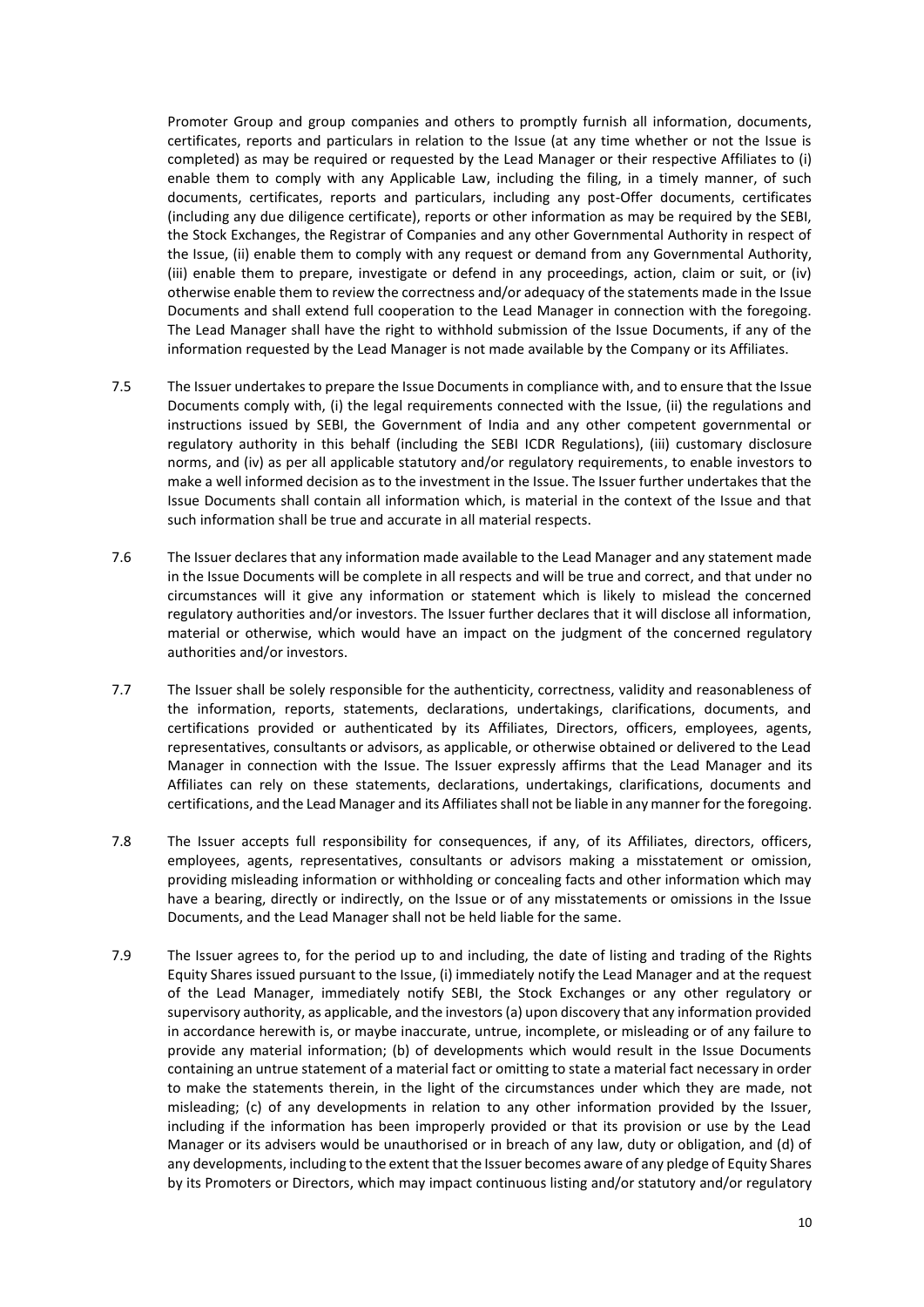Promoter Group and group companies and others to promptly furnish all information, documents, certificates, reports and particulars in relation to the Issue (at any time whether or not the Issue is completed) as may be required or requested by the Lead Manager or their respective Affiliates to (i) enable them to comply with any Applicable Law, including the filing, in a timely manner, of such documents, certificates, reports and particulars, including any post-Offer documents, certificates (including any due diligence certificate), reports or other information as may be required by the SEBI, the Stock Exchanges, the Registrar of Companies and any other Governmental Authority in respect of the Issue, (ii) enable them to comply with any request or demand from any Governmental Authority, (iii) enable them to prepare, investigate or defend in any proceedings, action, claim or suit, or (iv) otherwise enable them to review the correctness and/or adequacy of the statements made in the Issue Documents and shall extend full cooperation to the Lead Manager in connection with the foregoing. The Lead Manager shall have the right to withhold submission of the Issue Documents, if any of the information requested by the Lead Manager is not made available by the Company or its Affiliates.

- 7.5 The Issuer undertakes to prepare the Issue Documents in compliance with, and to ensure that the Issue Documents comply with, (i) the legal requirements connected with the Issue, (ii) the regulations and instructions issued by SEBI, the Government of India and any other competent governmental or regulatory authority in this behalf (including the SEBI ICDR Regulations), (iii) customary disclosure norms, and (iv) as per all applicable statutory and/or regulatory requirements, to enable investors to make a well informed decision as to the investment in the Issue. The Issuer further undertakes that the Issue Documents shall contain all information which, is material in the context of the Issue and that such information shall be true and accurate in all material respects.
- 7.6 The Issuer declares that any information made available to the Lead Manager and any statement made in the Issue Documents will be complete in all respects and will be true and correct, and that under no circumstances will it give any information or statement which is likely to mislead the concerned regulatory authorities and/or investors. The Issuer further declares that it will disclose all information, material or otherwise, which would have an impact on the judgment of the concerned regulatory authorities and/or investors.
- 7.7 The Issuer shall be solely responsible for the authenticity, correctness, validity and reasonableness of the information, reports, statements, declarations, undertakings, clarifications, documents, and certifications provided or authenticated by its Affiliates, Directors, officers, employees, agents, representatives, consultants or advisors, as applicable, or otherwise obtained or delivered to the Lead Manager in connection with the Issue. The Issuer expressly affirms that the Lead Manager and its Affiliates can rely on these statements, declarations, undertakings, clarifications, documents and certifications, and the Lead Manager and its Affiliates shall not be liable in any manner for the foregoing.
- 7.8 The Issuer accepts full responsibility for consequences, if any, of its Affiliates, directors, officers, employees, agents, representatives, consultants or advisors making a misstatement or omission, providing misleading information or withholding or concealing facts and other information which may have a bearing, directly or indirectly, on the Issue or of any misstatements or omissions in the Issue Documents, and the Lead Manager shall not be held liable for the same.
- 7.9 The Issuer agrees to, for the period up to and including, the date of listing and trading of the Rights Equity Shares issued pursuant to the Issue, (i) immediately notify the Lead Manager and at the request of the Lead Manager, immediately notify SEBI, the Stock Exchanges or any other regulatory or supervisory authority, as applicable, and the investors (a) upon discovery that any information provided in accordance herewith is, or maybe inaccurate, untrue, incomplete, or misleading or of any failure to provide any material information; (b) of developments which would result in the Issue Documents containing an untrue statement of a material fact or omitting to state a material fact necessary in order to make the statements therein, in the light of the circumstances under which they are made, not misleading; (c) of any developments in relation to any other information provided by the Issuer, including if the information has been improperly provided or that its provision or use by the Lead Manager or its advisers would be unauthorised or in breach of any law, duty or obligation, and (d) of any developments, including to the extent that the Issuer becomes aware of any pledge of Equity Shares by its Promoters or Directors, which may impact continuous listing and/or statutory and/or regulatory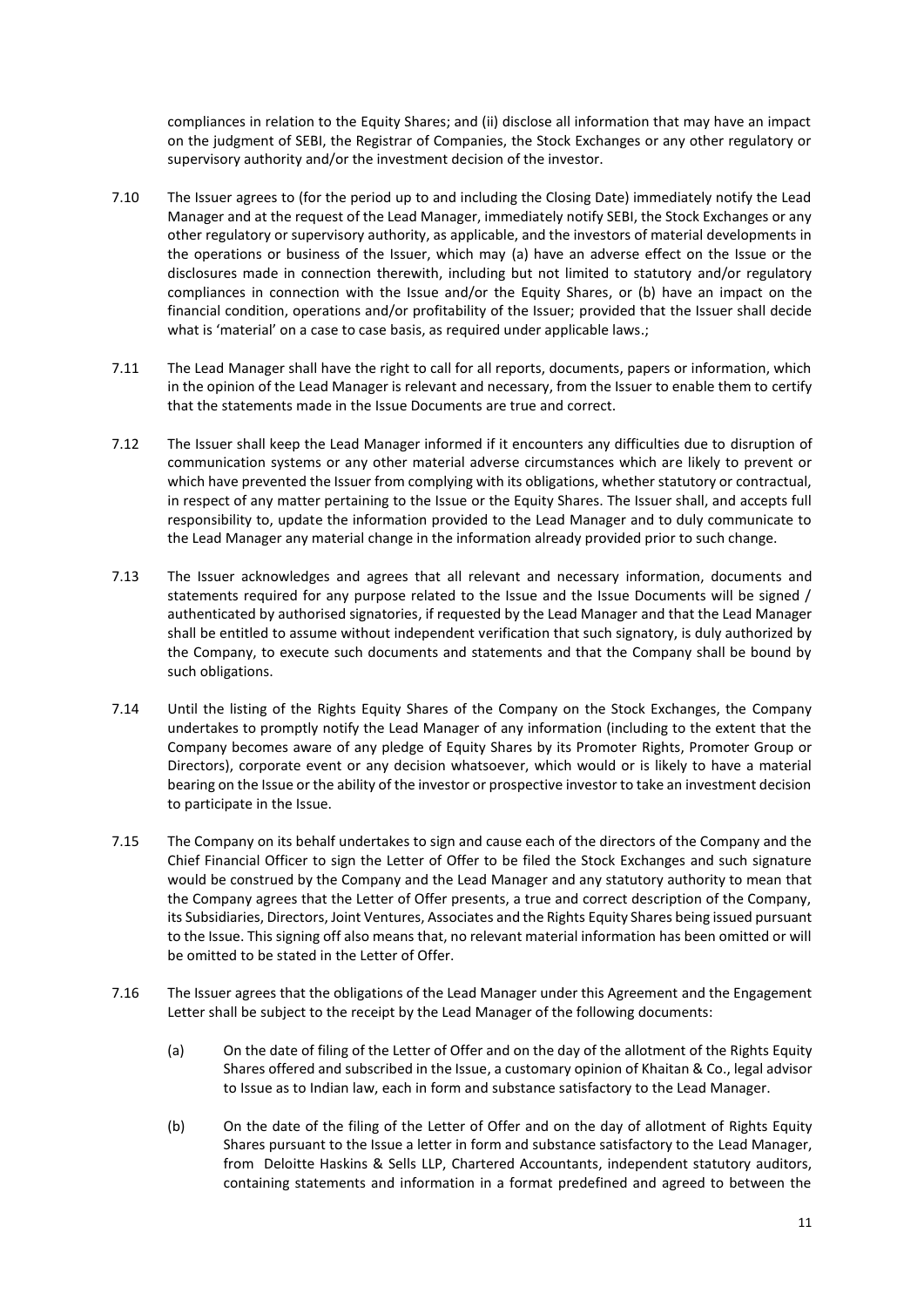compliances in relation to the Equity Shares; and (ii) disclose all information that may have an impact on the judgment of SEBI, the Registrar of Companies, the Stock Exchanges or any other regulatory or supervisory authority and/or the investment decision of the investor.

- 7.10 The Issuer agrees to (for the period up to and including the Closing Date) immediately notify the Lead Manager and at the request of the Lead Manager, immediately notify SEBI, the Stock Exchanges or any other regulatory or supervisory authority, as applicable, and the investors of material developments in the operations or business of the Issuer, which may (a) have an adverse effect on the Issue or the disclosures made in connection therewith, including but not limited to statutory and/or regulatory compliances in connection with the Issue and/or the Equity Shares, or (b) have an impact on the financial condition, operations and/or profitability of the Issuer; provided that the Issuer shall decide what is 'material' on a case to case basis, as required under applicable laws.;
- 7.11 The Lead Manager shall have the right to call for all reports, documents, papers or information, which in the opinion of the Lead Manager is relevant and necessary, from the Issuer to enable them to certify that the statements made in the Issue Documents are true and correct.
- 7.12 The Issuer shall keep the Lead Manager informed if it encounters any difficulties due to disruption of communication systems or any other material adverse circumstances which are likely to prevent or which have prevented the Issuer from complying with its obligations, whether statutory or contractual, in respect of any matter pertaining to the Issue or the Equity Shares. The Issuer shall, and accepts full responsibility to, update the information provided to the Lead Manager and to duly communicate to the Lead Manager any material change in the information already provided prior to such change.
- 7.13 The Issuer acknowledges and agrees that all relevant and necessary information, documents and statements required for any purpose related to the Issue and the Issue Documents will be signed / authenticated by authorised signatories, if requested by the Lead Manager and that the Lead Manager shall be entitled to assume without independent verification that such signatory, is duly authorized by the Company, to execute such documents and statements and that the Company shall be bound by such obligations.
- 7.14 Until the listing of the Rights Equity Shares of the Company on the Stock Exchanges, the Company undertakes to promptly notify the Lead Manager of any information (including to the extent that the Company becomes aware of any pledge of Equity Shares by its Promoter Rights, Promoter Group or Directors), corporate event or any decision whatsoever, which would or is likely to have a material bearing on the Issue or the ability of the investor or prospective investor to take an investment decision to participate in the Issue.
- 7.15 The Company on its behalf undertakes to sign and cause each of the directors of the Company and the Chief Financial Officer to sign the Letter of Offer to be filed the Stock Exchanges and such signature would be construed by the Company and the Lead Manager and any statutory authority to mean that the Company agrees that the Letter of Offer presents, a true and correct description of the Company, its Subsidiaries, Directors, Joint Ventures, Associates and the Rights Equity Shares being issued pursuant to the Issue. This signing off also means that, no relevant material information has been omitted or will be omitted to be stated in the Letter of Offer.
- 7.16 The Issuer agrees that the obligations of the Lead Manager under this Agreement and the Engagement Letter shall be subject to the receipt by the Lead Manager of the following documents:
	- (a) On the date of filing of the Letter of Offer and on the day of the allotment of the Rights Equity Shares offered and subscribed in the Issue, a customary opinion of Khaitan & Co., legal advisor to Issue as to Indian law, each in form and substance satisfactory to the Lead Manager.
	- (b) On the date of the filing of the Letter of Offer and on the day of allotment of Rights Equity Shares pursuant to the Issue a letter in form and substance satisfactory to the Lead Manager, from Deloitte Haskins & Sells LLP, Chartered Accountants, independent statutory auditors, containing statements and information in a format predefined and agreed to between the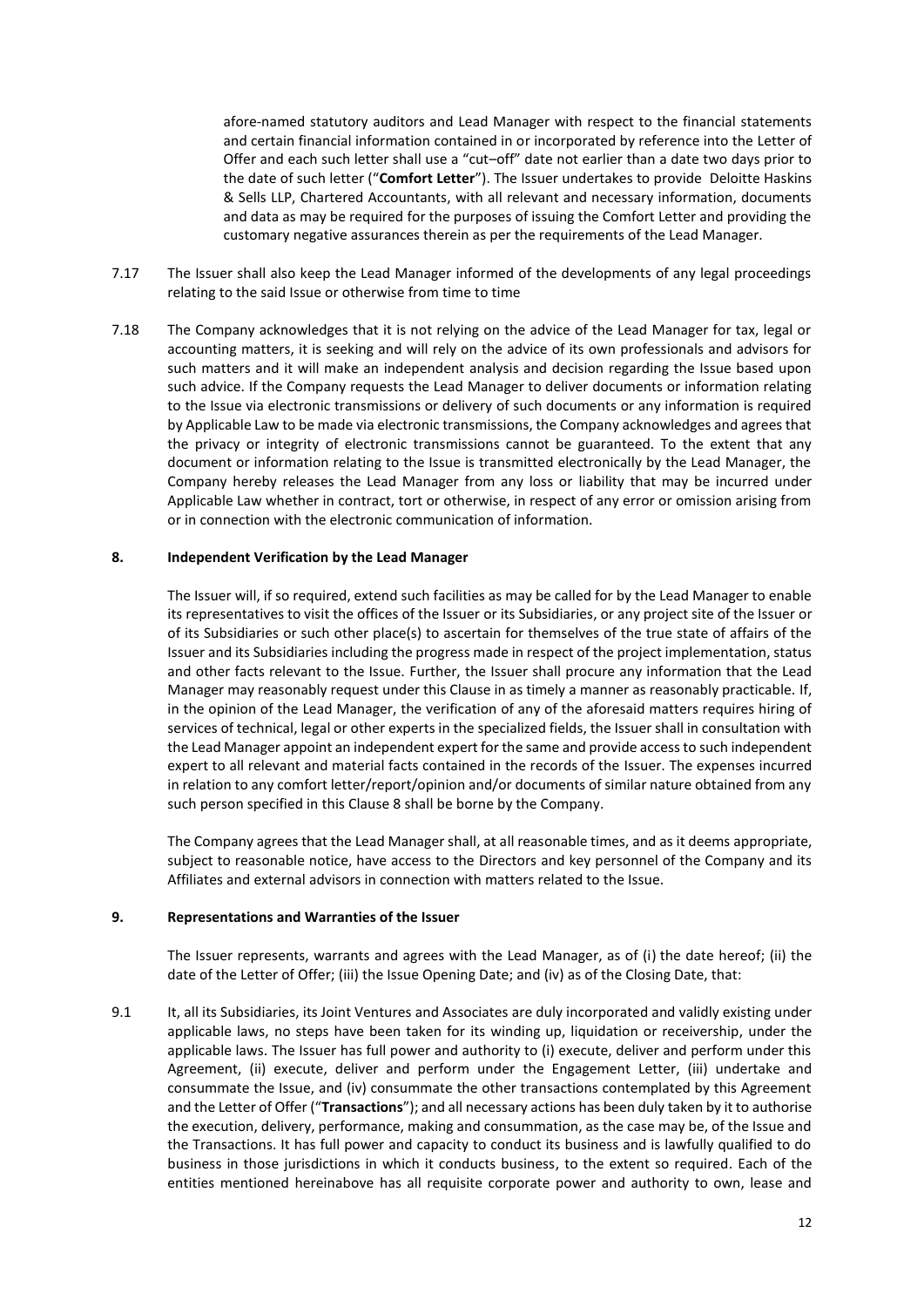afore-named statutory auditors and Lead Manager with respect to the financial statements and certain financial information contained in or incorporated by reference into the Letter of Offer and each such letter shall use a "cut–off" date not earlier than a date two days prior to the date of such letter ("**Comfort Letter**"). The Issuer undertakes to provide Deloitte Haskins & Sells LLP, Chartered Accountants, with all relevant and necessary information, documents and data as may be required for the purposes of issuing the Comfort Letter and providing the customary negative assurances therein as per the requirements of the Lead Manager.

- 7.17 The Issuer shall also keep the Lead Manager informed of the developments of any legal proceedings relating to the said Issue or otherwise from time to time
- 7.18 The Company acknowledges that it is not relying on the advice of the Lead Manager for tax, legal or accounting matters, it is seeking and will rely on the advice of its own professionals and advisors for such matters and it will make an independent analysis and decision regarding the Issue based upon such advice. If the Company requests the Lead Manager to deliver documents or information relating to the Issue via electronic transmissions or delivery of such documents or any information is required by Applicable Law to be made via electronic transmissions, the Company acknowledges and agrees that the privacy or integrity of electronic transmissions cannot be guaranteed. To the extent that any document or information relating to the Issue is transmitted electronically by the Lead Manager, the Company hereby releases the Lead Manager from any loss or liability that may be incurred under Applicable Law whether in contract, tort or otherwise, in respect of any error or omission arising from or in connection with the electronic communication of information.

#### <span id="page-15-0"></span>**8. Independent Verification by the Lead Manager**

The Issuer will, if so required, extend such facilities as may be called for by the Lead Manager to enable its representatives to visit the offices of the Issuer or its Subsidiaries, or any project site of the Issuer or of its Subsidiaries or such other place(s) to ascertain for themselves of the true state of affairs of the Issuer and its Subsidiaries including the progress made in respect of the project implementation, status and other facts relevant to the Issue. Further, the Issuer shall procure any information that the Lead Manager may reasonably request under this Clause in as timely a manner as reasonably practicable. If, in the opinion of the Lead Manager, the verification of any of the aforesaid matters requires hiring of services of technical, legal or other experts in the specialized fields, the Issuer shall in consultation with the Lead Manager appoint an independent expert for the same and provide access to such independent expert to all relevant and material facts contained in the records of the Issuer. The expenses incurred in relation to any comfort letter/report/opinion and/or documents of similar nature obtained from any such person specified in this Clause 8 shall be borne by the Company.

The Company agrees that the Lead Manager shall, at all reasonable times, and as it deems appropriate, subject to reasonable notice, have access to the Directors and key personnel of the Company and its Affiliates and external advisors in connection with matters related to the Issue.

#### <span id="page-15-1"></span>**9. Representations and Warranties of the Issuer**

The Issuer represents, warrants and agrees with the Lead Manager, as of (i) the date hereof; (ii) the date of the Letter of Offer; (iii) the Issue Opening Date; and (iv) as of the Closing Date, that:

9.1 It, all its Subsidiaries, its Joint Ventures and Associates are duly incorporated and validly existing under applicable laws, no steps have been taken for its winding up, liquidation or receivership, under the applicable laws. The Issuer has full power and authority to (i) execute, deliver and perform under this Agreement, (ii) execute, deliver and perform under the Engagement Letter, (iii) undertake and consummate the Issue, and (iv) consummate the other transactions contemplated by this Agreement and the Letter of Offer ("**Transactions**"); and all necessary actions has been duly taken by it to authorise the execution, delivery, performance, making and consummation, as the case may be, of the Issue and the Transactions. It has full power and capacity to conduct its business and is lawfully qualified to do business in those jurisdictions in which it conducts business, to the extent so required. Each of the entities mentioned hereinabove has all requisite corporate power and authority to own, lease and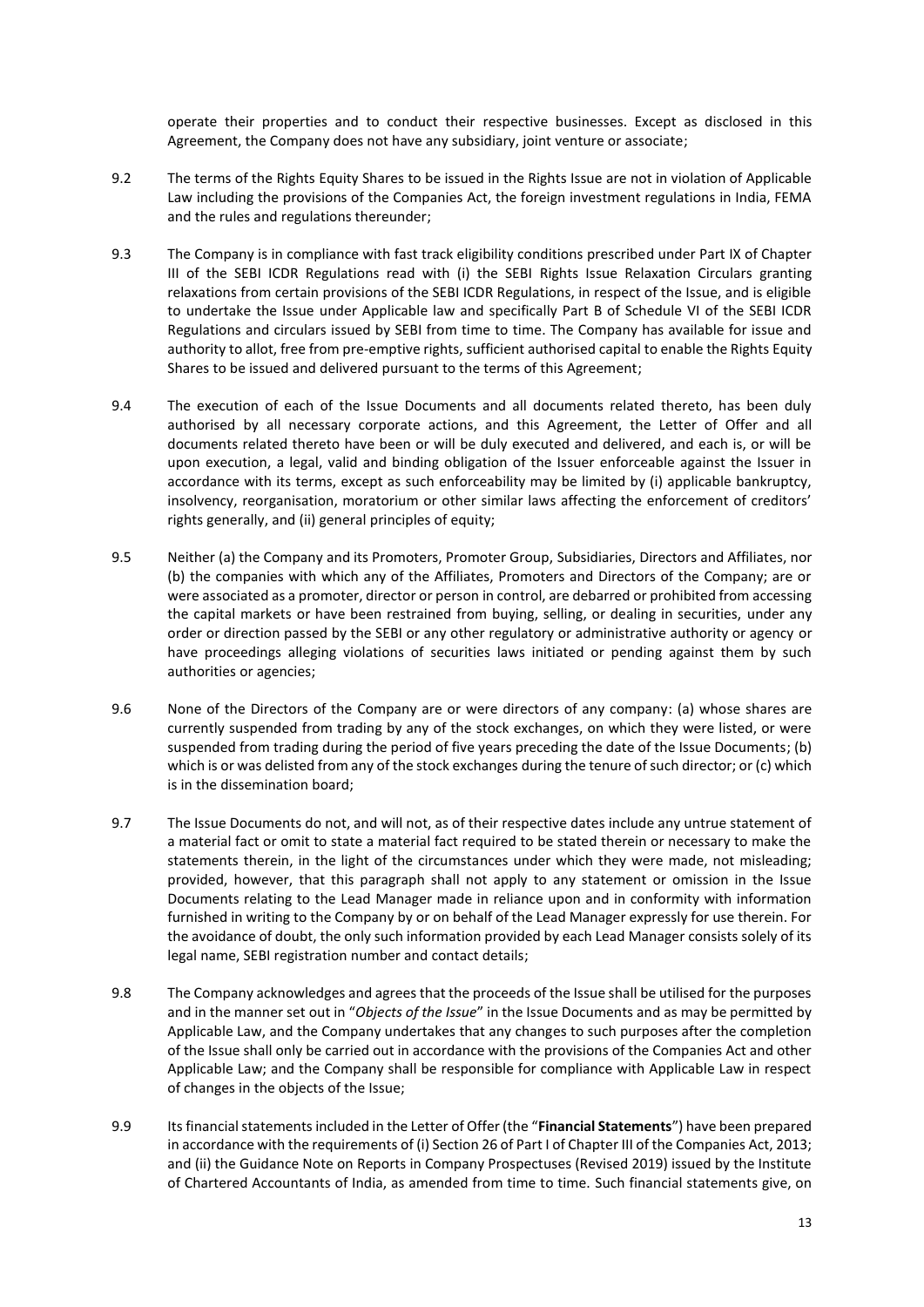operate their properties and to conduct their respective businesses. Except as disclosed in this Agreement, the Company does not have any subsidiary, joint venture or associate;

- 9.2 The terms of the Rights Equity Shares to be issued in the Rights Issue are not in violation of Applicable Law including the provisions of the Companies Act, the foreign investment regulations in India, FEMA and the rules and regulations thereunder;
- 9.3 The Company is in compliance with fast track eligibility conditions prescribed under Part IX of Chapter III of the SEBI ICDR Regulations read with (i) the SEBI Rights Issue Relaxation Circulars granting relaxations from certain provisions of the SEBI ICDR Regulations, in respect of the Issue, and is eligible to undertake the Issue under Applicable law and specifically Part B of Schedule VI of the SEBI ICDR Regulations and circulars issued by SEBI from time to time. The Company has available for issue and authority to allot, free from pre-emptive rights, sufficient authorised capital to enable the Rights Equity Shares to be issued and delivered pursuant to the terms of this Agreement;
- 9.4 The execution of each of the Issue Documents and all documents related thereto, has been duly authorised by all necessary corporate actions, and this Agreement, the Letter of Offer and all documents related thereto have been or will be duly executed and delivered, and each is, or will be upon execution, a legal, valid and binding obligation of the Issuer enforceable against the Issuer in accordance with its terms, except as such enforceability may be limited by (i) applicable bankruptcy, insolvency, reorganisation, moratorium or other similar laws affecting the enforcement of creditors' rights generally, and (ii) general principles of equity;
- 9.5 Neither (a) the Company and its Promoters, Promoter Group, Subsidiaries, Directors and Affiliates, nor (b) the companies with which any of the Affiliates, Promoters and Directors of the Company; are or were associated as a promoter, director or person in control, are debarred or prohibited from accessing the capital markets or have been restrained from buying, selling, or dealing in securities, under any order or direction passed by the SEBI or any other regulatory or administrative authority or agency or have proceedings alleging violations of securities laws initiated or pending against them by such authorities or agencies;
- 9.6 None of the Directors of the Company are or were directors of any company: (a) whose shares are currently suspended from trading by any of the stock exchanges, on which they were listed, or were suspended from trading during the period of five years preceding the date of the Issue Documents; (b) which is or was delisted from any of the stock exchanges during the tenure of such director; or (c) which is in the dissemination board;
- 9.7 The Issue Documents do not, and will not, as of their respective dates include any untrue statement of a material fact or omit to state a material fact required to be stated therein or necessary to make the statements therein, in the light of the circumstances under which they were made, not misleading; provided, however, that this paragraph shall not apply to any statement or omission in the Issue Documents relating to the Lead Manager made in reliance upon and in conformity with information furnished in writing to the Company by or on behalf of the Lead Manager expressly for use therein. For the avoidance of doubt, the only such information provided by each Lead Manager consists solely of its legal name, SEBI registration number and contact details;
- 9.8 The Company acknowledges and agrees that the proceeds of the Issue shall be utilised for the purposes and in the manner set out in "*Objects of the Issue*" in the Issue Documents and as may be permitted by Applicable Law, and the Company undertakes that any changes to such purposes after the completion of the Issue shall only be carried out in accordance with the provisions of the Companies Act and other Applicable Law; and the Company shall be responsible for compliance with Applicable Law in respect of changes in the objects of the Issue;
- 9.9 Its financial statements included in the Letter of Offer (the "**Financial Statements**") have been prepared in accordance with the requirements of (i) Section 26 of Part I of Chapter III of the Companies Act, 2013; and (ii) the Guidance Note on Reports in Company Prospectuses (Revised 2019) issued by the Institute of Chartered Accountants of India, as amended from time to time. Such financial statements give, on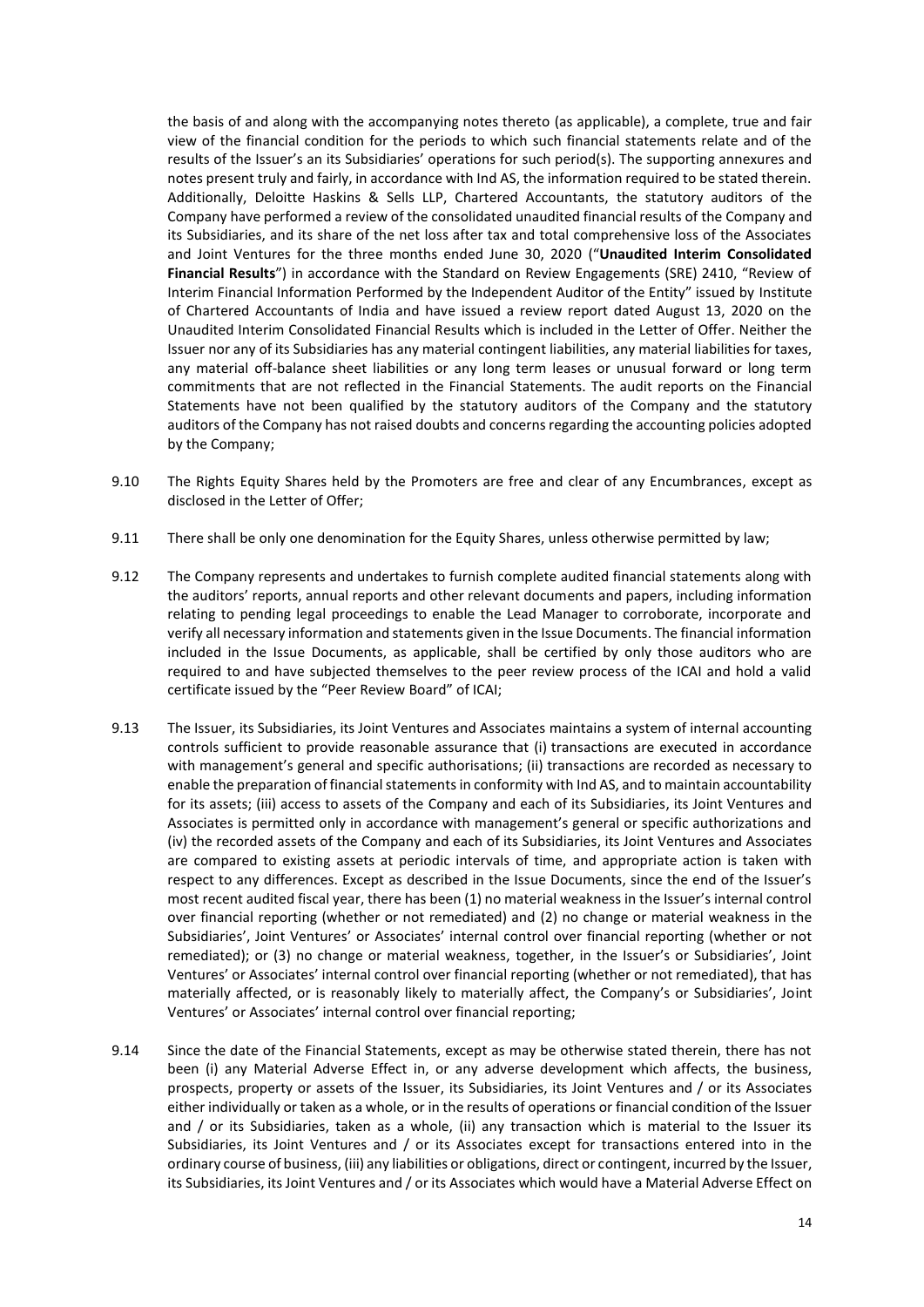the basis of and along with the accompanying notes thereto (as applicable), a complete, true and fair view of the financial condition for the periods to which such financial statements relate and of the results of the Issuer's an its Subsidiaries' operations for such period(s). The supporting annexures and notes present truly and fairly, in accordance with Ind AS, the information required to be stated therein. Additionally, Deloitte Haskins & Sells LLP, Chartered Accountants, the statutory auditors of the Company have performed a review of the consolidated unaudited financial results of the Company and its Subsidiaries, and its share of the net loss after tax and total comprehensive loss of the Associates and Joint Ventures for the three months ended June 30, 2020 ("**Unaudited Interim Consolidated Financial Results**") in accordance with the Standard on Review Engagements (SRE) 2410, "Review of Interim Financial Information Performed by the Independent Auditor of the Entity" issued by Institute of Chartered Accountants of India and have issued a review report dated August 13, 2020 on the Unaudited Interim Consolidated Financial Results which is included in the Letter of Offer. Neither the Issuer nor any of its Subsidiaries has any material contingent liabilities, any material liabilities for taxes, any material off-balance sheet liabilities or any long term leases or unusual forward or long term commitments that are not reflected in the Financial Statements. The audit reports on the Financial Statements have not been qualified by the statutory auditors of the Company and the statutory auditors of the Company has not raised doubts and concerns regarding the accounting policies adopted by the Company;

- 9.10 The Rights Equity Shares held by the Promoters are free and clear of any Encumbrances, except as disclosed in the Letter of Offer;
- 9.11 There shall be only one denomination for the Equity Shares, unless otherwise permitted by law;
- 9.12 The Company represents and undertakes to furnish complete audited financial statements along with the auditors' reports, annual reports and other relevant documents and papers, including information relating to pending legal proceedings to enable the Lead Manager to corroborate, incorporate and verify all necessary information and statements given in the Issue Documents. The financial information included in the Issue Documents, as applicable, shall be certified by only those auditors who are required to and have subjected themselves to the peer review process of the ICAI and hold a valid certificate issued by the "Peer Review Board" of ICAI;
- 9.13 The Issuer, its Subsidiaries, its Joint Ventures and Associates maintains a system of internal accounting controls sufficient to provide reasonable assurance that (i) transactions are executed in accordance with management's general and specific authorisations; (ii) transactions are recorded as necessary to enable the preparation of financial statements in conformity with Ind AS, and to maintain accountability for its assets; (iii) access to assets of the Company and each of its Subsidiaries, its Joint Ventures and Associates is permitted only in accordance with management's general or specific authorizations and (iv) the recorded assets of the Company and each of its Subsidiaries, its Joint Ventures and Associates are compared to existing assets at periodic intervals of time, and appropriate action is taken with respect to any differences. Except as described in the Issue Documents, since the end of the Issuer's most recent audited fiscal year, there has been (1) no material weakness in the Issuer's internal control over financial reporting (whether or not remediated) and (2) no change or material weakness in the Subsidiaries', Joint Ventures' or Associates' internal control over financial reporting (whether or not remediated); or (3) no change or material weakness, together, in the Issuer's or Subsidiaries', Joint Ventures' or Associates' internal control over financial reporting (whether or not remediated), that has materially affected, or is reasonably likely to materially affect, the Company's or Subsidiaries', Joint Ventures' or Associates' internal control over financial reporting;
- 9.14 Since the date of the Financial Statements, except as may be otherwise stated therein, there has not been (i) any Material Adverse Effect in, or any adverse development which affects, the business, prospects, property or assets of the Issuer, its Subsidiaries, its Joint Ventures and / or its Associates either individually or taken as a whole, or in the results of operations or financial condition of the Issuer and / or its Subsidiaries, taken as a whole, (ii) any transaction which is material to the Issuer its Subsidiaries, its Joint Ventures and / or its Associates except for transactions entered into in the ordinary course of business, (iii) any liabilities or obligations, direct or contingent, incurred by the Issuer, its Subsidiaries, its Joint Ventures and / or its Associates which would have a Material Adverse Effect on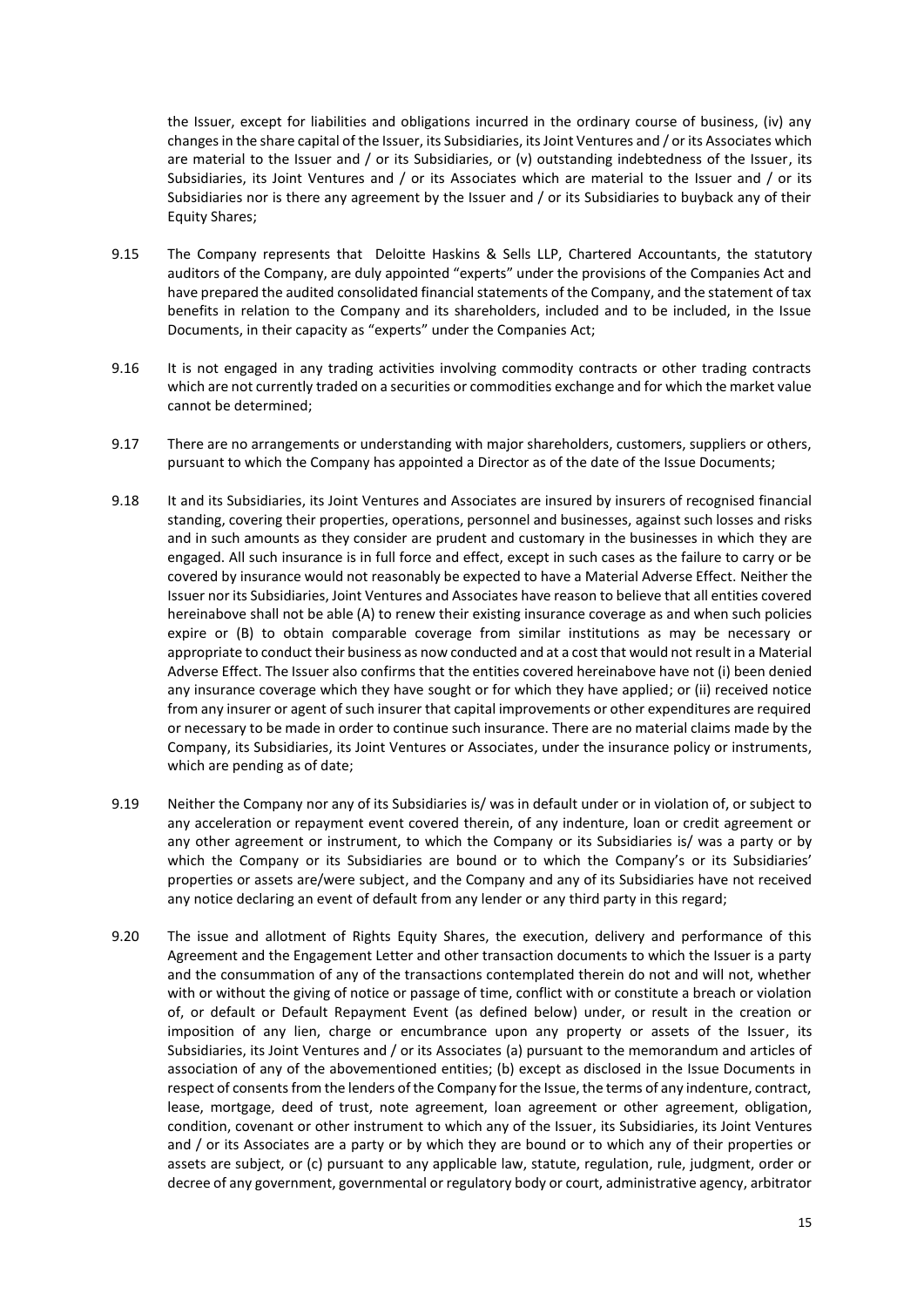the Issuer, except for liabilities and obligations incurred in the ordinary course of business, (iv) any changes in the share capital of the Issuer, its Subsidiaries, its Joint Ventures and / or its Associates which are material to the Issuer and / or its Subsidiaries, or (v) outstanding indebtedness of the Issuer, its Subsidiaries, its Joint Ventures and / or its Associates which are material to the Issuer and / or its Subsidiaries nor is there any agreement by the Issuer and / or its Subsidiaries to buyback any of their Equity Shares;

- 9.15 The Company represents that Deloitte Haskins & Sells LLP, Chartered Accountants, the statutory auditors of the Company, are duly appointed "experts" under the provisions of the Companies Act and have prepared the audited consolidated financial statements of the Company, and the statement of tax benefits in relation to the Company and its shareholders, included and to be included, in the Issue Documents, in their capacity as "experts" under the Companies Act;
- 9.16 It is not engaged in any trading activities involving commodity contracts or other trading contracts which are not currently traded on a securities or commodities exchange and for which the market value cannot be determined;
- 9.17 There are no arrangements or understanding with major shareholders, customers, suppliers or others, pursuant to which the Company has appointed a Director as of the date of the Issue Documents;
- 9.18 It and its Subsidiaries, its Joint Ventures and Associates are insured by insurers of recognised financial standing, covering their properties, operations, personnel and businesses, against such losses and risks and in such amounts as they consider are prudent and customary in the businesses in which they are engaged. All such insurance is in full force and effect, except in such cases as the failure to carry or be covered by insurance would not reasonably be expected to have a Material Adverse Effect. Neither the Issuer nor its Subsidiaries, Joint Ventures and Associates have reason to believe that all entities covered hereinabove shall not be able (A) to renew their existing insurance coverage as and when such policies expire or (B) to obtain comparable coverage from similar institutions as may be necessary or appropriate to conduct their business as now conducted and at a cost that would not result in a Material Adverse Effect. The Issuer also confirms that the entities covered hereinabove have not (i) been denied any insurance coverage which they have sought or for which they have applied; or (ii) received notice from any insurer or agent of such insurer that capital improvements or other expenditures are required or necessary to be made in order to continue such insurance. There are no material claims made by the Company, its Subsidiaries, its Joint Ventures or Associates, under the insurance policy or instruments, which are pending as of date;
- 9.19 Neither the Company nor any of its Subsidiaries is/ was in default under or in violation of, or subject to any acceleration or repayment event covered therein, of any indenture, loan or credit agreement or any other agreement or instrument, to which the Company or its Subsidiaries is/ was a party or by which the Company or its Subsidiaries are bound or to which the Company's or its Subsidiaries' properties or assets are/were subject, and the Company and any of its Subsidiaries have not received any notice declaring an event of default from any lender or any third party in this regard;
- 9.20 The issue and allotment of Rights Equity Shares, the execution, delivery and performance of this Agreement and the Engagement Letter and other transaction documents to which the Issuer is a party and the consummation of any of the transactions contemplated therein do not and will not, whether with or without the giving of notice or passage of time, conflict with or constitute a breach or violation of, or default or Default Repayment Event (as defined below) under, or result in the creation or imposition of any lien, charge or encumbrance upon any property or assets of the Issuer, its Subsidiaries, its Joint Ventures and / or its Associates (a) pursuant to the memorandum and articles of association of any of the abovementioned entities; (b) except as disclosed in the Issue Documents in respect of consents from the lenders of the Company for the Issue, the terms of any indenture, contract, lease, mortgage, deed of trust, note agreement, loan agreement or other agreement, obligation, condition, covenant or other instrument to which any of the Issuer, its Subsidiaries, its Joint Ventures and / or its Associates are a party or by which they are bound or to which any of their properties or assets are subject, or (c) pursuant to any applicable law, statute, regulation, rule, judgment, order or decree of any government, governmental or regulatory body or court, administrative agency, arbitrator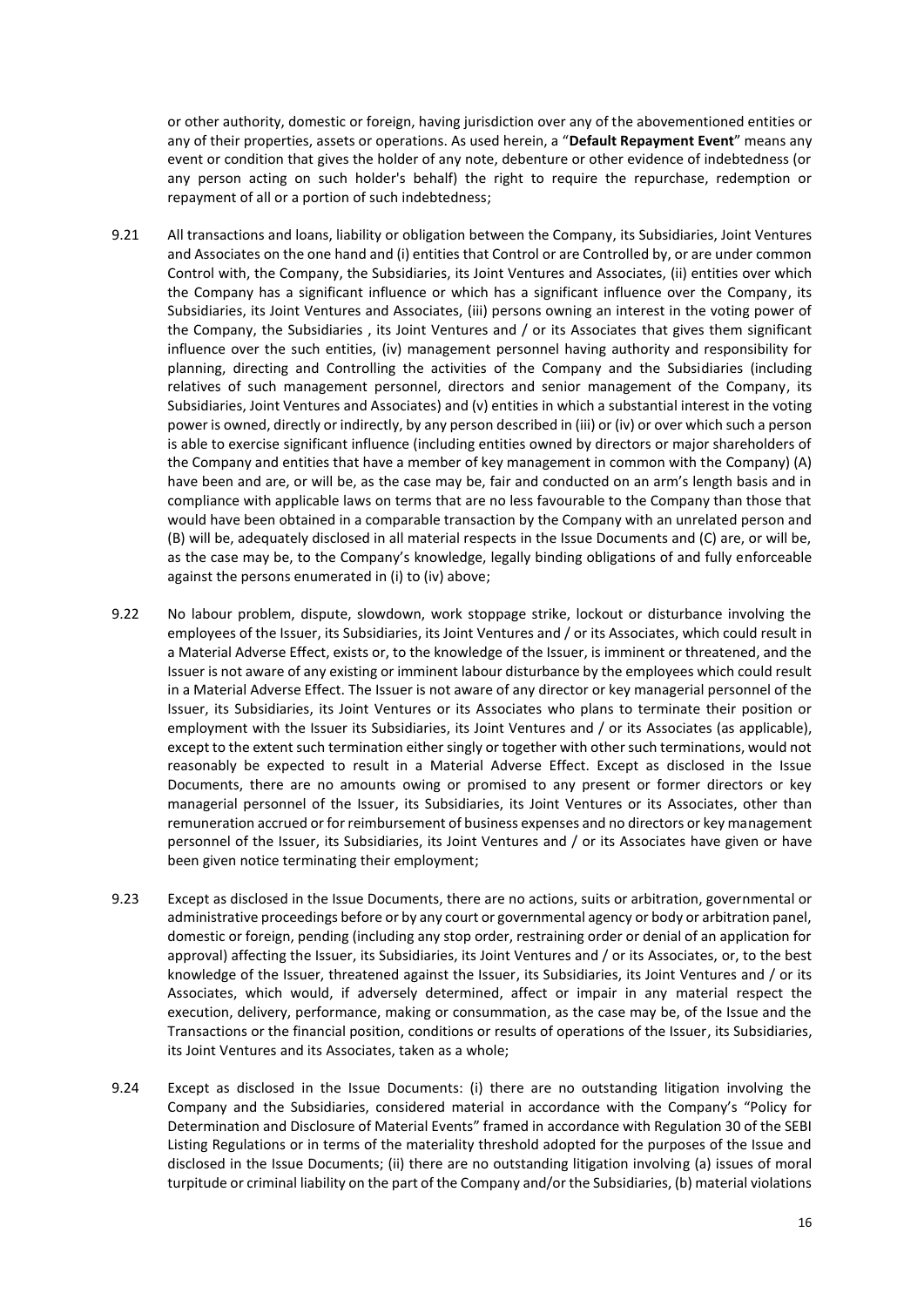or other authority, domestic or foreign, having jurisdiction over any of the abovementioned entities or any of their properties, assets or operations. As used herein, a "**Default Repayment Event**" means any event or condition that gives the holder of any note, debenture or other evidence of indebtedness (or any person acting on such holder's behalf) the right to require the repurchase, redemption or repayment of all or a portion of such indebtedness;

- 9.21 All transactions and loans, liability or obligation between the Company, its Subsidiaries, Joint Ventures and Associates on the one hand and (i) entities that Control or are Controlled by, or are under common Control with, the Company, the Subsidiaries, its Joint Ventures and Associates, (ii) entities over which the Company has a significant influence or which has a significant influence over the Company, its Subsidiaries, its Joint Ventures and Associates, (iii) persons owning an interest in the voting power of the Company, the Subsidiaries , its Joint Ventures and / or its Associates that gives them significant influence over the such entities, (iv) management personnel having authority and responsibility for planning, directing and Controlling the activities of the Company and the Subsidiaries (including relatives of such management personnel, directors and senior management of the Company, its Subsidiaries, Joint Ventures and Associates) and (v) entities in which a substantial interest in the voting power is owned, directly or indirectly, by any person described in (iii) or (iv) or over which such a person is able to exercise significant influence (including entities owned by directors or major shareholders of the Company and entities that have a member of key management in common with the Company) (A) have been and are, or will be, as the case may be, fair and conducted on an arm's length basis and in compliance with applicable laws on terms that are no less favourable to the Company than those that would have been obtained in a comparable transaction by the Company with an unrelated person and (B) will be, adequately disclosed in all material respects in the Issue Documents and (C) are, or will be, as the case may be, to the Company's knowledge, legally binding obligations of and fully enforceable against the persons enumerated in (i) to (iv) above;
- 9.22 No labour problem, dispute, slowdown, work stoppage strike, lockout or disturbance involving the employees of the Issuer, its Subsidiaries, its Joint Ventures and / or its Associates, which could result in a Material Adverse Effect, exists or, to the knowledge of the Issuer, is imminent or threatened, and the Issuer is not aware of any existing or imminent labour disturbance by the employees which could result in a Material Adverse Effect. The Issuer is not aware of any director or key managerial personnel of the Issuer, its Subsidiaries, its Joint Ventures or its Associates who plans to terminate their position or employment with the Issuer its Subsidiaries, its Joint Ventures and / or its Associates (as applicable), except to the extent such termination either singly or together with other such terminations, would not reasonably be expected to result in a Material Adverse Effect. Except as disclosed in the Issue Documents, there are no amounts owing or promised to any present or former directors or key managerial personnel of the Issuer, its Subsidiaries, its Joint Ventures or its Associates, other than remuneration accrued or for reimbursement of business expenses and no directors or key management personnel of the Issuer, its Subsidiaries, its Joint Ventures and / or its Associates have given or have been given notice terminating their employment;
- 9.23 Except as disclosed in the Issue Documents, there are no actions, suits or arbitration, governmental or administrative proceedings before or by any court or governmental agency or body or arbitration panel, domestic or foreign, pending (including any stop order, restraining order or denial of an application for approval) affecting the Issuer, its Subsidiaries, its Joint Ventures and / or its Associates, or, to the best knowledge of the Issuer, threatened against the Issuer, its Subsidiaries, its Joint Ventures and / or its Associates, which would, if adversely determined, affect or impair in any material respect the execution, delivery, performance, making or consummation, as the case may be, of the Issue and the Transactions or the financial position, conditions or results of operations of the Issuer, its Subsidiaries, its Joint Ventures and its Associates, taken as a whole;
- 9.24 Except as disclosed in the Issue Documents: (i) there are no outstanding litigation involving the Company and the Subsidiaries, considered material in accordance with the Company's "Policy for Determination and Disclosure of Material Events" framed in accordance with Regulation 30 of the SEBI Listing Regulations or in terms of the materiality threshold adopted for the purposes of the Issue and disclosed in the Issue Documents; (ii) there are no outstanding litigation involving (a) issues of moral turpitude or criminal liability on the part of the Company and/or the Subsidiaries, (b) material violations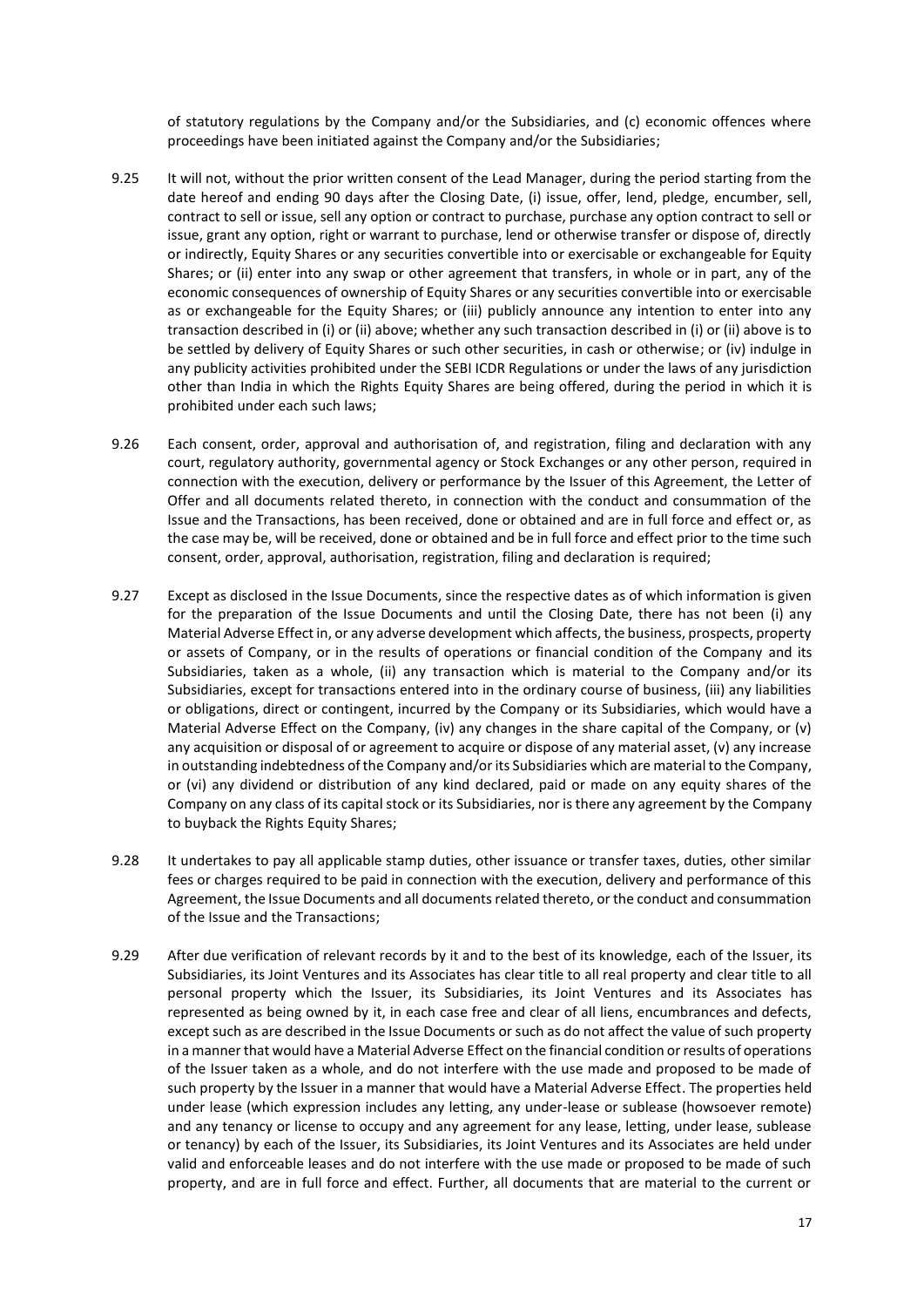of statutory regulations by the Company and/or the Subsidiaries, and (c) economic offences where proceedings have been initiated against the Company and/or the Subsidiaries;

- 9.25 It will not, without the prior written consent of the Lead Manager, during the period starting from the date hereof and ending 90 days after the Closing Date, (i) issue, offer, lend, pledge, encumber, sell, contract to sell or issue, sell any option or contract to purchase, purchase any option contract to sell or issue, grant any option, right or warrant to purchase, lend or otherwise transfer or dispose of, directly or indirectly, Equity Shares or any securities convertible into or exercisable or exchangeable for Equity Shares; or (ii) enter into any swap or other agreement that transfers, in whole or in part, any of the economic consequences of ownership of Equity Shares or any securities convertible into or exercisable as or exchangeable for the Equity Shares; or (iii) publicly announce any intention to enter into any transaction described in (i) or (ii) above; whether any such transaction described in (i) or (ii) above is to be settled by delivery of Equity Shares or such other securities, in cash or otherwise; or (iv) indulge in any publicity activities prohibited under the SEBI ICDR Regulations or under the laws of any jurisdiction other than India in which the Rights Equity Shares are being offered, during the period in which it is prohibited under each such laws;
- 9.26 Each consent, order, approval and authorisation of, and registration, filing and declaration with any court, regulatory authority, governmental agency or Stock Exchanges or any other person, required in connection with the execution, delivery or performance by the Issuer of this Agreement, the Letter of Offer and all documents related thereto, in connection with the conduct and consummation of the Issue and the Transactions, has been received, done or obtained and are in full force and effect or, as the case may be, will be received, done or obtained and be in full force and effect prior to the time such consent, order, approval, authorisation, registration, filing and declaration is required;
- 9.27 Except as disclosed in the Issue Documents, since the respective dates as of which information is given for the preparation of the Issue Documents and until the Closing Date, there has not been (i) any Material Adverse Effect in, or any adverse development which affects, the business, prospects, property or assets of Company, or in the results of operations or financial condition of the Company and its Subsidiaries, taken as a whole, (ii) any transaction which is material to the Company and/or its Subsidiaries, except for transactions entered into in the ordinary course of business, (iii) any liabilities or obligations, direct or contingent, incurred by the Company or its Subsidiaries, which would have a Material Adverse Effect on the Company, (iv) any changes in the share capital of the Company, or (v) any acquisition or disposal of or agreement to acquire or dispose of any material asset, (v) any increase in outstanding indebtedness of the Company and/or its Subsidiaries which are material to the Company, or (vi) any dividend or distribution of any kind declared, paid or made on any equity shares of the Company on any class of its capital stock or its Subsidiaries, nor is there any agreement by the Company to buyback the Rights Equity Shares;
- 9.28 It undertakes to pay all applicable stamp duties, other issuance or transfer taxes, duties, other similar fees or charges required to be paid in connection with the execution, delivery and performance of this Agreement, the Issue Documents and all documents related thereto, or the conduct and consummation of the Issue and the Transactions;
- 9.29 After due verification of relevant records by it and to the best of its knowledge, each of the Issuer, its Subsidiaries, its Joint Ventures and its Associates has clear title to all real property and clear title to all personal property which the Issuer, its Subsidiaries, its Joint Ventures and its Associates has represented as being owned by it, in each case free and clear of all liens, encumbrances and defects, except such as are described in the Issue Documents or such as do not affect the value of such property in a manner that would have a Material Adverse Effect on the financial condition or results of operations of the Issuer taken as a whole, and do not interfere with the use made and proposed to be made of such property by the Issuer in a manner that would have a Material Adverse Effect. The properties held under lease (which expression includes any letting, any under-lease or sublease (howsoever remote) and any tenancy or license to occupy and any agreement for any lease, letting, under lease, sublease or tenancy) by each of the Issuer, its Subsidiaries, its Joint Ventures and its Associates are held under valid and enforceable leases and do not interfere with the use made or proposed to be made of such property, and are in full force and effect. Further, all documents that are material to the current or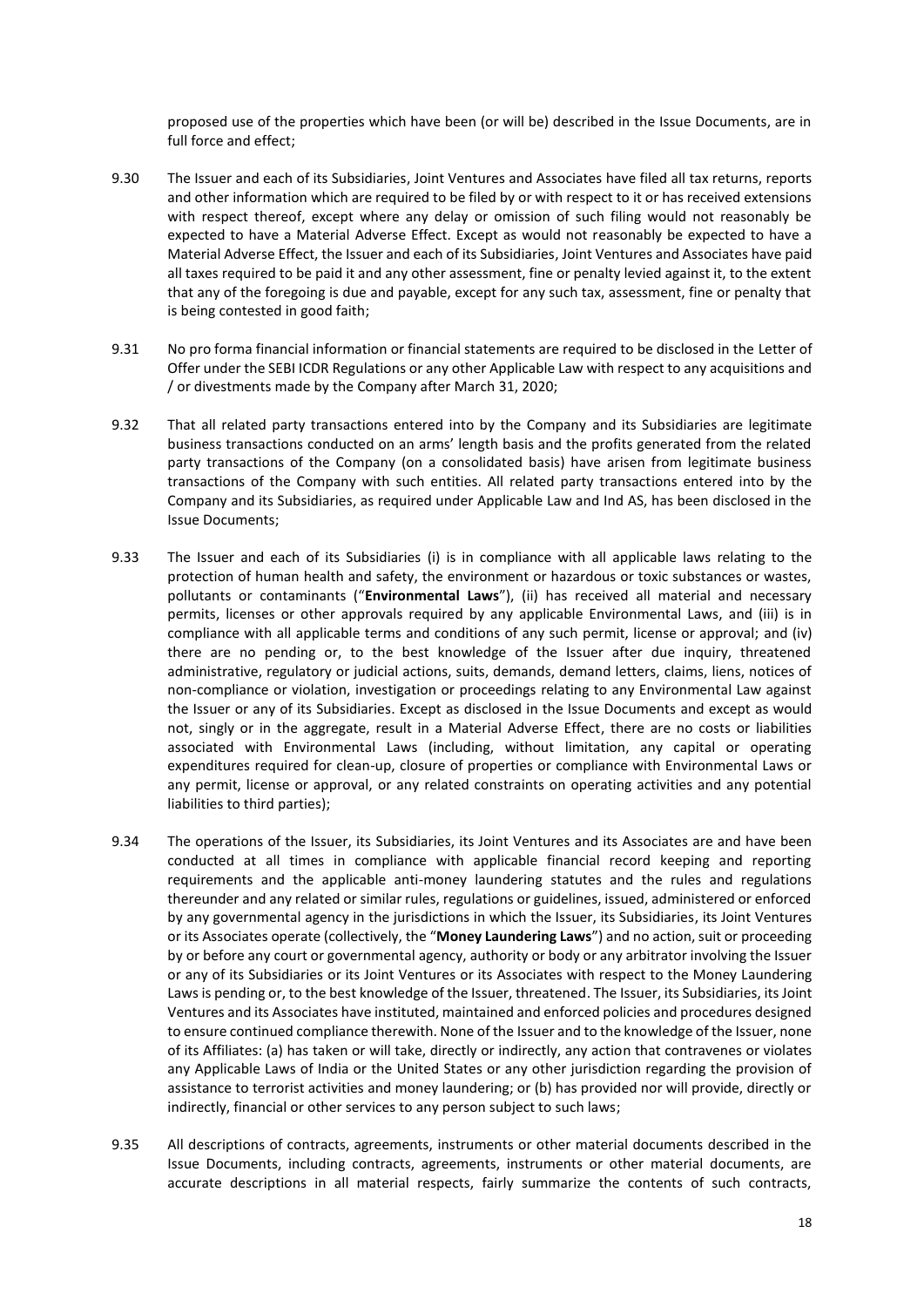proposed use of the properties which have been (or will be) described in the Issue Documents, are in full force and effect;

- 9.30 The Issuer and each of its Subsidiaries, Joint Ventures and Associates have filed all tax returns, reports and other information which are required to be filed by or with respect to it or has received extensions with respect thereof, except where any delay or omission of such filing would not reasonably be expected to have a Material Adverse Effect. Except as would not reasonably be expected to have a Material Adverse Effect, the Issuer and each of its Subsidiaries, Joint Ventures and Associates have paid all taxes required to be paid it and any other assessment, fine or penalty levied against it, to the extent that any of the foregoing is due and payable, except for any such tax, assessment, fine or penalty that is being contested in good faith;
- 9.31 No pro forma financial information or financial statements are required to be disclosed in the Letter of Offer under the SEBI ICDR Regulations or any other Applicable Law with respect to any acquisitions and / or divestments made by the Company after March 31, 2020;
- 9.32 That all related party transactions entered into by the Company and its Subsidiaries are legitimate business transactions conducted on an arms' length basis and the profits generated from the related party transactions of the Company (on a consolidated basis) have arisen from legitimate business transactions of the Company with such entities. All related party transactions entered into by the Company and its Subsidiaries, as required under Applicable Law and Ind AS, has been disclosed in the Issue Documents;
- 9.33 The Issuer and each of its Subsidiaries (i) is in compliance with all applicable laws relating to the protection of human health and safety, the environment or hazardous or toxic substances or wastes, pollutants or contaminants ("**Environmental Laws**"), (ii) has received all material and necessary permits, licenses or other approvals required by any applicable Environmental Laws, and (iii) is in compliance with all applicable terms and conditions of any such permit, license or approval; and (iv) there are no pending or, to the best knowledge of the Issuer after due inquiry, threatened administrative, regulatory or judicial actions, suits, demands, demand letters, claims, liens, notices of non-compliance or violation, investigation or proceedings relating to any Environmental Law against the Issuer or any of its Subsidiaries. Except as disclosed in the Issue Documents and except as would not, singly or in the aggregate, result in a Material Adverse Effect, there are no costs or liabilities associated with Environmental Laws (including, without limitation, any capital or operating expenditures required for clean-up, closure of properties or compliance with Environmental Laws or any permit, license or approval, or any related constraints on operating activities and any potential liabilities to third parties);
- 9.34 The operations of the Issuer, its Subsidiaries, its Joint Ventures and its Associates are and have been conducted at all times in compliance with applicable financial record keeping and reporting requirements and the applicable anti-money laundering statutes and the rules and regulations thereunder and any related or similar rules, regulations or guidelines, issued, administered or enforced by any governmental agency in the jurisdictions in which the Issuer, its Subsidiaries, its Joint Ventures or its Associates operate (collectively, the "**Money Laundering Laws**") and no action, suit or proceeding by or before any court or governmental agency, authority or body or any arbitrator involving the Issuer or any of its Subsidiaries or its Joint Ventures or its Associates with respect to the Money Laundering Laws is pending or, to the best knowledge of the Issuer, threatened. The Issuer, its Subsidiaries, its Joint Ventures and its Associates have instituted, maintained and enforced policies and procedures designed to ensure continued compliance therewith. None of the Issuer and to the knowledge of the Issuer, none of its Affiliates: (a) has taken or will take, directly or indirectly, any action that contravenes or violates any Applicable Laws of India or the United States or any other jurisdiction regarding the provision of assistance to terrorist activities and money laundering; or (b) has provided nor will provide, directly or indirectly, financial or other services to any person subject to such laws;
- 9.35 All descriptions of contracts, agreements, instruments or other material documents described in the Issue Documents, including contracts, agreements, instruments or other material documents, are accurate descriptions in all material respects, fairly summarize the contents of such contracts,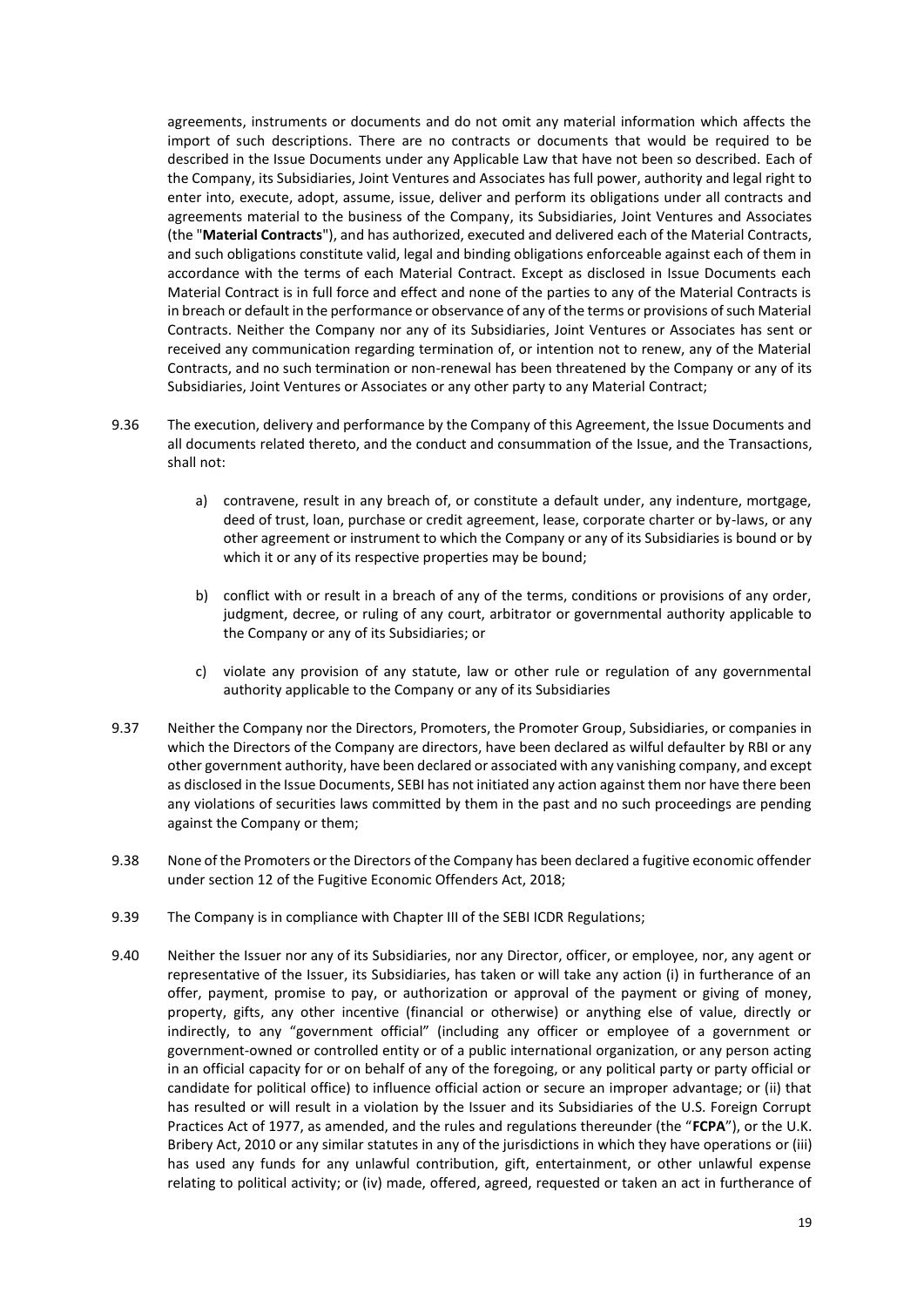agreements, instruments or documents and do not omit any material information which affects the import of such descriptions. There are no contracts or documents that would be required to be described in the Issue Documents under any Applicable Law that have not been so described. Each of the Company, its Subsidiaries, Joint Ventures and Associates has full power, authority and legal right to enter into, execute, adopt, assume, issue, deliver and perform its obligations under all contracts and agreements material to the business of the Company, its Subsidiaries, Joint Ventures and Associates (the "**Material Contracts**"), and has authorized, executed and delivered each of the Material Contracts, and such obligations constitute valid, legal and binding obligations enforceable against each of them in accordance with the terms of each Material Contract. Except as disclosed in Issue Documents each Material Contract is in full force and effect and none of the parties to any of the Material Contracts is in breach or default in the performance or observance of any of the terms or provisions of such Material Contracts. Neither the Company nor any of its Subsidiaries, Joint Ventures or Associates has sent or received any communication regarding termination of, or intention not to renew, any of the Material Contracts, and no such termination or non-renewal has been threatened by the Company or any of its Subsidiaries, Joint Ventures or Associates or any other party to any Material Contract;

- 9.36 The execution, delivery and performance by the Company of this Agreement, the Issue Documents and all documents related thereto, and the conduct and consummation of the Issue, and the Transactions, shall not:
	- a) contravene, result in any breach of, or constitute a default under, any indenture, mortgage, deed of trust, loan, purchase or credit agreement, lease, corporate charter or by-laws, or any other agreement or instrument to which the Company or any of its Subsidiaries is bound or by which it or any of its respective properties may be bound:
	- b) conflict with or result in a breach of any of the terms, conditions or provisions of any order, judgment, decree, or ruling of any court, arbitrator or governmental authority applicable to the Company or any of its Subsidiaries; or
	- c) violate any provision of any statute, law or other rule or regulation of any governmental authority applicable to the Company or any of its Subsidiaries
- 9.37 Neither the Company nor the Directors, Promoters, the Promoter Group, Subsidiaries, or companies in which the Directors of the Company are directors, have been declared as wilful defaulter by RBI or any other government authority, have been declared or associated with any vanishing company, and except as disclosed in the Issue Documents, SEBI has not initiated any action against them nor have there been any violations of securities laws committed by them in the past and no such proceedings are pending against the Company or them;
- 9.38 None of the Promoters or the Directors of the Company has been declared a fugitive economic offender under section 12 of the Fugitive Economic Offenders Act, 2018;
- 9.39 The Company is in compliance with Chapter III of the SEBI ICDR Regulations;
- 9.40 Neither the Issuer nor any of its Subsidiaries, nor any Director, officer, or employee, nor, any agent or representative of the Issuer, its Subsidiaries, has taken or will take any action (i) in furtherance of an offer, payment, promise to pay, or authorization or approval of the payment or giving of money, property, gifts, any other incentive (financial or otherwise) or anything else of value, directly or indirectly, to any "government official" (including any officer or employee of a government or government-owned or controlled entity or of a public international organization, or any person acting in an official capacity for or on behalf of any of the foregoing, or any political party or party official or candidate for political office) to influence official action or secure an improper advantage; or (ii) that has resulted or will result in a violation by the Issuer and its Subsidiaries of the U.S. Foreign Corrupt Practices Act of 1977, as amended, and the rules and regulations thereunder (the "**FCPA**"), or the U.K. Bribery Act, 2010 or any similar statutes in any of the jurisdictions in which they have operations or (iii) has used any funds for any unlawful contribution, gift, entertainment, or other unlawful expense relating to political activity; or (iv) made, offered, agreed, requested or taken an act in furtherance of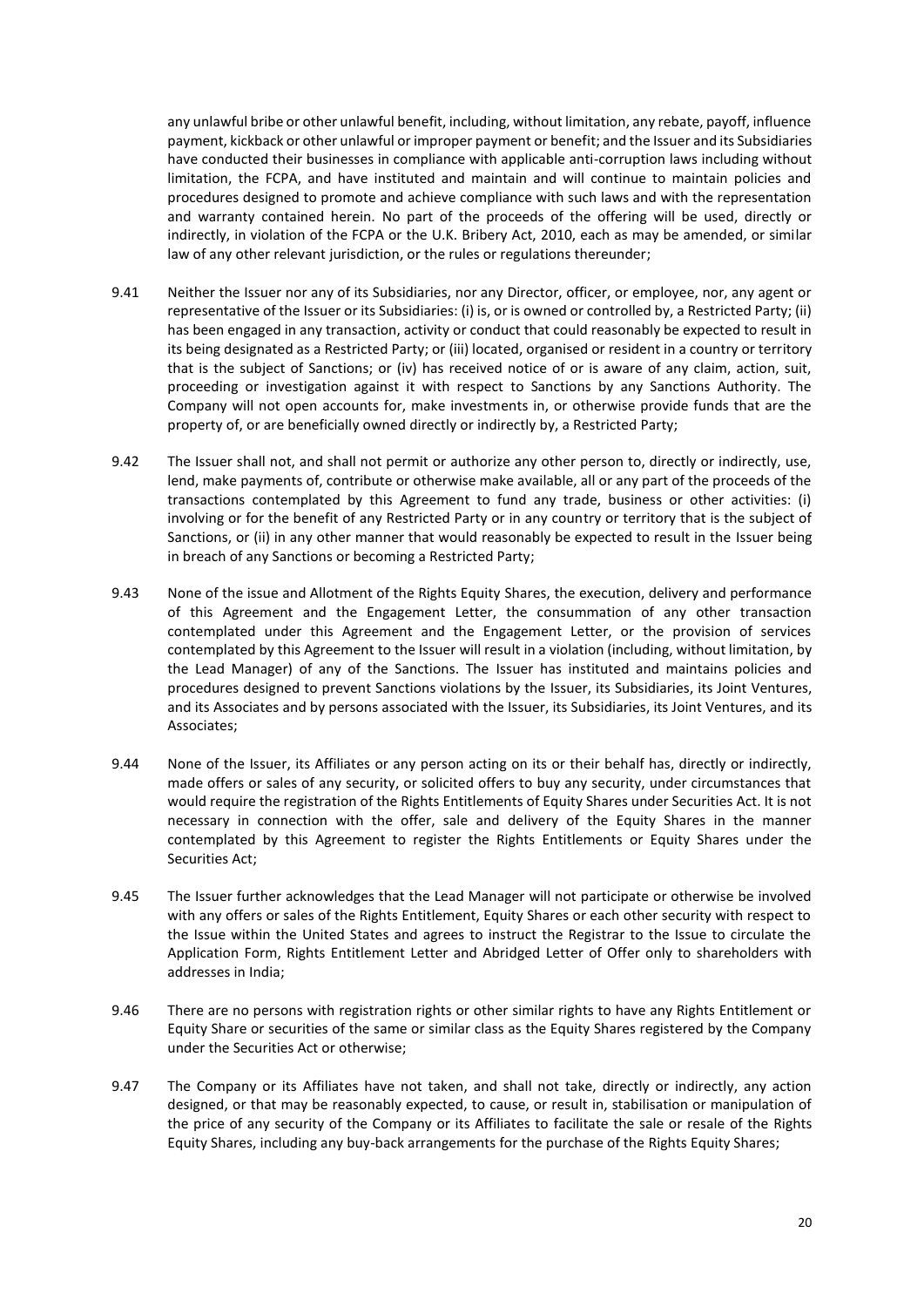any unlawful bribe or other unlawful benefit, including, without limitation, any rebate, payoff, influence payment, kickback or other unlawful or improper payment or benefit; and the Issuer and its Subsidiaries have conducted their businesses in compliance with applicable anti-corruption laws including without limitation, the FCPA, and have instituted and maintain and will continue to maintain policies and procedures designed to promote and achieve compliance with such laws and with the representation and warranty contained herein. No part of the proceeds of the offering will be used, directly or indirectly, in violation of the FCPA or the U.K. Bribery Act, 2010, each as may be amended, or similar law of any other relevant jurisdiction, or the rules or regulations thereunder;

- 9.41 Neither the Issuer nor any of its Subsidiaries, nor any Director, officer, or employee, nor, any agent or representative of the Issuer or its Subsidiaries: (i) is, or is owned or controlled by, a Restricted Party; (ii) has been engaged in any transaction, activity or conduct that could reasonably be expected to result in its being designated as a Restricted Party; or (iii) located, organised or resident in a country or territory that is the subject of Sanctions; or (iv) has received notice of or is aware of any claim, action, suit, proceeding or investigation against it with respect to Sanctions by any Sanctions Authority. The Company will not open accounts for, make investments in, or otherwise provide funds that are the property of, or are beneficially owned directly or indirectly by, a Restricted Party;
- 9.42 The Issuer shall not, and shall not permit or authorize any other person to, directly or indirectly, use, lend, make payments of, contribute or otherwise make available, all or any part of the proceeds of the transactions contemplated by this Agreement to fund any trade, business or other activities: (i) involving or for the benefit of any Restricted Party or in any country or territory that is the subject of Sanctions, or (ii) in any other manner that would reasonably be expected to result in the Issuer being in breach of any Sanctions or becoming a Restricted Party;
- 9.43 None of the issue and Allotment of the Rights Equity Shares, the execution, delivery and performance of this Agreement and the Engagement Letter, the consummation of any other transaction contemplated under this Agreement and the Engagement Letter, or the provision of services contemplated by this Agreement to the Issuer will result in a violation (including, without limitation, by the Lead Manager) of any of the Sanctions. The Issuer has instituted and maintains policies and procedures designed to prevent Sanctions violations by the Issuer, its Subsidiaries, its Joint Ventures, and its Associates and by persons associated with the Issuer, its Subsidiaries, its Joint Ventures, and its Associates;
- 9.44 None of the Issuer, its Affiliates or any person acting on its or their behalf has, directly or indirectly, made offers or sales of any security, or solicited offers to buy any security, under circumstances that would require the registration of the Rights Entitlements of Equity Shares under Securities Act. It is not necessary in connection with the offer, sale and delivery of the Equity Shares in the manner contemplated by this Agreement to register the Rights Entitlements or Equity Shares under the Securities Act;
- 9.45 The Issuer further acknowledges that the Lead Manager will not participate or otherwise be involved with any offers or sales of the Rights Entitlement, Equity Shares or each other security with respect to the Issue within the United States and agrees to instruct the Registrar to the Issue to circulate the Application Form, Rights Entitlement Letter and Abridged Letter of Offer only to shareholders with addresses in India;
- 9.46 There are no persons with registration rights or other similar rights to have any Rights Entitlement or Equity Share or securities of the same or similar class as the Equity Shares registered by the Company under the Securities Act or otherwise;
- 9.47 The Company or its Affiliates have not taken, and shall not take, directly or indirectly, any action designed, or that may be reasonably expected, to cause, or result in, stabilisation or manipulation of the price of any security of the Company or its Affiliates to facilitate the sale or resale of the Rights Equity Shares, including any buy-back arrangements for the purchase of the Rights Equity Shares;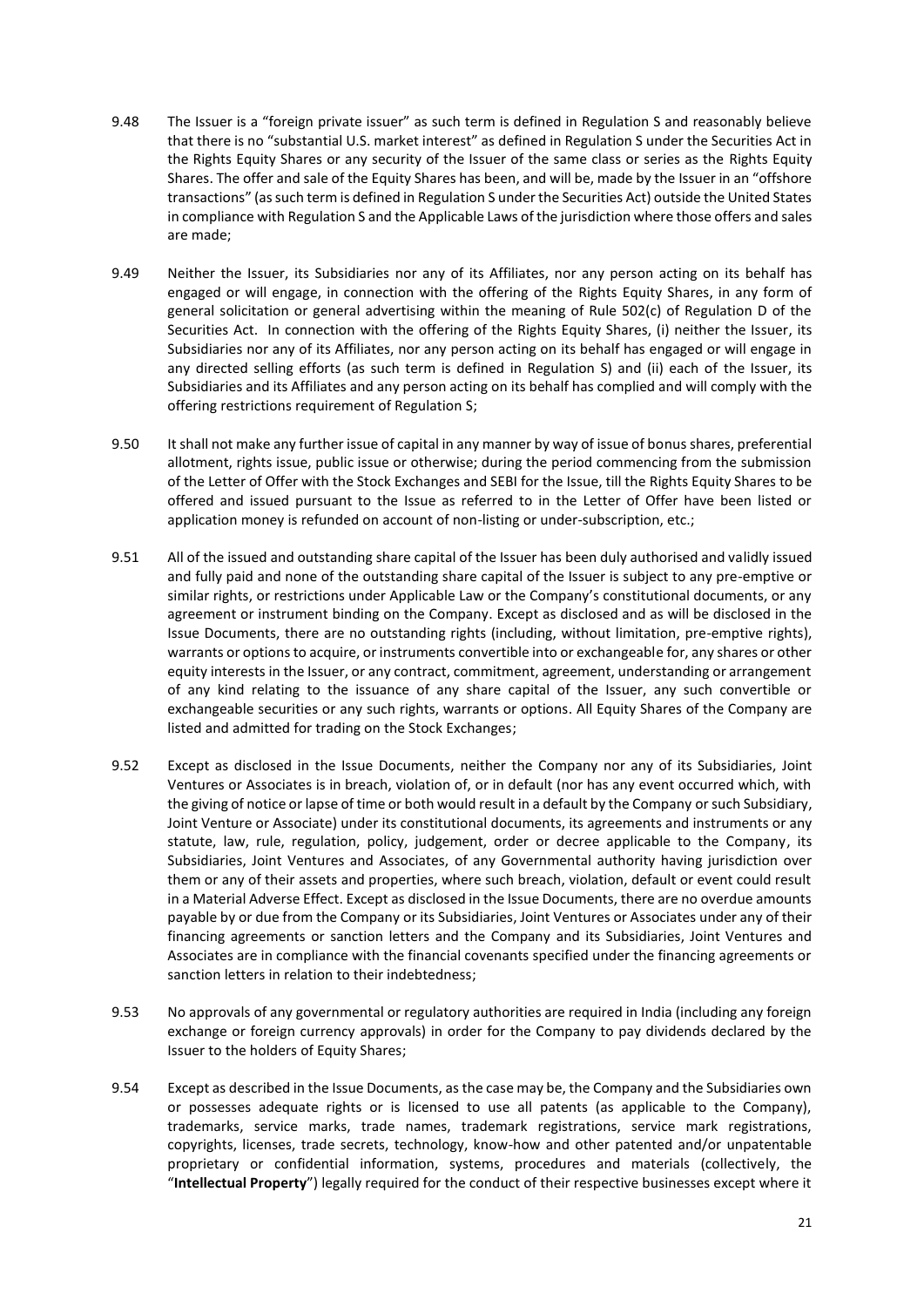- 9.48 The Issuer is a "foreign private issuer" as such term is defined in Regulation S and reasonably believe that there is no "substantial U.S. market interest" as defined in Regulation S under the Securities Act in the Rights Equity Shares or any security of the Issuer of the same class or series as the Rights Equity Shares. The offer and sale of the Equity Shares has been, and will be, made by the Issuer in an "offshore transactions" (as such term is defined in Regulation S under the Securities Act) outside the United States in compliance with Regulation S and the Applicable Laws of the jurisdiction where those offers and sales are made;
- 9.49 Neither the Issuer, its Subsidiaries nor any of its Affiliates, nor any person acting on its behalf has engaged or will engage, in connection with the offering of the Rights Equity Shares, in any form of general solicitation or general advertising within the meaning of Rule 502(c) of Regulation D of the Securities Act. In connection with the offering of the Rights Equity Shares, (i) neither the Issuer, its Subsidiaries nor any of its Affiliates, nor any person acting on its behalf has engaged or will engage in any directed selling efforts (as such term is defined in Regulation S) and (ii) each of the Issuer, its Subsidiaries and its Affiliates and any person acting on its behalf has complied and will comply with the offering restrictions requirement of Regulation S;
- 9.50 It shall not make any further issue of capital in any manner by way of issue of bonus shares, preferential allotment, rights issue, public issue or otherwise; during the period commencing from the submission of the Letter of Offer with the Stock Exchanges and SEBI for the Issue, till the Rights Equity Shares to be offered and issued pursuant to the Issue as referred to in the Letter of Offer have been listed or application money is refunded on account of non-listing or under-subscription, etc.;
- 9.51 All of the issued and outstanding share capital of the Issuer has been duly authorised and validly issued and fully paid and none of the outstanding share capital of the Issuer is subject to any pre-emptive or similar rights, or restrictions under Applicable Law or the Company's constitutional documents, or any agreement or instrument binding on the Company. Except as disclosed and as will be disclosed in the Issue Documents, there are no outstanding rights (including, without limitation, pre-emptive rights), warrants or options to acquire, or instruments convertible into or exchangeable for, any shares or other equity interests in the Issuer, or any contract, commitment, agreement, understanding or arrangement of any kind relating to the issuance of any share capital of the Issuer, any such convertible or exchangeable securities or any such rights, warrants or options. All Equity Shares of the Company are listed and admitted for trading on the Stock Exchanges;
- 9.52 Except as disclosed in the Issue Documents, neither the Company nor any of its Subsidiaries, Joint Ventures or Associates is in breach, violation of, or in default (nor has any event occurred which, with the giving of notice or lapse of time or both would result in a default by the Company or such Subsidiary, Joint Venture or Associate) under its constitutional documents, its agreements and instruments or any statute, law, rule, regulation, policy, judgement, order or decree applicable to the Company, its Subsidiaries, Joint Ventures and Associates, of any Governmental authority having jurisdiction over them or any of their assets and properties, where such breach, violation, default or event could result in a Material Adverse Effect. Except as disclosed in the Issue Documents, there are no overdue amounts payable by or due from the Company or its Subsidiaries, Joint Ventures or Associates under any of their financing agreements or sanction letters and the Company and its Subsidiaries, Joint Ventures and Associates are in compliance with the financial covenants specified under the financing agreements or sanction letters in relation to their indebtedness;
- 9.53 No approvals of any governmental or regulatory authorities are required in India (including any foreign exchange or foreign currency approvals) in order for the Company to pay dividends declared by the Issuer to the holders of Equity Shares;
- 9.54 Except as described in the Issue Documents, as the case may be, the Company and the Subsidiaries own or possesses adequate rights or is licensed to use all patents (as applicable to the Company), trademarks, service marks, trade names, trademark registrations, service mark registrations, copyrights, licenses, trade secrets, technology, know-how and other patented and/or unpatentable proprietary or confidential information, systems, procedures and materials (collectively, the "**Intellectual Property**") legally required for the conduct of their respective businesses except where it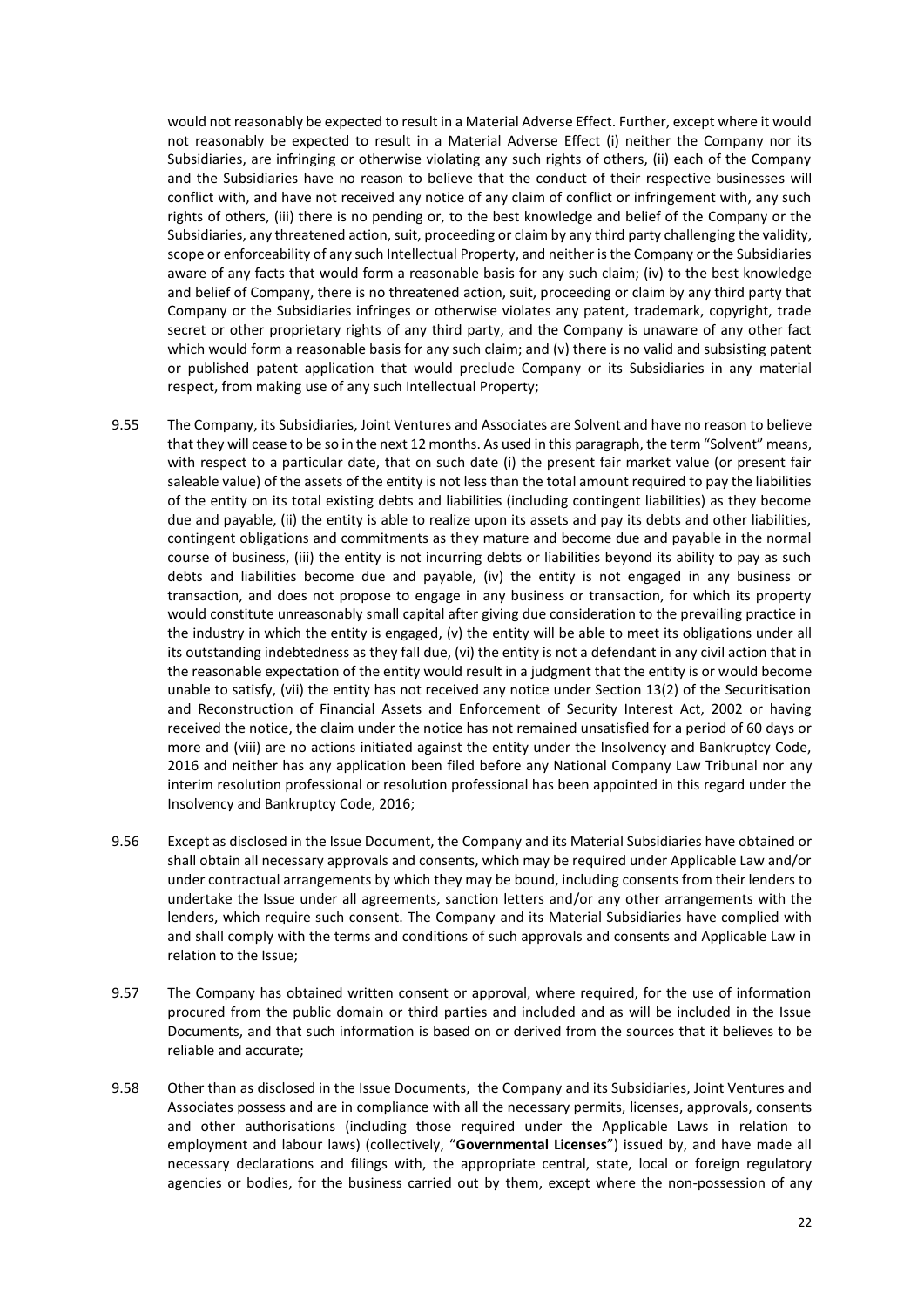would not reasonably be expected to result in a Material Adverse Effect. Further, except where it would not reasonably be expected to result in a Material Adverse Effect (i) neither the Company nor its Subsidiaries, are infringing or otherwise violating any such rights of others, (ii) each of the Company and the Subsidiaries have no reason to believe that the conduct of their respective businesses will conflict with, and have not received any notice of any claim of conflict or infringement with, any such rights of others, (iii) there is no pending or, to the best knowledge and belief of the Company or the Subsidiaries, any threatened action, suit, proceeding or claim by any third party challenging the validity, scope or enforceability of any such Intellectual Property, and neither is the Company or the Subsidiaries aware of any facts that would form a reasonable basis for any such claim; (iv) to the best knowledge and belief of Company, there is no threatened action, suit, proceeding or claim by any third party that Company or the Subsidiaries infringes or otherwise violates any patent, trademark, copyright, trade secret or other proprietary rights of any third party, and the Company is unaware of any other fact which would form a reasonable basis for any such claim; and (v) there is no valid and subsisting patent or published patent application that would preclude Company or its Subsidiaries in any material respect, from making use of any such Intellectual Property;

- 9.55 The Company, its Subsidiaries, Joint Ventures and Associates are Solvent and have no reason to believe that they will cease to be so in the next 12 months. As used in this paragraph, the term "Solvent" means, with respect to a particular date, that on such date (i) the present fair market value (or present fair saleable value) of the assets of the entity is not less than the total amount required to pay the liabilities of the entity on its total existing debts and liabilities (including contingent liabilities) as they become due and payable, (ii) the entity is able to realize upon its assets and pay its debts and other liabilities, contingent obligations and commitments as they mature and become due and payable in the normal course of business, (iii) the entity is not incurring debts or liabilities beyond its ability to pay as such debts and liabilities become due and payable, (iv) the entity is not engaged in any business or transaction, and does not propose to engage in any business or transaction, for which its property would constitute unreasonably small capital after giving due consideration to the prevailing practice in the industry in which the entity is engaged, (v) the entity will be able to meet its obligations under all its outstanding indebtedness as they fall due, (vi) the entity is not a defendant in any civil action that in the reasonable expectation of the entity would result in a judgment that the entity is or would become unable to satisfy, (vii) the entity has not received any notice under Section 13(2) of the Securitisation and Reconstruction of Financial Assets and Enforcement of Security Interest Act, 2002 or having received the notice, the claim under the notice has not remained unsatisfied for a period of 60 days or more and (viii) are no actions initiated against the entity under the Insolvency and Bankruptcy Code, 2016 and neither has any application been filed before any National Company Law Tribunal nor any interim resolution professional or resolution professional has been appointed in this regard under the Insolvency and Bankruptcy Code, 2016;
- 9.56 Except as disclosed in the Issue Document, the Company and its Material Subsidiaries have obtained or shall obtain all necessary approvals and consents, which may be required under Applicable Law and/or under contractual arrangements by which they may be bound, including consents from their lenders to undertake the Issue under all agreements, sanction letters and/or any other arrangements with the lenders, which require such consent. The Company and its Material Subsidiaries have complied with and shall comply with the terms and conditions of such approvals and consents and Applicable Law in relation to the Issue;
- 9.57 The Company has obtained written consent or approval, where required, for the use of information procured from the public domain or third parties and included and as will be included in the Issue Documents, and that such information is based on or derived from the sources that it believes to be reliable and accurate;
- 9.58 Other than as disclosed in the Issue Documents, the Company and its Subsidiaries, Joint Ventures and Associates possess and are in compliance with all the necessary permits, licenses, approvals, consents and other authorisations (including those required under the Applicable Laws in relation to employment and labour laws) (collectively, "**Governmental Licenses**") issued by, and have made all necessary declarations and filings with, the appropriate central, state, local or foreign regulatory agencies or bodies, for the business carried out by them, except where the non-possession of any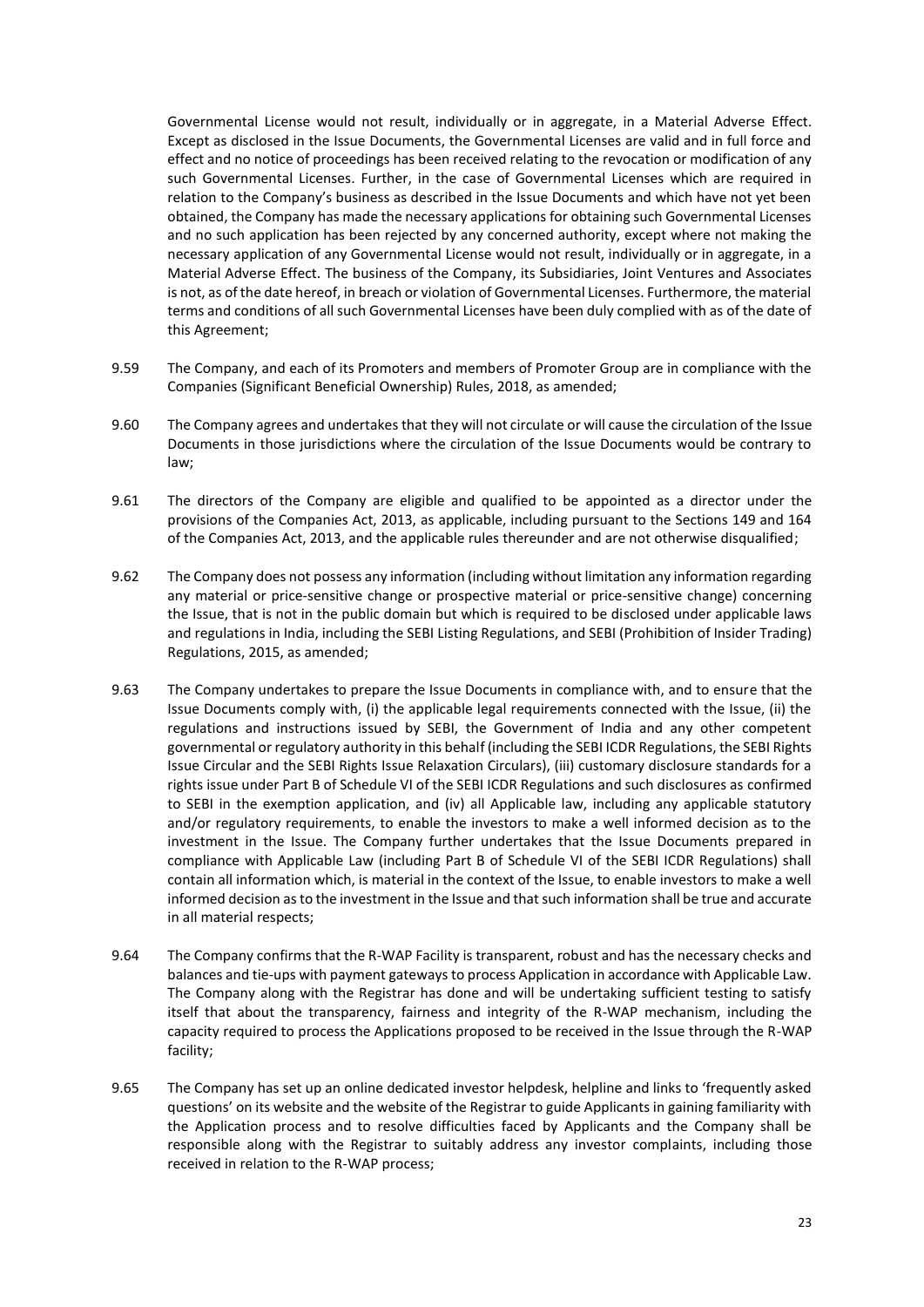Governmental License would not result, individually or in aggregate, in a Material Adverse Effect. Except as disclosed in the Issue Documents, the Governmental Licenses are valid and in full force and effect and no notice of proceedings has been received relating to the revocation or modification of any such Governmental Licenses. Further, in the case of Governmental Licenses which are required in relation to the Company's business as described in the Issue Documents and which have not yet been obtained, the Company has made the necessary applications for obtaining such Governmental Licenses and no such application has been rejected by any concerned authority, except where not making the necessary application of any Governmental License would not result, individually or in aggregate, in a Material Adverse Effect. The business of the Company, its Subsidiaries, Joint Ventures and Associates is not, as of the date hereof, in breach or violation of Governmental Licenses. Furthermore, the material terms and conditions of all such Governmental Licenses have been duly complied with as of the date of this Agreement;

- 9.59 The Company, and each of its Promoters and members of Promoter Group are in compliance with the Companies (Significant Beneficial Ownership) Rules, 2018, as amended;
- 9.60 The Company agrees and undertakes that they will not circulate or will cause the circulation of the Issue Documents in those jurisdictions where the circulation of the Issue Documents would be contrary to law;
- 9.61 The directors of the Company are eligible and qualified to be appointed as a director under the provisions of the Companies Act, 2013, as applicable, including pursuant to the Sections 149 and 164 of the Companies Act, 2013, and the applicable rules thereunder and are not otherwise disqualified;
- 9.62 The Company does not possess any information (including without limitation any information regarding any material or price-sensitive change or prospective material or price-sensitive change) concerning the Issue, that is not in the public domain but which is required to be disclosed under applicable laws and regulations in India, including the SEBI Listing Regulations, and SEBI (Prohibition of Insider Trading) Regulations, 2015, as amended;
- 9.63 The Company undertakes to prepare the Issue Documents in compliance with, and to ensure that the Issue Documents comply with, (i) the applicable legal requirements connected with the Issue, (ii) the regulations and instructions issued by SEBI, the Government of India and any other competent governmental or regulatory authority in this behalf (including the SEBI ICDR Regulations, the SEBI Rights Issue Circular and the SEBI Rights Issue Relaxation Circulars), (iii) customary disclosure standards for a rights issue under Part B of Schedule VI of the SEBI ICDR Regulations and such disclosures as confirmed to SEBI in the exemption application, and (iv) all Applicable law, including any applicable statutory and/or regulatory requirements, to enable the investors to make a well informed decision as to the investment in the Issue. The Company further undertakes that the Issue Documents prepared in compliance with Applicable Law (including Part B of Schedule VI of the SEBI ICDR Regulations) shall contain all information which, is material in the context of the Issue, to enable investors to make a well informed decision as to the investment in the Issue and that such information shall be true and accurate in all material respects;
- 9.64 The Company confirms that the R-WAP Facility is transparent, robust and has the necessary checks and balances and tie-ups with payment gateways to process Application in accordance with Applicable Law. The Company along with the Registrar has done and will be undertaking sufficient testing to satisfy itself that about the transparency, fairness and integrity of the R-WAP mechanism, including the capacity required to process the Applications proposed to be received in the Issue through the R-WAP facility;
- 9.65 The Company has set up an online dedicated investor helpdesk, helpline and links to 'frequently asked questions' on its website and the website of the Registrar to guide Applicants in gaining familiarity with the Application process and to resolve difficulties faced by Applicants and the Company shall be responsible along with the Registrar to suitably address any investor complaints, including those received in relation to the R-WAP process;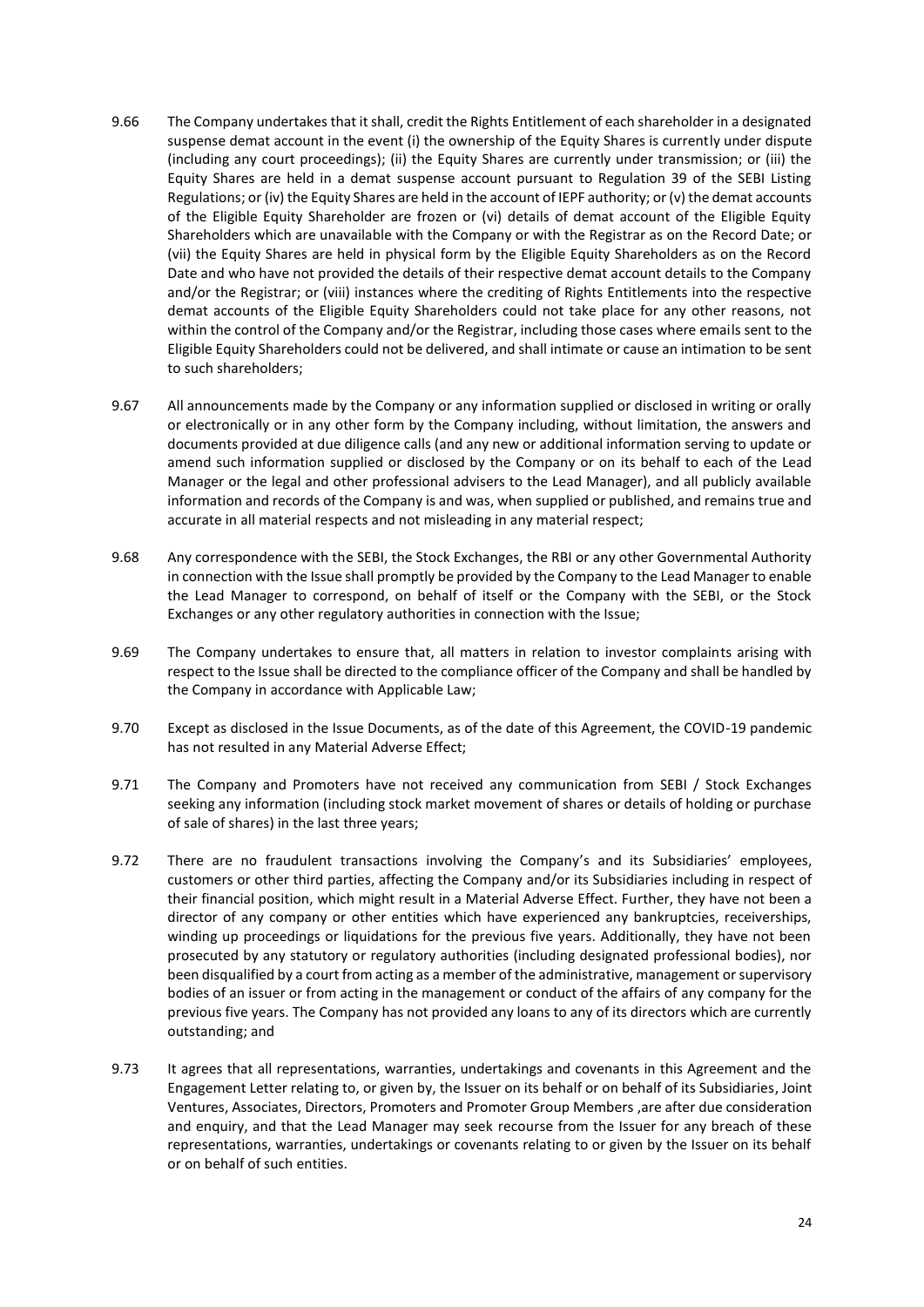- 9.66 The Company undertakes that it shall, credit the Rights Entitlement of each shareholder in a designated suspense demat account in the event (i) the ownership of the Equity Shares is currently under dispute (including any court proceedings); (ii) the Equity Shares are currently under transmission; or (iii) the Equity Shares are held in a demat suspense account pursuant to Regulation 39 of the SEBI Listing Regulations; or (iv) the Equity Shares are held in the account of IEPF authority; or (v) the demat accounts of the Eligible Equity Shareholder are frozen or (vi) details of demat account of the Eligible Equity Shareholders which are unavailable with the Company or with the Registrar as on the Record Date; or (vii) the Equity Shares are held in physical form by the Eligible Equity Shareholders as on the Record Date and who have not provided the details of their respective demat account details to the Company and/or the Registrar; or (viii) instances where the crediting of Rights Entitlements into the respective demat accounts of the Eligible Equity Shareholders could not take place for any other reasons, not within the control of the Company and/or the Registrar, including those cases where emails sent to the Eligible Equity Shareholders could not be delivered, and shall intimate or cause an intimation to be sent to such shareholders;
- 9.67 All announcements made by the Company or any information supplied or disclosed in writing or orally or electronically or in any other form by the Company including, without limitation, the answers and documents provided at due diligence calls (and any new or additional information serving to update or amend such information supplied or disclosed by the Company or on its behalf to each of the Lead Manager or the legal and other professional advisers to the Lead Manager), and all publicly available information and records of the Company is and was, when supplied or published, and remains true and accurate in all material respects and not misleading in any material respect;
- 9.68 Any correspondence with the SEBI, the Stock Exchanges, the RBI or any other Governmental Authority in connection with the Issue shall promptly be provided by the Company to the Lead Manager to enable the Lead Manager to correspond, on behalf of itself or the Company with the SEBI, or the Stock Exchanges or any other regulatory authorities in connection with the Issue;
- 9.69 The Company undertakes to ensure that, all matters in relation to investor complaints arising with respect to the Issue shall be directed to the compliance officer of the Company and shall be handled by the Company in accordance with Applicable Law;
- 9.70 Except as disclosed in the Issue Documents, as of the date of this Agreement, the COVID-19 pandemic has not resulted in any Material Adverse Effect;
- 9.71 The Company and Promoters have not received any communication from SEBI / Stock Exchanges seeking any information (including stock market movement of shares or details of holding or purchase of sale of shares) in the last three years;
- 9.72 There are no fraudulent transactions involving the Company's and its Subsidiaries' employees, customers or other third parties, affecting the Company and/or its Subsidiaries including in respect of their financial position, which might result in a Material Adverse Effect. Further, they have not been a director of any company or other entities which have experienced any bankruptcies, receiverships, winding up proceedings or liquidations for the previous five years. Additionally, they have not been prosecuted by any statutory or regulatory authorities (including designated professional bodies), nor been disqualified by a court from acting as a member of the administrative, management or supervisory bodies of an issuer or from acting in the management or conduct of the affairs of any company for the previous five years. The Company has not provided any loans to any of its directors which are currently outstanding; and
- 9.73 It agrees that all representations, warranties, undertakings and covenants in this Agreement and the Engagement Letter relating to, or given by, the Issuer on its behalf or on behalf of its Subsidiaries, Joint Ventures, Associates, Directors, Promoters and Promoter Group Members ,are after due consideration and enquiry, and that the Lead Manager may seek recourse from the Issuer for any breach of these representations, warranties, undertakings or covenants relating to or given by the Issuer on its behalf or on behalf of such entities.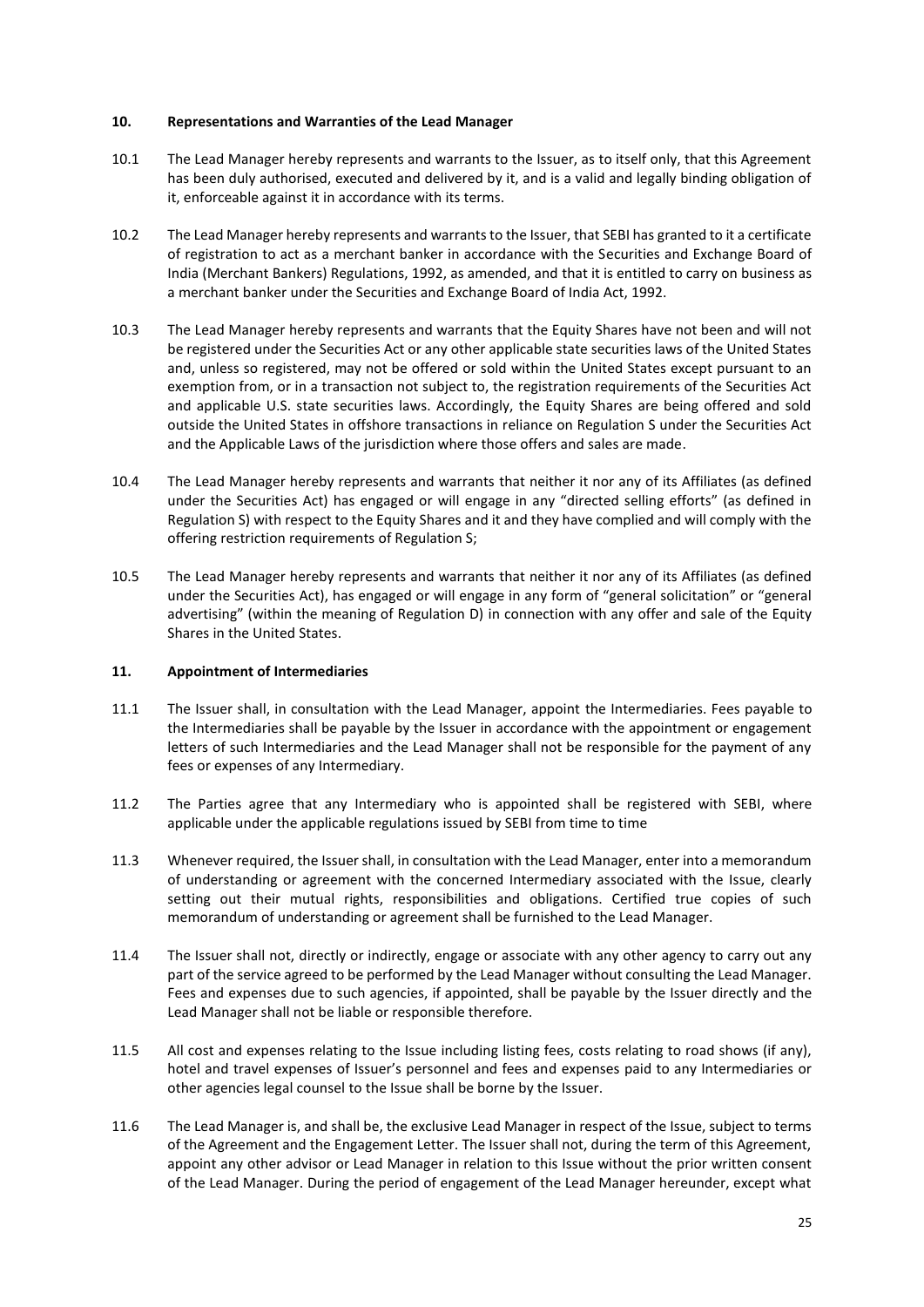#### <span id="page-28-0"></span>**10. Representations and Warranties of the Lead Manager**

- 10.1 The Lead Manager hereby represents and warrants to the Issuer, as to itself only, that this Agreement has been duly authorised, executed and delivered by it, and is a valid and legally binding obligation of it, enforceable against it in accordance with its terms.
- 10.2 The Lead Manager hereby represents and warrants to the Issuer, that SEBI has granted to it a certificate of registration to act as a merchant banker in accordance with the Securities and Exchange Board of India (Merchant Bankers) Regulations, 1992, as amended, and that it is entitled to carry on business as a merchant banker under the Securities and Exchange Board of India Act, 1992.
- 10.3 The Lead Manager hereby represents and warrants that the Equity Shares have not been and will not be registered under the Securities Act or any other applicable state securities laws of the United States and, unless so registered, may not be offered or sold within the United States except pursuant to an exemption from, or in a transaction not subject to, the registration requirements of the Securities Act and applicable U.S. state securities laws. Accordingly, the Equity Shares are being offered and sold outside the United States in offshore transactions in reliance on Regulation S under the Securities Act and the Applicable Laws of the jurisdiction where those offers and sales are made.
- 10.4 The Lead Manager hereby represents and warrants that neither it nor any of its Affiliates (as defined under the Securities Act) has engaged or will engage in any "directed selling efforts" (as defined in Regulation S) with respect to the Equity Shares and it and they have complied and will comply with the offering restriction requirements of Regulation S;
- 10.5 The Lead Manager hereby represents and warrants that neither it nor any of its Affiliates (as defined under the Securities Act), has engaged or will engage in any form of "general solicitation" or "general advertising" (within the meaning of Regulation D) in connection with any offer and sale of the Equity Shares in the United States.

#### <span id="page-28-1"></span>**11. Appointment of Intermediaries**

- 11.1 The Issuer shall, in consultation with the Lead Manager, appoint the Intermediaries. Fees payable to the Intermediaries shall be payable by the Issuer in accordance with the appointment or engagement letters of such Intermediaries and the Lead Manager shall not be responsible for the payment of any fees or expenses of any Intermediary.
- 11.2 The Parties agree that any Intermediary who is appointed shall be registered with SEBI, where applicable under the applicable regulations issued by SEBI from time to time
- 11.3 Whenever required, the Issuer shall, in consultation with the Lead Manager, enter into a memorandum of understanding or agreement with the concerned Intermediary associated with the Issue, clearly setting out their mutual rights, responsibilities and obligations. Certified true copies of such memorandum of understanding or agreement shall be furnished to the Lead Manager.
- 11.4 The Issuer shall not, directly or indirectly, engage or associate with any other agency to carry out any part of the service agreed to be performed by the Lead Manager without consulting the Lead Manager. Fees and expenses due to such agencies, if appointed, shall be payable by the Issuer directly and the Lead Manager shall not be liable or responsible therefore.
- 11.5 All cost and expenses relating to the Issue including listing fees, costs relating to road shows (if any), hotel and travel expenses of Issuer's personnel and fees and expenses paid to any Intermediaries or other agencies legal counsel to the Issue shall be borne by the Issuer.
- 11.6 The Lead Manager is, and shall be, the exclusive Lead Manager in respect of the Issue, subject to terms of the Agreement and the Engagement Letter. The Issuer shall not, during the term of this Agreement, appoint any other advisor or Lead Manager in relation to this Issue without the prior written consent of the Lead Manager. During the period of engagement of the Lead Manager hereunder, except what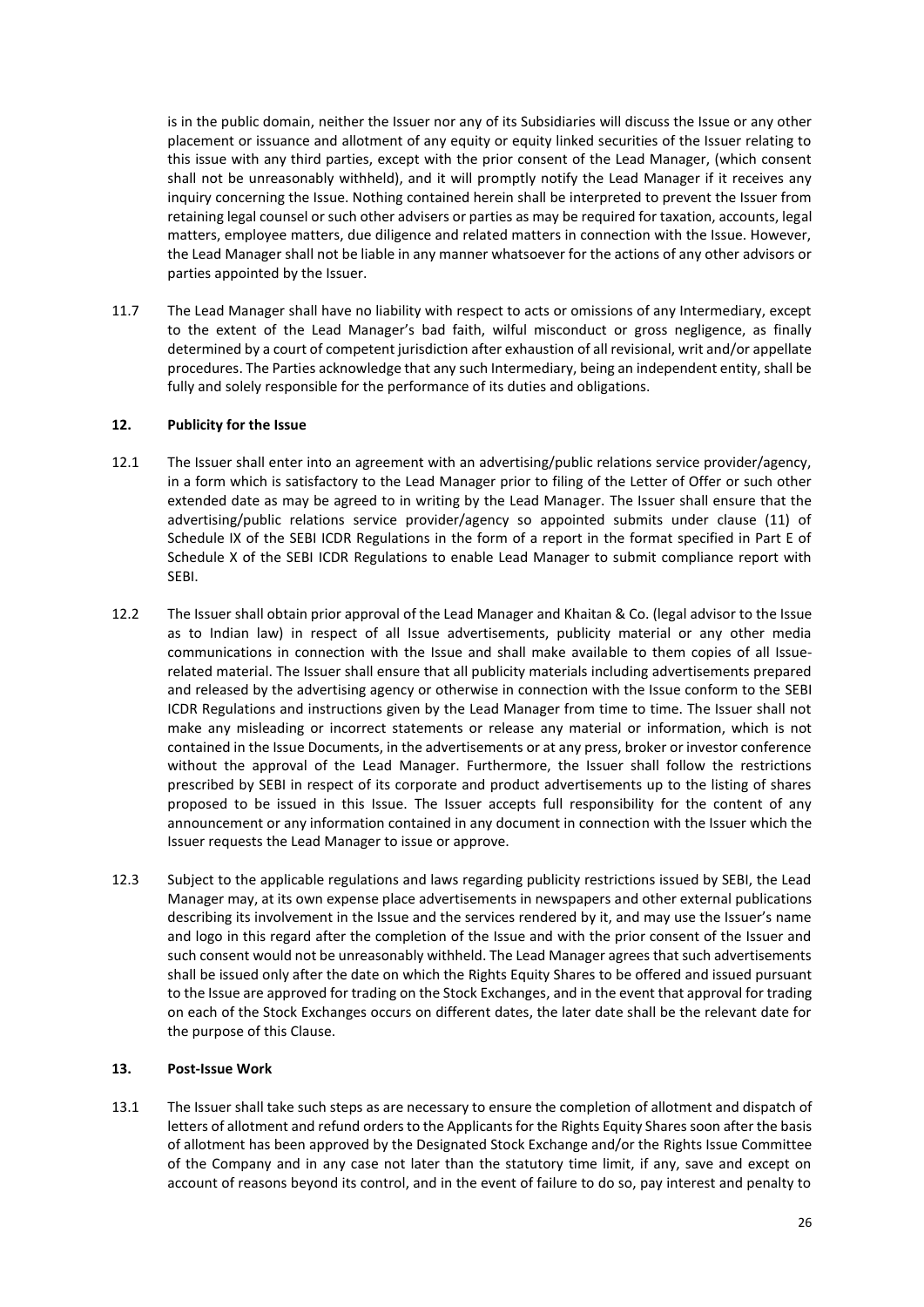is in the public domain, neither the Issuer nor any of its Subsidiaries will discuss the Issue or any other placement or issuance and allotment of any equity or equity linked securities of the Issuer relating to this issue with any third parties, except with the prior consent of the Lead Manager, (which consent shall not be unreasonably withheld), and it will promptly notify the Lead Manager if it receives any inquiry concerning the Issue. Nothing contained herein shall be interpreted to prevent the Issuer from retaining legal counsel or such other advisers or parties as may be required for taxation, accounts, legal matters, employee matters, due diligence and related matters in connection with the Issue. However, the Lead Manager shall not be liable in any manner whatsoever for the actions of any other advisors or parties appointed by the Issuer.

11.7 The Lead Manager shall have no liability with respect to acts or omissions of any Intermediary, except to the extent of the Lead Manager's bad faith, wilful misconduct or gross negligence, as finally determined by a court of competent jurisdiction after exhaustion of all revisional, writ and/or appellate procedures. The Parties acknowledge that any such Intermediary, being an independent entity, shall be fully and solely responsible for the performance of its duties and obligations.

#### <span id="page-29-0"></span>**12. Publicity for the Issue**

- 12.1 The Issuer shall enter into an agreement with an advertising/public relations service provider/agency, in a form which is satisfactory to the Lead Manager prior to filing of the Letter of Offer or such other extended date as may be agreed to in writing by the Lead Manager. The Issuer shall ensure that the advertising/public relations service provider/agency so appointed submits under clause (11) of Schedule IX of the SEBI ICDR Regulations in the form of a report in the format specified in Part E of Schedule X of the SEBI ICDR Regulations to enable Lead Manager to submit compliance report with SEBI.
- 12.2 The Issuer shall obtain prior approval of the Lead Manager and Khaitan & Co. (legal advisor to the Issue as to Indian law) in respect of all Issue advertisements, publicity material or any other media communications in connection with the Issue and shall make available to them copies of all Issuerelated material. The Issuer shall ensure that all publicity materials including advertisements prepared and released by the advertising agency or otherwise in connection with the Issue conform to the SEBI ICDR Regulations and instructions given by the Lead Manager from time to time. The Issuer shall not make any misleading or incorrect statements or release any material or information, which is not contained in the Issue Documents, in the advertisements or at any press, broker or investor conference without the approval of the Lead Manager. Furthermore, the Issuer shall follow the restrictions prescribed by SEBI in respect of its corporate and product advertisements up to the listing of shares proposed to be issued in this Issue. The Issuer accepts full responsibility for the content of any announcement or any information contained in any document in connection with the Issuer which the Issuer requests the Lead Manager to issue or approve.
- 12.3 Subject to the applicable regulations and laws regarding publicity restrictions issued by SEBI, the Lead Manager may, at its own expense place advertisements in newspapers and other external publications describing its involvement in the Issue and the services rendered by it, and may use the Issuer's name and logo in this regard after the completion of the Issue and with the prior consent of the Issuer and such consent would not be unreasonably withheld. The Lead Manager agrees that such advertisements shall be issued only after the date on which the Rights Equity Shares to be offered and issued pursuant to the Issue are approved for trading on the Stock Exchanges, and in the event that approval for trading on each of the Stock Exchanges occurs on different dates, the later date shall be the relevant date for the purpose of this Clause.

#### <span id="page-29-1"></span>**13. Post-Issue Work**

13.1 The Issuer shall take such steps as are necessary to ensure the completion of allotment and dispatch of letters of allotment and refund orders to the Applicants for the Rights Equity Shares soon after the basis of allotment has been approved by the Designated Stock Exchange and/or the Rights Issue Committee of the Company and in any case not later than the statutory time limit, if any, save and except on account of reasons beyond its control, and in the event of failure to do so, pay interest and penalty to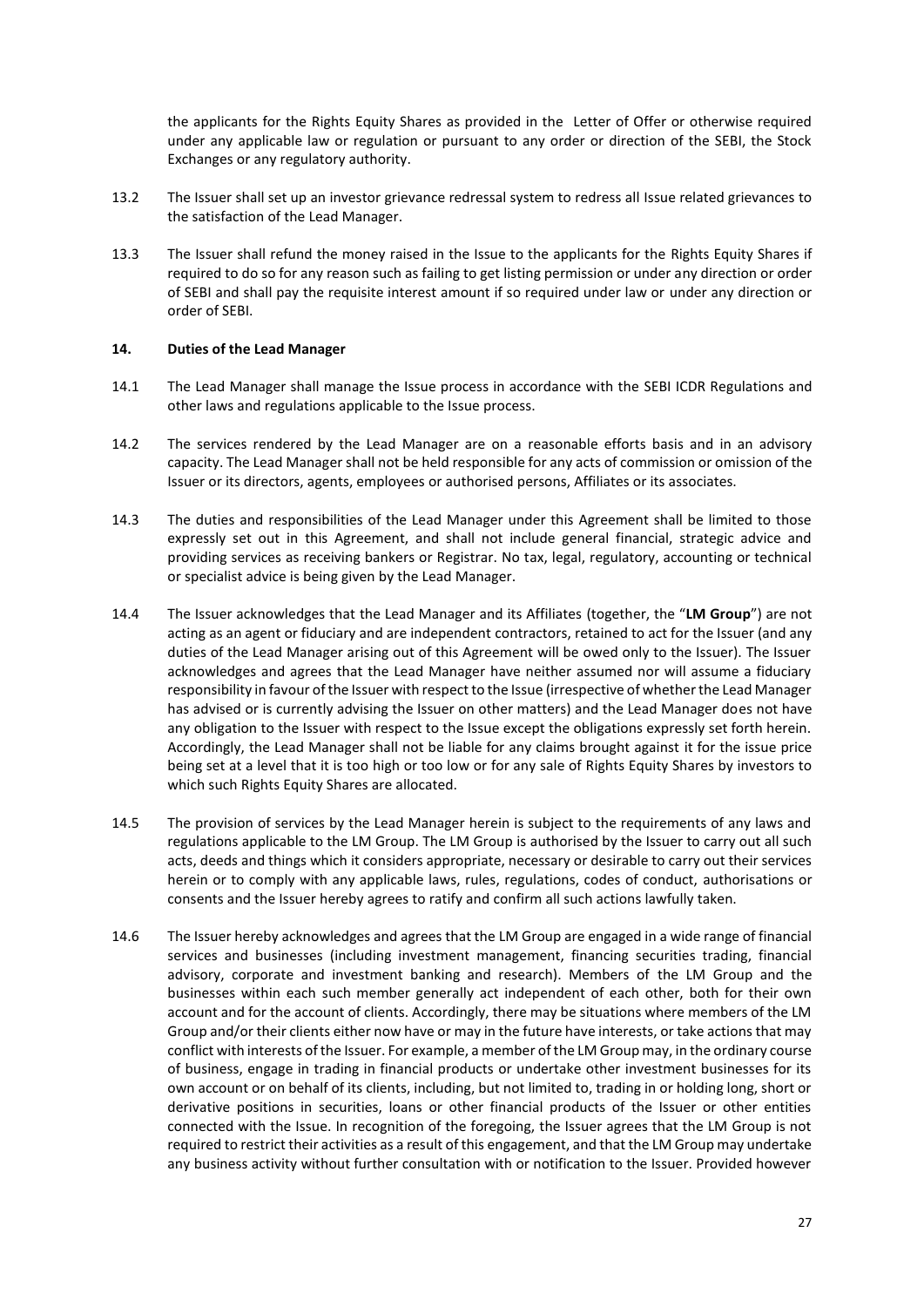the applicants for the Rights Equity Shares as provided in the Letter of Offer or otherwise required under any applicable law or regulation or pursuant to any order or direction of the SEBI, the Stock Exchanges or any regulatory authority.

- 13.2 The Issuer shall set up an investor grievance redressal system to redress all Issue related grievances to the satisfaction of the Lead Manager.
- 13.3 The Issuer shall refund the money raised in the Issue to the applicants for the Rights Equity Shares if required to do so for any reason such as failing to get listing permission or under any direction or order of SEBI and shall pay the requisite interest amount if so required under law or under any direction or order of SEBI.

#### <span id="page-30-0"></span>**14. Duties of the Lead Manager**

- 14.1 The Lead Manager shall manage the Issue process in accordance with the SEBI ICDR Regulations and other laws and regulations applicable to the Issue process.
- 14.2 The services rendered by the Lead Manager are on a reasonable efforts basis and in an advisory capacity. The Lead Manager shall not be held responsible for any acts of commission or omission of the Issuer or its directors, agents, employees or authorised persons, Affiliates or its associates.
- 14.3 The duties and responsibilities of the Lead Manager under this Agreement shall be limited to those expressly set out in this Agreement, and shall not include general financial, strategic advice and providing services as receiving bankers or Registrar. No tax, legal, regulatory, accounting or technical or specialist advice is being given by the Lead Manager.
- 14.4 The Issuer acknowledges that the Lead Manager and its Affiliates (together, the "**LM Group**") are not acting as an agent or fiduciary and are independent contractors, retained to act for the Issuer (and any duties of the Lead Manager arising out of this Agreement will be owed only to the Issuer). The Issuer acknowledges and agrees that the Lead Manager have neither assumed nor will assume a fiduciary responsibility in favour of the Issuer with respect to the Issue (irrespective of whether the Lead Manager has advised or is currently advising the Issuer on other matters) and the Lead Manager does not have any obligation to the Issuer with respect to the Issue except the obligations expressly set forth herein. Accordingly, the Lead Manager shall not be liable for any claims brought against it for the issue price being set at a level that it is too high or too low or for any sale of Rights Equity Shares by investors to which such Rights Equity Shares are allocated.
- 14.5 The provision of services by the Lead Manager herein is subject to the requirements of any laws and regulations applicable to the LM Group. The LM Group is authorised by the Issuer to carry out all such acts, deeds and things which it considers appropriate, necessary or desirable to carry out their services herein or to comply with any applicable laws, rules, regulations, codes of conduct, authorisations or consents and the Issuer hereby agrees to ratify and confirm all such actions lawfully taken.
- 14.6 The Issuer hereby acknowledges and agrees that the LM Group are engaged in a wide range of financial services and businesses (including investment management, financing securities trading, financial advisory, corporate and investment banking and research). Members of the LM Group and the businesses within each such member generally act independent of each other, both for their own account and for the account of clients. Accordingly, there may be situations where members of the LM Group and/or their clients either now have or may in the future have interests, or take actions that may conflict with interests of the Issuer. For example, a member of the LM Group may, in the ordinary course of business, engage in trading in financial products or undertake other investment businesses for its own account or on behalf of its clients, including, but not limited to, trading in or holding long, short or derivative positions in securities, loans or other financial products of the Issuer or other entities connected with the Issue. In recognition of the foregoing, the Issuer agrees that the LM Group is not required to restrict their activities as a result of this engagement, and that the LM Group may undertake any business activity without further consultation with or notification to the Issuer. Provided however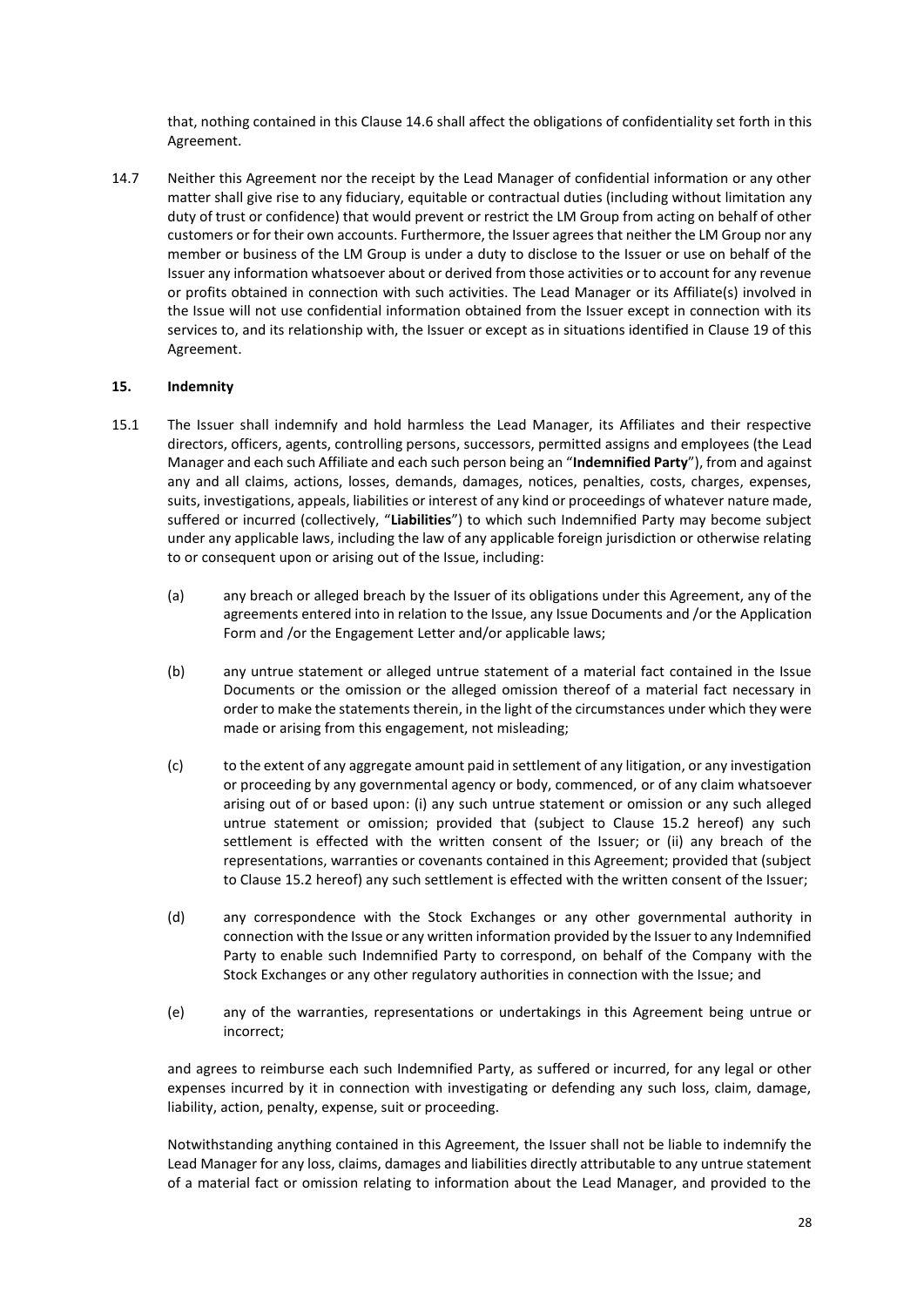that, nothing contained in this Clause 14.6 shall affect the obligations of confidentiality set forth in this Agreement.

14.7 Neither this Agreement nor the receipt by the Lead Manager of confidential information or any other matter shall give rise to any fiduciary, equitable or contractual duties (including without limitation any duty of trust or confidence) that would prevent or restrict the LM Group from acting on behalf of other customers or for their own accounts. Furthermore, the Issuer agrees that neither the LM Group nor any member or business of the LM Group is under a duty to disclose to the Issuer or use on behalf of the Issuer any information whatsoever about or derived from those activities or to account for any revenue or profits obtained in connection with such activities. The Lead Manager or its Affiliate(s) involved in the Issue will not use confidential information obtained from the Issuer except in connection with its services to, and its relationship with, the Issuer or except as in situations identified in Clause 19 of this Agreement.

#### <span id="page-31-0"></span>**15. Indemnity**

- 15.1 The Issuer shall indemnify and hold harmless the Lead Manager, its Affiliates and their respective directors, officers, agents, controlling persons, successors, permitted assigns and employees (the Lead Manager and each such Affiliate and each such person being an "**Indemnified Party**"), from and against any and all claims, actions, losses, demands, damages, notices, penalties, costs, charges, expenses, suits, investigations, appeals, liabilities or interest of any kind or proceedings of whatever nature made, suffered or incurred (collectively, "**Liabilities**") to which such Indemnified Party may become subject under any applicable laws, including the law of any applicable foreign jurisdiction or otherwise relating to or consequent upon or arising out of the Issue, including:
	- (a) any breach or alleged breach by the Issuer of its obligations under this Agreement, any of the agreements entered into in relation to the Issue, any Issue Documents and /or the Application Form and /or the Engagement Letter and/or applicable laws;
	- (b) any untrue statement or alleged untrue statement of a material fact contained in the Issue Documents or the omission or the alleged omission thereof of a material fact necessary in order to make the statements therein, in the light of the circumstances under which they were made or arising from this engagement, not misleading;
	- (c) to the extent of any aggregate amount paid in settlement of any litigation, or any investigation or proceeding by any governmental agency or body, commenced, or of any claim whatsoever arising out of or based upon: (i) any such untrue statement or omission or any such alleged untrue statement or omission; provided that (subject to Clause 15.2 hereof) any such settlement is effected with the written consent of the Issuer; or (ii) any breach of the representations, warranties or covenants contained in this Agreement; provided that (subject to Clause 15.2 hereof) any such settlement is effected with the written consent of the Issuer;
	- (d) any correspondence with the Stock Exchanges or any other governmental authority in connection with the Issue or any written information provided by the Issuer to any Indemnified Party to enable such Indemnified Party to correspond, on behalf of the Company with the Stock Exchanges or any other regulatory authorities in connection with the Issue; and
	- (e) any of the warranties, representations or undertakings in this Agreement being untrue or incorrect;

and agrees to reimburse each such Indemnified Party, as suffered or incurred, for any legal or other expenses incurred by it in connection with investigating or defending any such loss, claim, damage, liability, action, penalty, expense, suit or proceeding.

Notwithstanding anything contained in this Agreement, the Issuer shall not be liable to indemnify the Lead Manager for any loss, claims, damages and liabilities directly attributable to any untrue statement of a material fact or omission relating to information about the Lead Manager, and provided to the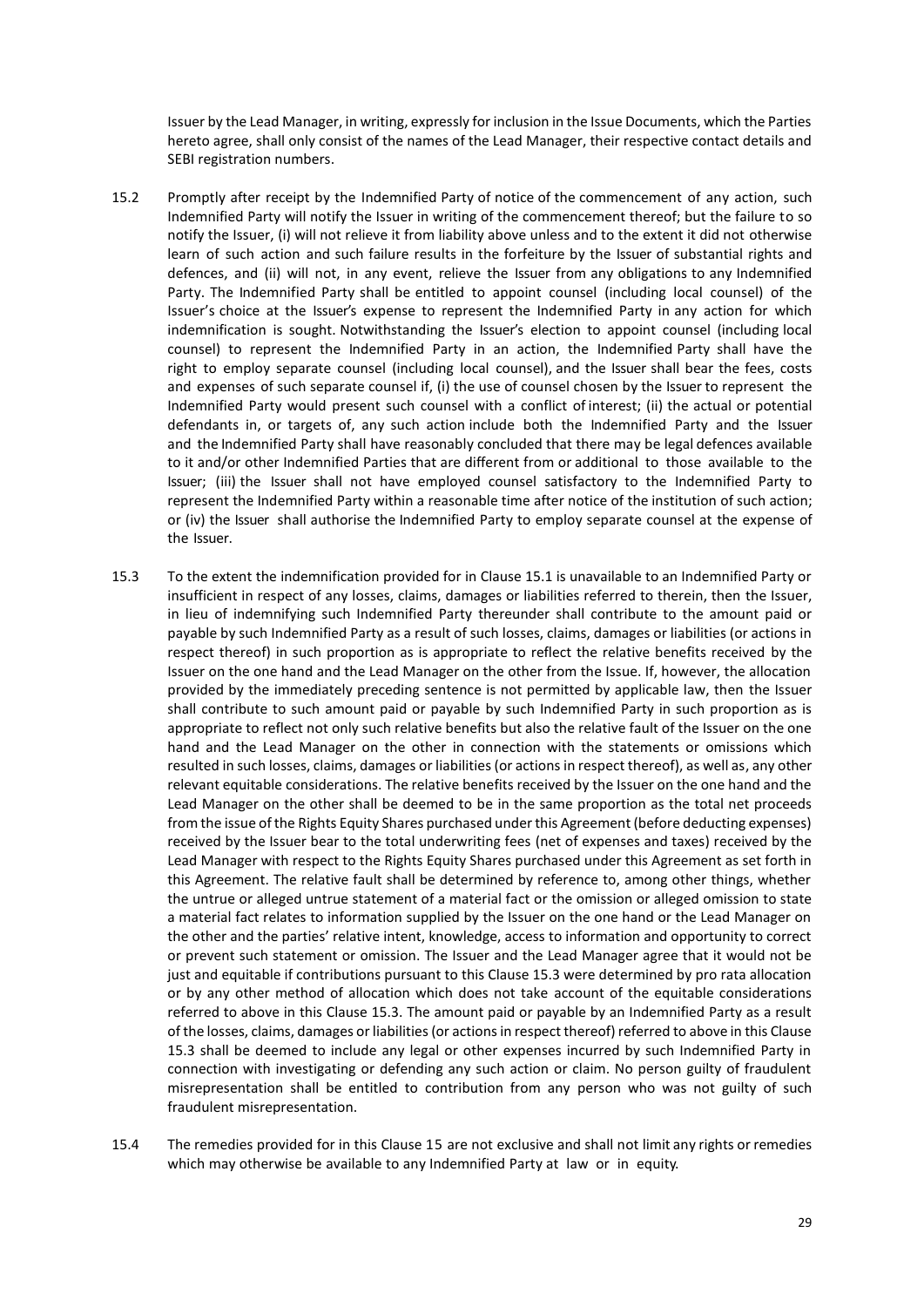Issuer by the Lead Manager, in writing, expressly for inclusion in the Issue Documents, which the Parties hereto agree, shall only consist of the names of the Lead Manager, their respective contact details and SEBI registration numbers.

- 15.2 Promptly after receipt by the Indemnified Party of notice of the commencement of any action, such Indemnified Party will notify the Issuer in writing of the commencement thereof; but the failure to so notify the Issuer, (i) will not relieve it from liability above unless and to the extent it did not otherwise learn of such action and such failure results in the forfeiture by the Issuer of substantial rights and defences, and (ii) will not, in any event, relieve the Issuer from any obligations to any Indemnified Party. The Indemnified Party shall be entitled to appoint counsel (including local counsel) of the Issuer's choice at the Issuer's expense to represent the Indemnified Party in any action for which indemnification is sought. Notwithstanding the Issuer's election to appoint counsel (including local counsel) to represent the Indemnified Party in an action, the Indemnified Party shall have the right to employ separate counsel (including local counsel), and the Issuer shall bear the fees, costs and expenses of such separate counsel if, (i) the use of counsel chosen by the Issuer to represent the Indemnified Party would present such counsel with a conflict of interest; (ii) the actual or potential defendants in, or targets of, any such action include both the Indemnified Party and the Issuer and the Indemnified Party shall have reasonably concluded that there may be legal defences available to it and/or other Indemnified Parties that are different from or additional to those available to the Issuer; (iii) the Issuer shall not have employed counsel satisfactory to the Indemnified Party to represent the Indemnified Party within a reasonable time after notice of the institution of such action; or (iv) the Issuer shall authorise the Indemnified Party to employ separate counsel at the expense of the Issuer.
- 15.3 To the extent the indemnification provided for in Clause 15.1 is unavailable to an Indemnified Party or insufficient in respect of any losses, claims, damages or liabilities referred to therein, then the Issuer, in lieu of indemnifying such Indemnified Party thereunder shall contribute to the amount paid or payable by such Indemnified Party as a result of such losses, claims, damages or liabilities (or actions in respect thereof) in such proportion as is appropriate to reflect the relative benefits received by the Issuer on the one hand and the Lead Manager on the other from the Issue. If, however, the allocation provided by the immediately preceding sentence is not permitted by applicable law, then the Issuer shall contribute to such amount paid or payable by such Indemnified Party in such proportion as is appropriate to reflect not only such relative benefits but also the relative fault of the Issuer on the one hand and the Lead Manager on the other in connection with the statements or omissions which resulted in such losses, claims, damages or liabilities (or actions in respect thereof), as well as, any other relevant equitable considerations. The relative benefits received by the Issuer on the one hand and the Lead Manager on the other shall be deemed to be in the same proportion as the total net proceeds from the issue of the Rights Equity Shares purchased under this Agreement (before deducting expenses) received by the Issuer bear to the total underwriting fees (net of expenses and taxes) received by the Lead Manager with respect to the Rights Equity Shares purchased under this Agreement as set forth in this Agreement. The relative fault shall be determined by reference to, among other things, whether the untrue or alleged untrue statement of a material fact or the omission or alleged omission to state a material fact relates to information supplied by the Issuer on the one hand or the Lead Manager on the other and the parties' relative intent, knowledge, access to information and opportunity to correct or prevent such statement or omission. The Issuer and the Lead Manager agree that it would not be just and equitable if contributions pursuant to this Clause 15.3 were determined by pro rata allocation or by any other method of allocation which does not take account of the equitable considerations referred to above in this Clause 15.3. The amount paid or payable by an Indemnified Party as a result of the losses, claims, damages or liabilities (or actions in respect thereof) referred to above in this Clause 15.3 shall be deemed to include any legal or other expenses incurred by such Indemnified Party in connection with investigating or defending any such action or claim. No person guilty of fraudulent misrepresentation shall be entitled to contribution from any person who was not guilty of such fraudulent misrepresentation.
- 15.4 The remedies provided for in this Clause 15 are not exclusive and shall not limit any rights or remedies which may otherwise be available to any Indemnified Party at law or in equity.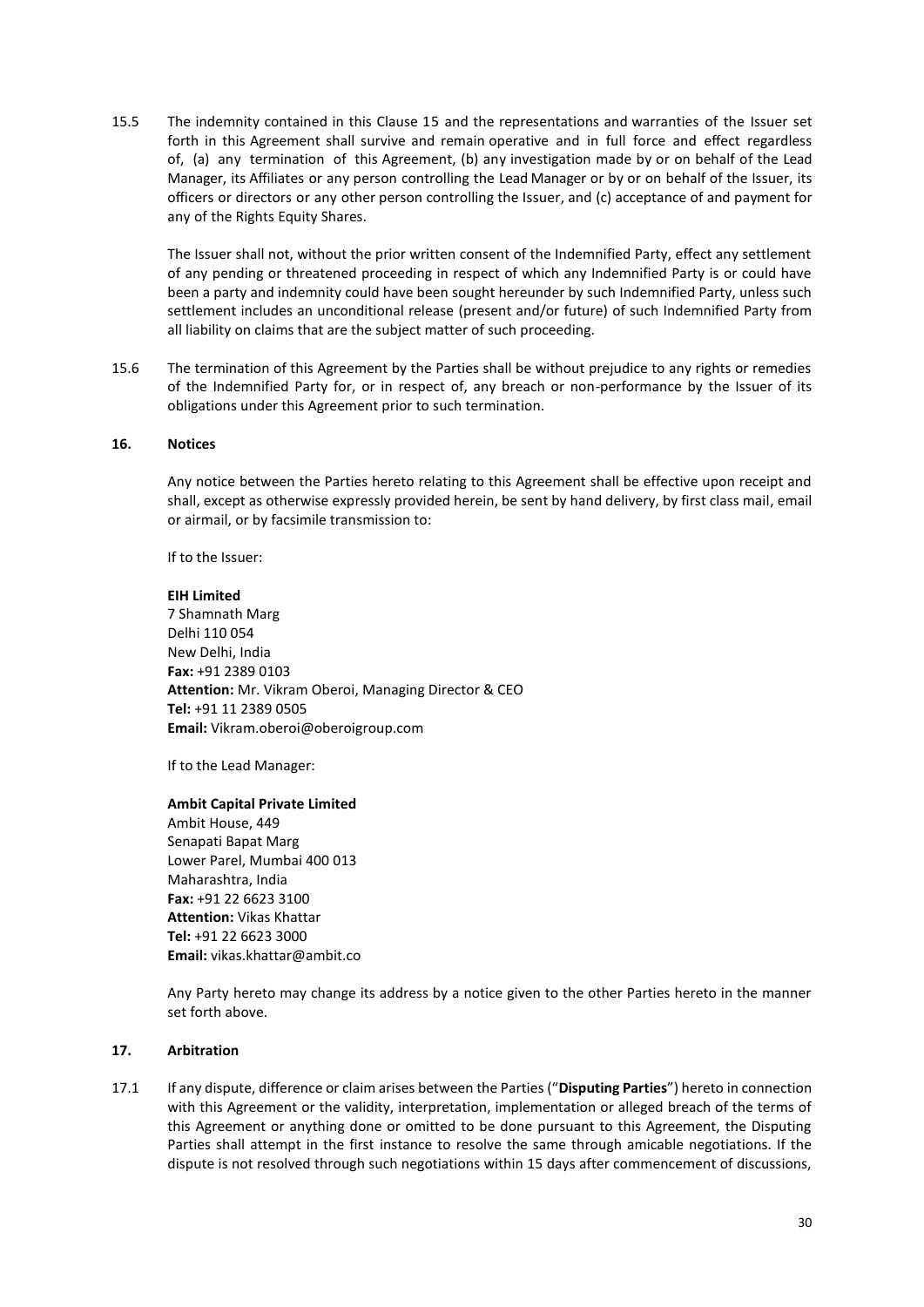15.5 The indemnity contained in this Clause 15 and the representations and warranties of the Issuer set forth in this Agreement shall survive and remain operative and in full force and effect regardless of, (a) any termination of this Agreement, (b) any investigation made by or on behalf of the Lead Manager, its Affiliates or any person controlling the Lead Manager or by or on behalf of the Issuer, its officers or directors or any other person controlling the Issuer, and (c) acceptance of and payment for any of the Rights Equity Shares.

The Issuer shall not, without the prior written consent of the Indemnified Party, effect any settlement of any pending or threatened proceeding in respect of which any Indemnified Party is or could have been a party and indemnity could have been sought hereunder by such Indemnified Party, unless such settlement includes an unconditional release (present and/or future) of such Indemnified Party from all liability on claims that are the subject matter of such proceeding.

15.6 The termination of this Agreement by the Parties shall be without prejudice to any rights or remedies of the Indemnified Party for, or in respect of, any breach or non-performance by the Issuer of its obligations under this Agreement prior to such termination.

#### <span id="page-33-0"></span>**16. Notices**

Any notice between the Parties hereto relating to this Agreement shall be effective upon receipt and shall, except as otherwise expressly provided herein, be sent by hand delivery, by first class mail, email or airmail, or by facsimile transmission to:

If to the Issuer:

#### **EIH Limited**

7 Shamnath Marg Delhi 110 054 New Delhi, India **Fax:** +91 2389 0103 **Attention:** Mr. Vikram Oberoi, Managing Director & CEO **Tel:** +91 11 2389 0505 **Email:** Vikram.oberoi@oberoigroup.com

If to the Lead Manager:

#### **Ambit Capital Private Limited**

Ambit House, 449 Senapati Bapat Marg Lower Parel, Mumbai 400 013 Maharashtra, India **Fax:** +91 22 6623 3100 **Attention:** Vikas Khattar **Tel:** +91 22 6623 3000 **Email:** vikas.khattar@ambit.co

Any Party hereto may change its address by a notice given to the other Parties hereto in the manner set forth above.

#### <span id="page-33-1"></span>**17. Arbitration**

17.1 If any dispute, difference or claim arises between the Parties ("**Disputing Parties**") hereto in connection with this Agreement or the validity, interpretation, implementation or alleged breach of the terms of this Agreement or anything done or omitted to be done pursuant to this Agreement, the Disputing Parties shall attempt in the first instance to resolve the same through amicable negotiations. If the dispute is not resolved through such negotiations within 15 days after commencement of discussions,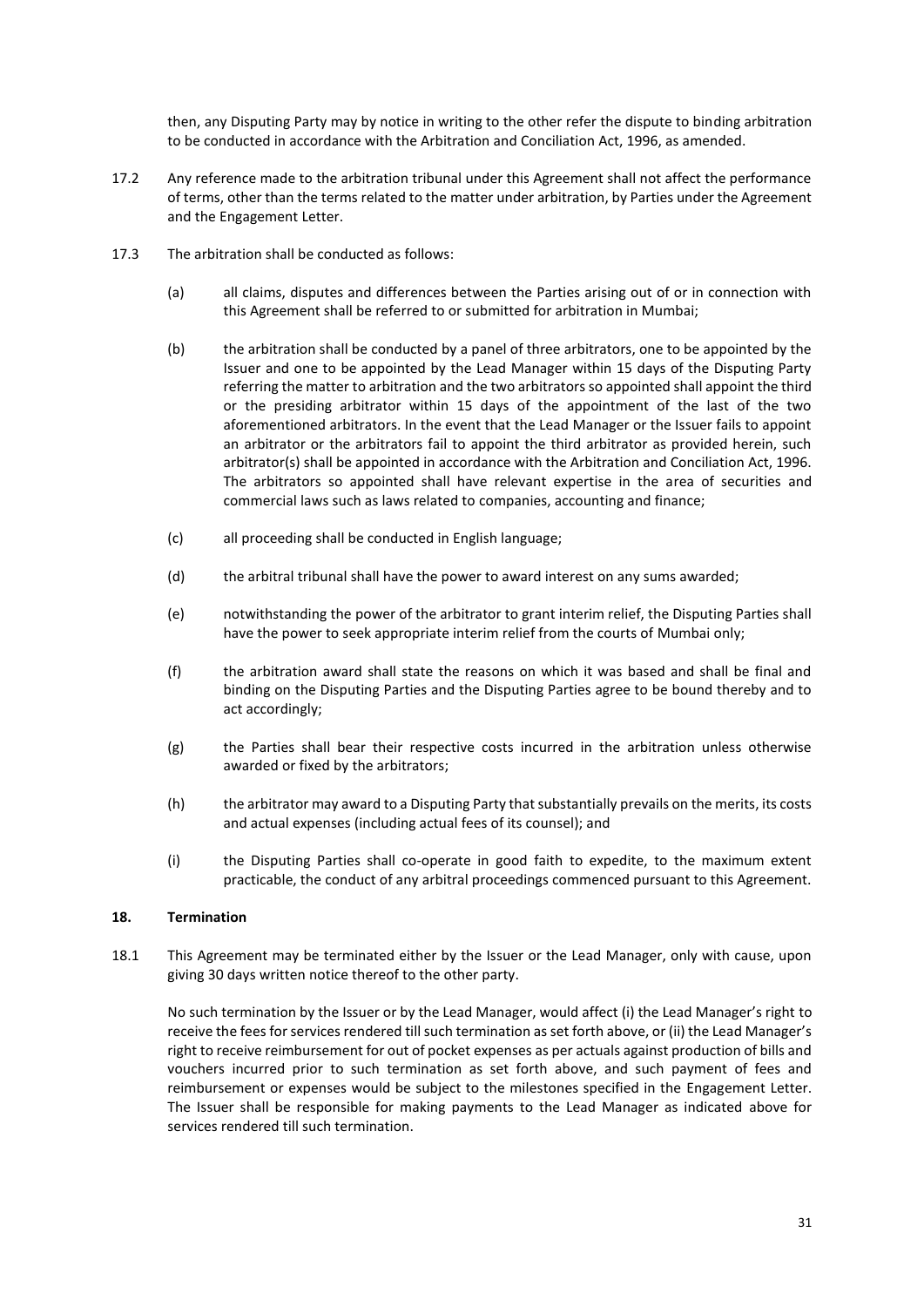then, any Disputing Party may by notice in writing to the other refer the dispute to binding arbitration to be conducted in accordance with the Arbitration and Conciliation Act, 1996, as amended.

- 17.2 Any reference made to the arbitration tribunal under this Agreement shall not affect the performance of terms, other than the terms related to the matter under arbitration, by Parties under the Agreement and the Engagement Letter.
- 17.3 The arbitration shall be conducted as follows:
	- (a) all claims, disputes and differences between the Parties arising out of or in connection with this Agreement shall be referred to or submitted for arbitration in Mumbai;
	- (b) the arbitration shall be conducted by a panel of three arbitrators, one to be appointed by the Issuer and one to be appointed by the Lead Manager within 15 days of the Disputing Party referring the matter to arbitration and the two arbitrators so appointed shall appoint the third or the presiding arbitrator within 15 days of the appointment of the last of the two aforementioned arbitrators. In the event that the Lead Manager or the Issuer fails to appoint an arbitrator or the arbitrators fail to appoint the third arbitrator as provided herein, such arbitrator(s) shall be appointed in accordance with the Arbitration and Conciliation Act, 1996. The arbitrators so appointed shall have relevant expertise in the area of securities and commercial laws such as laws related to companies, accounting and finance;
	- (c) all proceeding shall be conducted in English language;
	- (d) the arbitral tribunal shall have the power to award interest on any sums awarded;
	- (e) notwithstanding the power of the arbitrator to grant interim relief, the Disputing Parties shall have the power to seek appropriate interim relief from the courts of Mumbai only;
	- (f) the arbitration award shall state the reasons on which it was based and shall be final and binding on the Disputing Parties and the Disputing Parties agree to be bound thereby and to act accordingly;
	- (g) the Parties shall bear their respective costs incurred in the arbitration unless otherwise awarded or fixed by the arbitrators;
	- (h) the arbitrator may award to a Disputing Party that substantially prevails on the merits, its costs and actual expenses (including actual fees of its counsel); and
	- (i) the Disputing Parties shall co-operate in good faith to expedite, to the maximum extent practicable, the conduct of any arbitral proceedings commenced pursuant to this Agreement.

#### <span id="page-34-0"></span>**18. Termination**

18.1 This Agreement may be terminated either by the Issuer or the Lead Manager, only with cause, upon giving 30 days written notice thereof to the other party.

No such termination by the Issuer or by the Lead Manager, would affect (i) the Lead Manager's right to receive the fees for services rendered till such termination as set forth above, or (ii) the Lead Manager's right to receive reimbursement for out of pocket expenses as per actuals against production of bills and vouchers incurred prior to such termination as set forth above, and such payment of fees and reimbursement or expenses would be subject to the milestones specified in the Engagement Letter. The Issuer shall be responsible for making payments to the Lead Manager as indicated above for services rendered till such termination.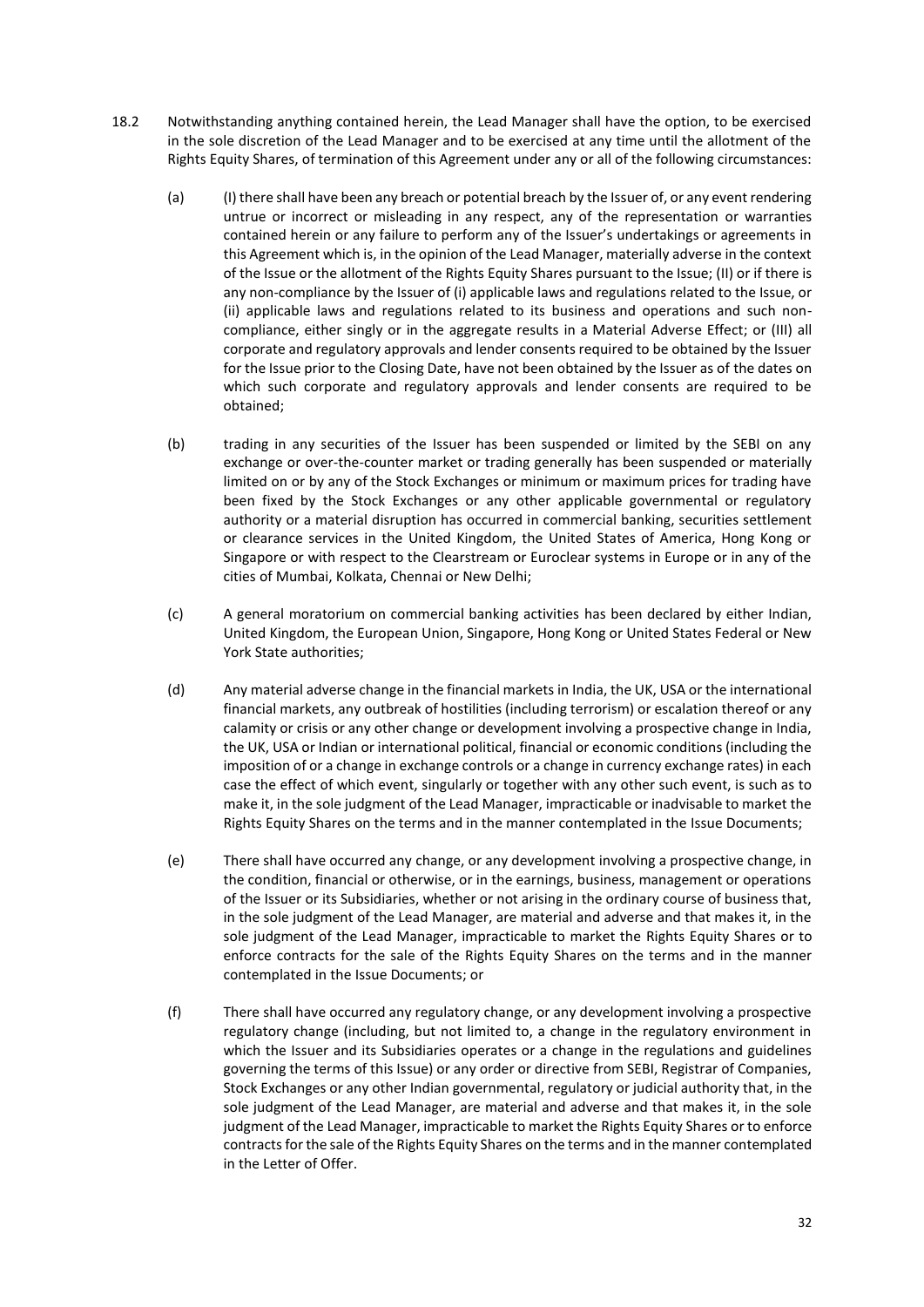- 18.2 Notwithstanding anything contained herein, the Lead Manager shall have the option, to be exercised in the sole discretion of the Lead Manager and to be exercised at any time until the allotment of the Rights Equity Shares, of termination of this Agreement under any or all of the following circumstances:
	- (a) (I) there shall have been any breach or potential breach by the Issuer of, or any event rendering untrue or incorrect or misleading in any respect, any of the representation or warranties contained herein or any failure to perform any of the Issuer's undertakings or agreements in this Agreement which is, in the opinion of the Lead Manager, materially adverse in the context of the Issue or the allotment of the Rights Equity Shares pursuant to the Issue; (II) or if there is any non-compliance by the Issuer of (i) applicable laws and regulations related to the Issue, or (ii) applicable laws and regulations related to its business and operations and such noncompliance, either singly or in the aggregate results in a Material Adverse Effect; or (III) all corporate and regulatory approvals and lender consents required to be obtained by the Issuer for the Issue prior to the Closing Date, have not been obtained by the Issuer as of the dates on which such corporate and regulatory approvals and lender consents are required to be obtained;
	- (b) trading in any securities of the Issuer has been suspended or limited by the SEBI on any exchange or over-the-counter market or trading generally has been suspended or materially limited on or by any of the Stock Exchanges or minimum or maximum prices for trading have been fixed by the Stock Exchanges or any other applicable governmental or regulatory authority or a material disruption has occurred in commercial banking, securities settlement or clearance services in the United Kingdom, the United States of America, Hong Kong or Singapore or with respect to the Clearstream or Euroclear systems in Europe or in any of the cities of Mumbai, Kolkata, Chennai or New Delhi;
	- (c) A general moratorium on commercial banking activities has been declared by either Indian, United Kingdom, the European Union, Singapore, Hong Kong or United States Federal or New York State authorities;
	- (d) Any material adverse change in the financial markets in India, the UK, USA or the international financial markets, any outbreak of hostilities (including terrorism) or escalation thereof or any calamity or crisis or any other change or development involving a prospective change in India, the UK, USA or Indian or international political, financial or economic conditions (including the imposition of or a change in exchange controls or a change in currency exchange rates) in each case the effect of which event, singularly or together with any other such event, is such as to make it, in the sole judgment of the Lead Manager, impracticable or inadvisable to market the Rights Equity Shares on the terms and in the manner contemplated in the Issue Documents;
	- (e) There shall have occurred any change, or any development involving a prospective change, in the condition, financial or otherwise, or in the earnings, business, management or operations of the Issuer or its Subsidiaries, whether or not arising in the ordinary course of business that, in the sole judgment of the Lead Manager, are material and adverse and that makes it, in the sole judgment of the Lead Manager, impracticable to market the Rights Equity Shares or to enforce contracts for the sale of the Rights Equity Shares on the terms and in the manner contemplated in the Issue Documents; or
	- (f) There shall have occurred any regulatory change, or any development involving a prospective regulatory change (including, but not limited to, a change in the regulatory environment in which the Issuer and its Subsidiaries operates or a change in the regulations and guidelines governing the terms of this Issue) or any order or directive from SEBI, Registrar of Companies, Stock Exchanges or any other Indian governmental, regulatory or judicial authority that, in the sole judgment of the Lead Manager, are material and adverse and that makes it, in the sole judgment of the Lead Manager, impracticable to market the Rights Equity Shares or to enforce contracts for the sale of the Rights Equity Shares on the terms and in the manner contemplated in the Letter of Offer.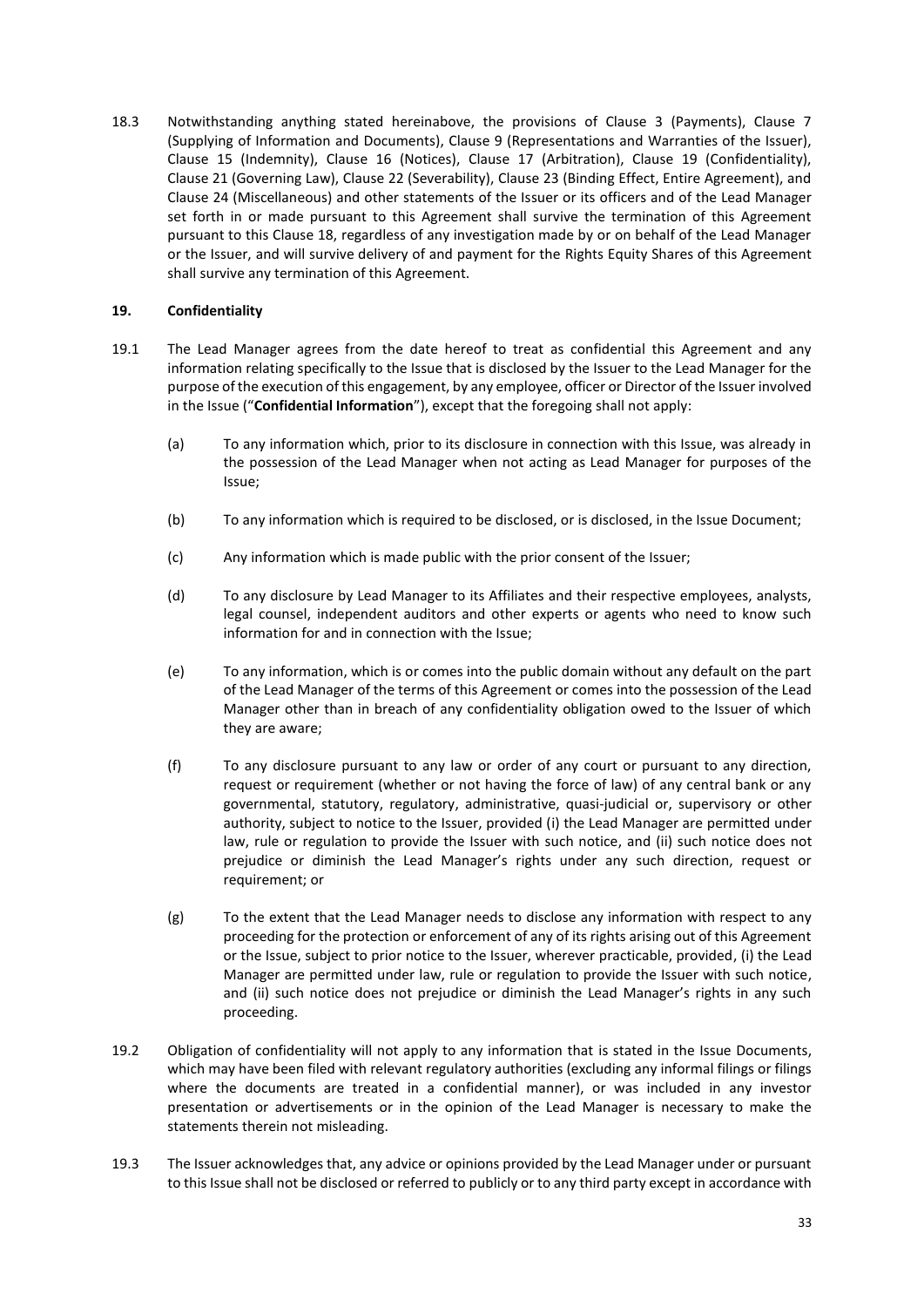18.3 Notwithstanding anything stated hereinabove, the provisions of Clause 3 (Payments), Clause 7 (Supplying of Information and Documents), Clause 9 (Representations and Warranties of the Issuer), Clause 15 (Indemnity), Clause 16 (Notices), Clause 17 (Arbitration), Clause 19 (Confidentiality), Clause 21 (Governing Law), Clause 22 (Severability), Clause 23 (Binding Effect, Entire Agreement), and Clause 24 (Miscellaneous) and other statements of the Issuer or its officers and of the Lead Manager set forth in or made pursuant to this Agreement shall survive the termination of this Agreement pursuant to this Clause 18, regardless of any investigation made by or on behalf of the Lead Manager or the Issuer, and will survive delivery of and payment for the Rights Equity Shares of this Agreement shall survive any termination of this Agreement.

#### <span id="page-36-0"></span>**19. Confidentiality**

- 19.1 The Lead Manager agrees from the date hereof to treat as confidential this Agreement and any information relating specifically to the Issue that is disclosed by the Issuer to the Lead Manager for the purpose of the execution of this engagement, by any employee, officer or Director of the Issuer involved in the Issue ("**Confidential Information**"), except that the foregoing shall not apply:
	- (a) To any information which, prior to its disclosure in connection with this Issue, was already in the possession of the Lead Manager when not acting as Lead Manager for purposes of the Issue;
	- (b) To any information which is required to be disclosed, or is disclosed, in the Issue Document;
	- (c) Any information which is made public with the prior consent of the Issuer;
	- (d) To any disclosure by Lead Manager to its Affiliates and their respective employees, analysts, legal counsel, independent auditors and other experts or agents who need to know such information for and in connection with the Issue;
	- (e) To any information, which is or comes into the public domain without any default on the part of the Lead Manager of the terms of this Agreement or comes into the possession of the Lead Manager other than in breach of any confidentiality obligation owed to the Issuer of which they are aware;
	- (f) To any disclosure pursuant to any law or order of any court or pursuant to any direction, request or requirement (whether or not having the force of law) of any central bank or any governmental, statutory, regulatory, administrative, quasi-judicial or, supervisory or other authority, subject to notice to the Issuer, provided (i) the Lead Manager are permitted under law, rule or regulation to provide the Issuer with such notice, and (ii) such notice does not prejudice or diminish the Lead Manager's rights under any such direction, request or requirement; or
	- (g) To the extent that the Lead Manager needs to disclose any information with respect to any proceeding for the protection or enforcement of any of its rights arising out of this Agreement or the Issue, subject to prior notice to the Issuer, wherever practicable, provided, (i) the Lead Manager are permitted under law, rule or regulation to provide the Issuer with such notice, and (ii) such notice does not prejudice or diminish the Lead Manager's rights in any such proceeding.
- 19.2 Obligation of confidentiality will not apply to any information that is stated in the Issue Documents, which may have been filed with relevant regulatory authorities (excluding any informal filings or filings where the documents are treated in a confidential manner), or was included in any investor presentation or advertisements or in the opinion of the Lead Manager is necessary to make the statements therein not misleading.
- 19.3 The Issuer acknowledges that, any advice or opinions provided by the Lead Manager under or pursuant to this Issue shall not be disclosed or referred to publicly or to any third party except in accordance with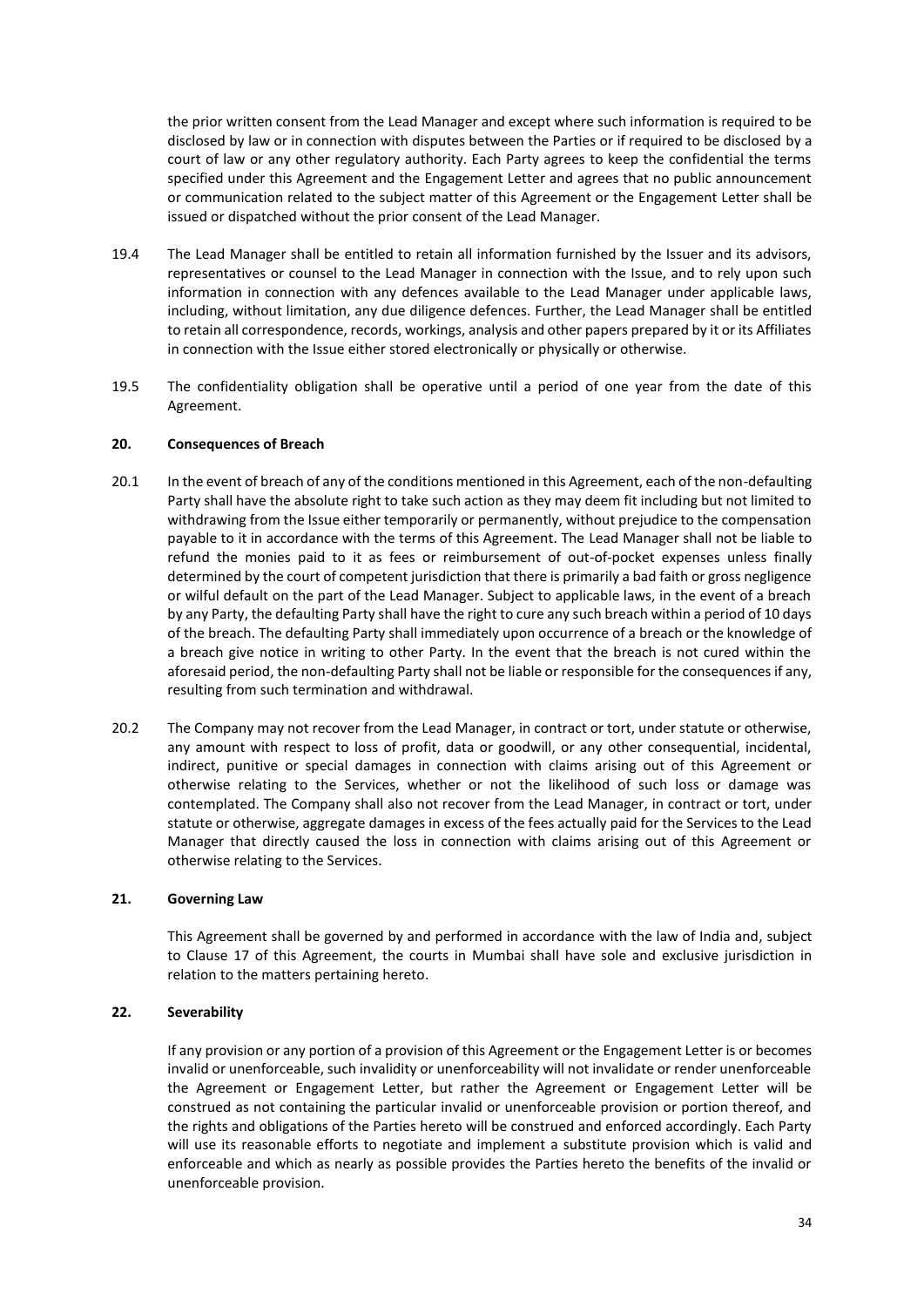the prior written consent from the Lead Manager and except where such information is required to be disclosed by law or in connection with disputes between the Parties or if required to be disclosed by a court of law or any other regulatory authority. Each Party agrees to keep the confidential the terms specified under this Agreement and the Engagement Letter and agrees that no public announcement or communication related to the subject matter of this Agreement or the Engagement Letter shall be issued or dispatched without the prior consent of the Lead Manager.

- 19.4 The Lead Manager shall be entitled to retain all information furnished by the Issuer and its advisors, representatives or counsel to the Lead Manager in connection with the Issue, and to rely upon such information in connection with any defences available to the Lead Manager under applicable laws, including, without limitation, any due diligence defences. Further, the Lead Manager shall be entitled to retain all correspondence, records, workings, analysis and other papers prepared by it or its Affiliates in connection with the Issue either stored electronically or physically or otherwise.
- 19.5 The confidentiality obligation shall be operative until a period of one year from the date of this Agreement.

#### <span id="page-37-0"></span>**20. Consequences of Breach**

- 20.1 In the event of breach of any of the conditions mentioned in this Agreement, each of the non-defaulting Party shall have the absolute right to take such action as they may deem fit including but not limited to withdrawing from the Issue either temporarily or permanently, without prejudice to the compensation payable to it in accordance with the terms of this Agreement. The Lead Manager shall not be liable to refund the monies paid to it as fees or reimbursement of out-of-pocket expenses unless finally determined by the court of competent jurisdiction that there is primarily a bad faith or gross negligence or wilful default on the part of the Lead Manager. Subject to applicable laws, in the event of a breach by any Party, the defaulting Party shall have the right to cure any such breach within a period of 10 days of the breach. The defaulting Party shall immediately upon occurrence of a breach or the knowledge of a breach give notice in writing to other Party. In the event that the breach is not cured within the aforesaid period, the non-defaulting Party shall not be liable or responsible for the consequences if any, resulting from such termination and withdrawal.
- 20.2 The Company may not recover from the Lead Manager, in contract or tort, under statute or otherwise, any amount with respect to loss of profit, data or goodwill, or any other consequential, incidental, indirect, punitive or special damages in connection with claims arising out of this Agreement or otherwise relating to the Services, whether or not the likelihood of such loss or damage was contemplated. The Company shall also not recover from the Lead Manager, in contract or tort, under statute or otherwise, aggregate damages in excess of the fees actually paid for the Services to the Lead Manager that directly caused the loss in connection with claims arising out of this Agreement or otherwise relating to the Services.

#### <span id="page-37-1"></span>**21. Governing Law**

This Agreement shall be governed by and performed in accordance with the law of India and, subject to Clause 17 of this Agreement, the courts in Mumbai shall have sole and exclusive jurisdiction in relation to the matters pertaining hereto.

#### <span id="page-37-2"></span>**22. Severability**

If any provision or any portion of a provision of this Agreement or the Engagement Letter is or becomes invalid or unenforceable, such invalidity or unenforceability will not invalidate or render unenforceable the Agreement or Engagement Letter, but rather the Agreement or Engagement Letter will be construed as not containing the particular invalid or unenforceable provision or portion thereof, and the rights and obligations of the Parties hereto will be construed and enforced accordingly. Each Party will use its reasonable efforts to negotiate and implement a substitute provision which is valid and enforceable and which as nearly as possible provides the Parties hereto the benefits of the invalid or unenforceable provision.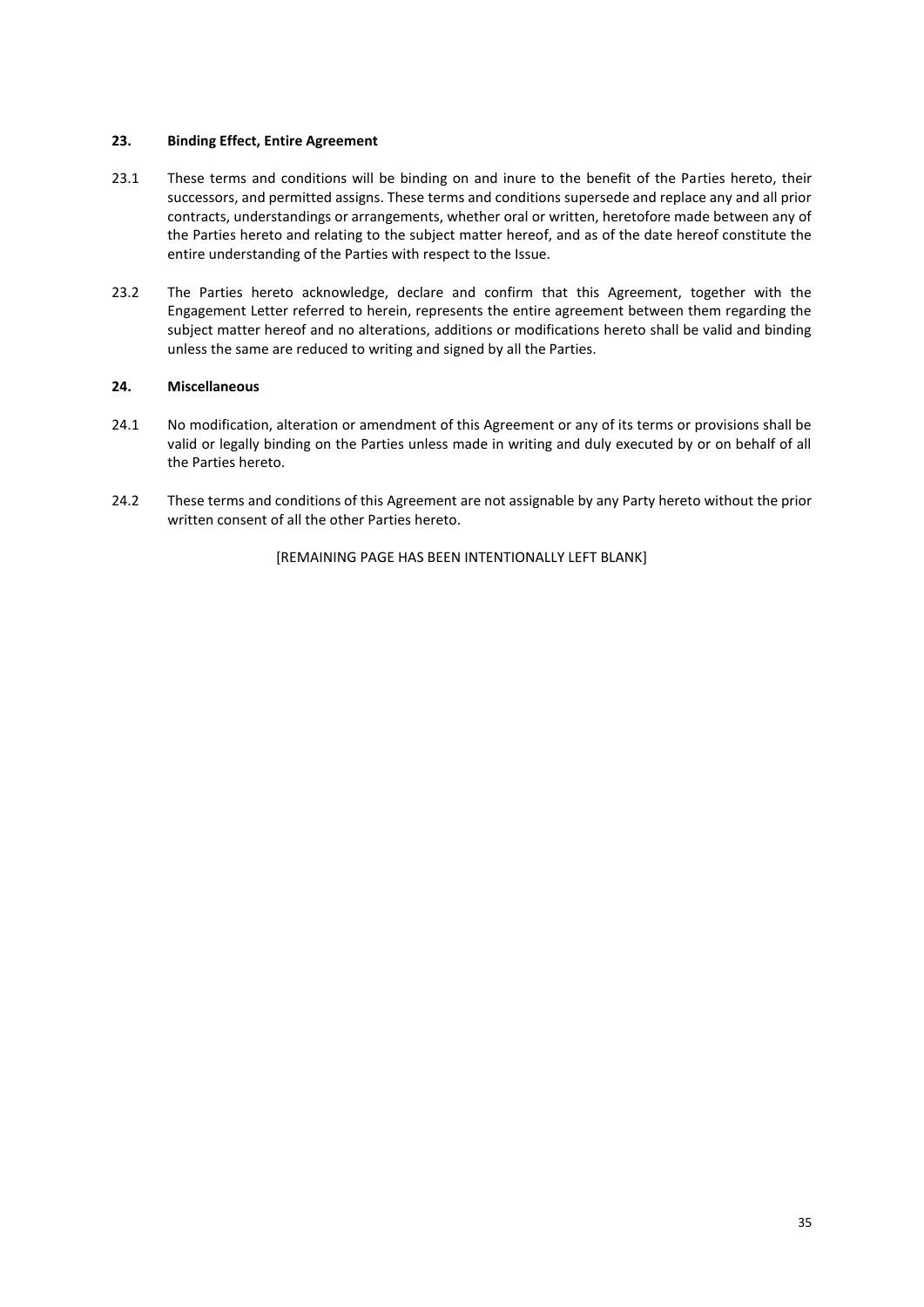#### <span id="page-38-0"></span>**23. Binding Effect, Entire Agreement**

- 23.1 These terms and conditions will be binding on and inure to the benefit of the Parties hereto, their successors, and permitted assigns. These terms and conditions supersede and replace any and all prior contracts, understandings or arrangements, whether oral or written, heretofore made between any of the Parties hereto and relating to the subject matter hereof, and as of the date hereof constitute the entire understanding of the Parties with respect to the Issue.
- 23.2 The Parties hereto acknowledge, declare and confirm that this Agreement, together with the Engagement Letter referred to herein, represents the entire agreement between them regarding the subject matter hereof and no alterations, additions or modifications hereto shall be valid and binding unless the same are reduced to writing and signed by all the Parties.

#### <span id="page-38-1"></span>**24. Miscellaneous**

- 24.1 No modification, alteration or amendment of this Agreement or any of its terms or provisions shall be valid or legally binding on the Parties unless made in writing and duly executed by or on behalf of all the Parties hereto.
- 24.2 These terms and conditions of this Agreement are not assignable by any Party hereto without the prior written consent of all the other Parties hereto.

[REMAINING PAGE HAS BEEN INTENTIONALLY LEFT BLANK]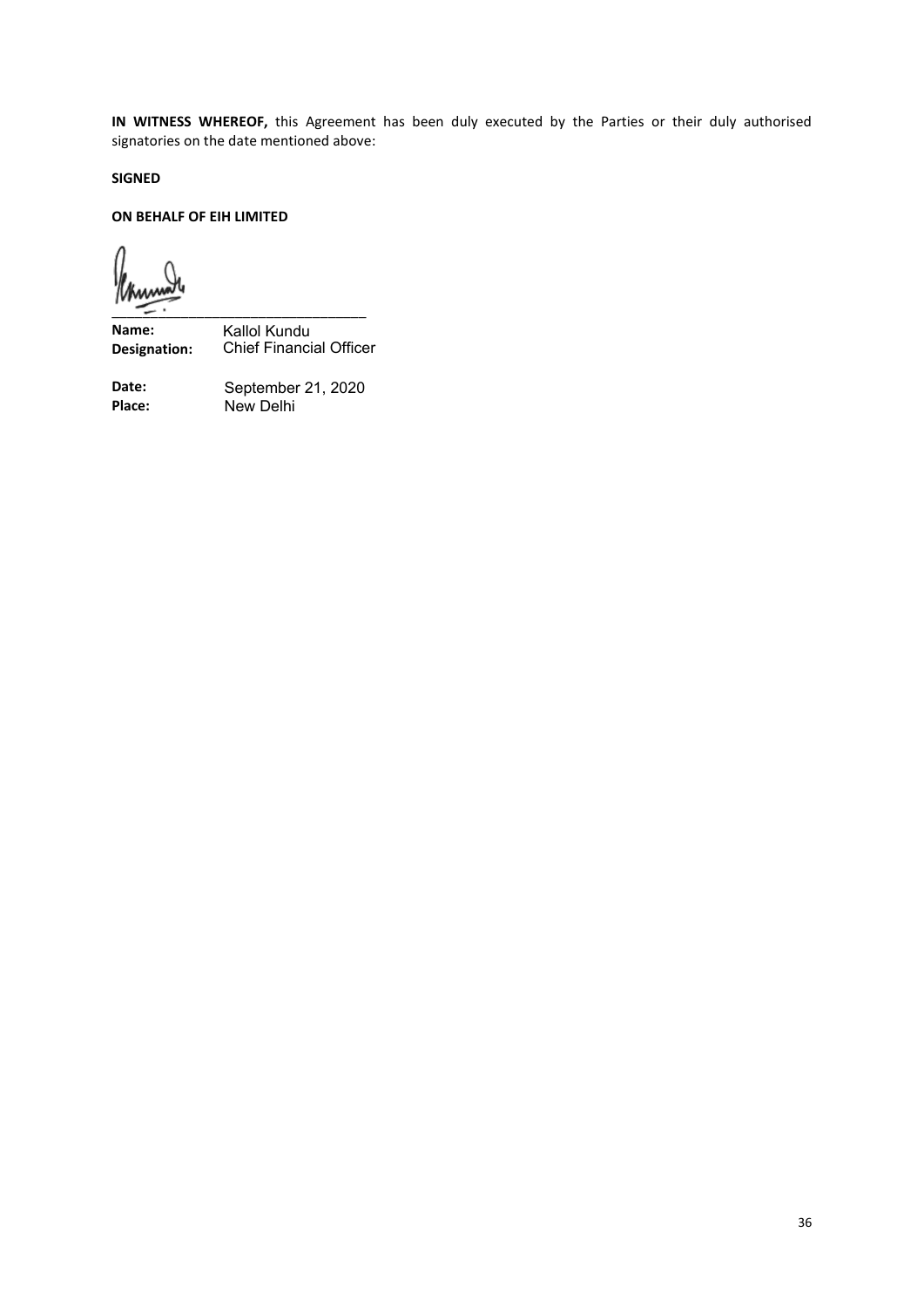**IN WITNESS WHEREOF,** this Agreement has been duly executed by the Parties or their duly authorised signatories on the date mentioned above:

**SIGNED**

#### **ON BEHALF OF EIH LIMITED**

\_\_\_\_\_\_\_\_\_\_\_\_\_\_\_\_\_\_\_\_\_\_\_\_\_\_\_\_\_\_\_\_\_

**Name: Designation:** Kallol Kundu Chief Financial Officer

**Date: Place:** New Delhi September 21, 2020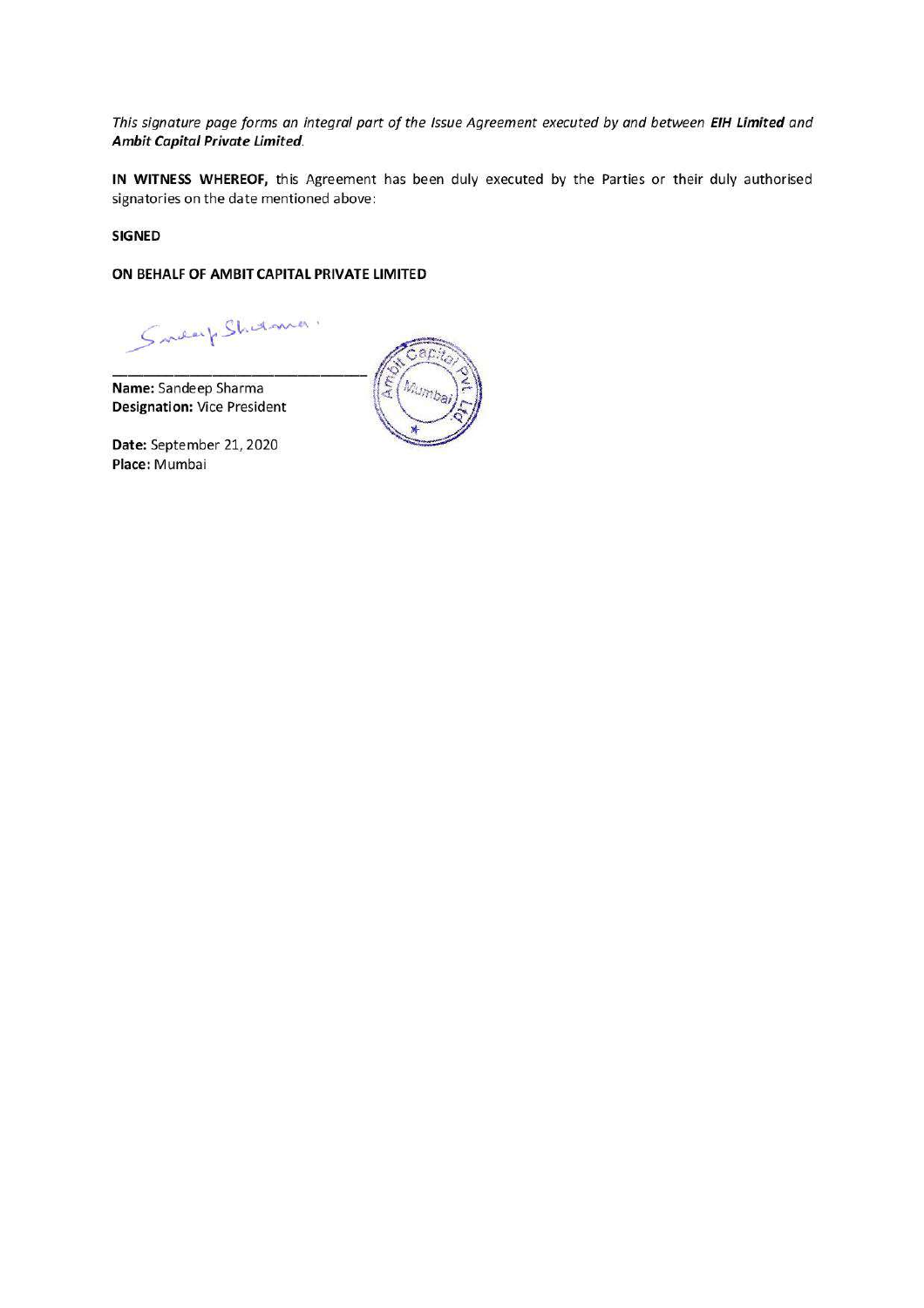This signature page forms an integral part of the Issue Agreement executed by and between EIH Limited and Ambit Capital Private Limited.

IN WITNESS WHEREOF, this Agreement has been duly executed by the Parties or their duly authorised signatories on the date mentioned above:

#### **SIGNED**

ON BEHALF OF AMBIT CAPITAL PRIVATE LIMITED

Smearp Shirtonia.

Name: Sandeep Sharma **Designation: Vice President** 

Date: September 21, 2020 Place: Mumbai